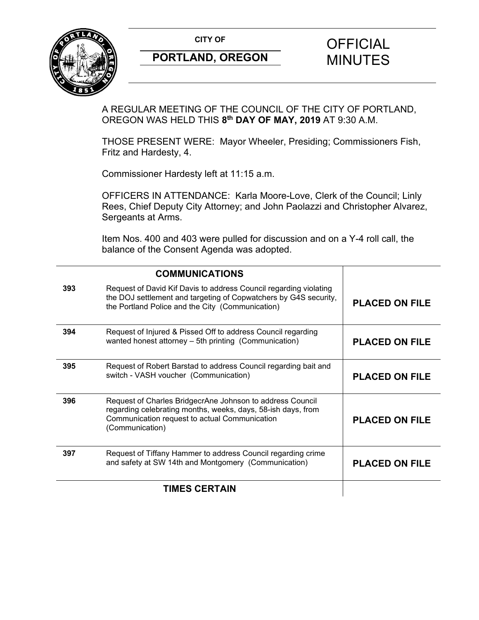**CITY OF CITY OF CITY OF CITY OF CITY** 



# **PORTLAND, OREGON MINUTES**

# A REGULAR MEETING OF THE COUNCIL OF THE CITY OF PORTLAND, OREGON WAS HELD THIS **8th DAY OF MAY, 2019** AT 9:30 A.M.

THOSE PRESENT WERE: Mayor Wheeler, Presiding; Commissioners Fish, Fritz and Hardesty, 4.

Commissioner Hardesty left at 11:15 a.m.

OFFICERS IN ATTENDANCE: Karla Moore-Love, Clerk of the Council; Linly Rees, Chief Deputy City Attorney; and John Paolazzi and Christopher Alvarez, Sergeants at Arms.

Item Nos. 400 and 403 were pulled for discussion and on a Y-4 roll call, the balance of the Consent Agenda was adopted.

|     | <b>COMMUNICATIONS</b>                                                                                                                                                                         |                       |
|-----|-----------------------------------------------------------------------------------------------------------------------------------------------------------------------------------------------|-----------------------|
| 393 | Request of David Kif Davis to address Council regarding violating<br>the DOJ settlement and targeting of Copwatchers by G4S security,<br>the Portland Police and the City (Communication)     | <b>PLACED ON FILE</b> |
| 394 | Request of Injured & Pissed Off to address Council regarding<br>wanted honest attorney - 5th printing (Communication)                                                                         | <b>PLACED ON FILE</b> |
| 395 | Request of Robert Barstad to address Council regarding bait and<br>switch - VASH voucher (Communication)                                                                                      | <b>PLACED ON FILE</b> |
| 396 | Request of Charles BridgecrAne Johnson to address Council<br>regarding celebrating months, weeks, days, 58-ish days, from<br>Communication request to actual Communication<br>(Communication) | <b>PLACED ON FILE</b> |
| 397 | Request of Tiffany Hammer to address Council regarding crime<br>and safety at SW 14th and Montgomery (Communication)                                                                          | <b>PLACED ON FILE</b> |
|     | <b>TIMES CERTAIN</b>                                                                                                                                                                          |                       |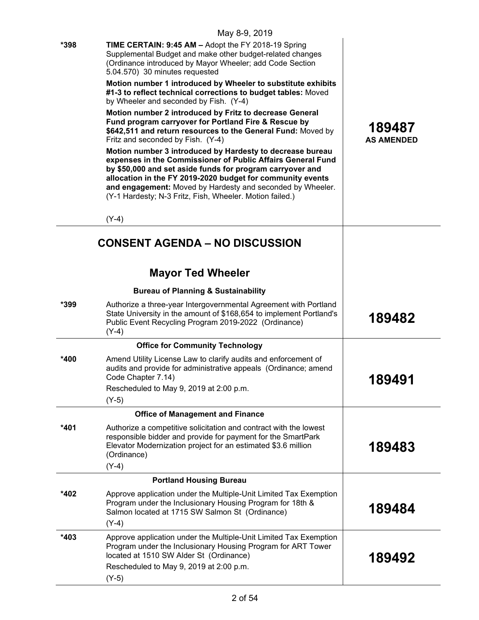|        | May 8-9, 2019                                                                                                                                                                                                                                                                                                                                                                                                                                                                                                                                                                                                                                                                                                                                                                                                                                                                                                                                                                                      |                             |
|--------|----------------------------------------------------------------------------------------------------------------------------------------------------------------------------------------------------------------------------------------------------------------------------------------------------------------------------------------------------------------------------------------------------------------------------------------------------------------------------------------------------------------------------------------------------------------------------------------------------------------------------------------------------------------------------------------------------------------------------------------------------------------------------------------------------------------------------------------------------------------------------------------------------------------------------------------------------------------------------------------------------|-----------------------------|
| *398   | TIME CERTAIN: 9:45 AM - Adopt the FY 2018-19 Spring<br>Supplemental Budget and make other budget-related changes<br>(Ordinance introduced by Mayor Wheeler; add Code Section<br>5.04.570) 30 minutes requested<br>Motion number 1 introduced by Wheeler to substitute exhibits<br>#1-3 to reflect technical corrections to budget tables: Moved<br>by Wheeler and seconded by Fish. (Y-4)<br>Motion number 2 introduced by Fritz to decrease General<br>Fund program carryover for Portland Fire & Rescue by<br>\$642,511 and return resources to the General Fund: Moved by<br>Fritz and seconded by Fish. (Y-4)<br>Motion number 3 introduced by Hardesty to decrease bureau<br>expenses in the Commissioner of Public Affairs General Fund<br>by \$50,000 and set aside funds for program carryover and<br>allocation in the FY 2019-2020 budget for community events<br>and engagement: Moved by Hardesty and seconded by Wheeler.<br>(Y-1 Hardesty; N-3 Fritz, Fish, Wheeler. Motion failed.) | 189487<br><b>AS AMENDED</b> |
|        | $(Y-4)$                                                                                                                                                                                                                                                                                                                                                                                                                                                                                                                                                                                                                                                                                                                                                                                                                                                                                                                                                                                            |                             |
|        | <b>CONSENT AGENDA – NO DISCUSSION</b>                                                                                                                                                                                                                                                                                                                                                                                                                                                                                                                                                                                                                                                                                                                                                                                                                                                                                                                                                              |                             |
|        | <b>Mayor Ted Wheeler</b>                                                                                                                                                                                                                                                                                                                                                                                                                                                                                                                                                                                                                                                                                                                                                                                                                                                                                                                                                                           |                             |
|        | <b>Bureau of Planning &amp; Sustainability</b>                                                                                                                                                                                                                                                                                                                                                                                                                                                                                                                                                                                                                                                                                                                                                                                                                                                                                                                                                     |                             |
| *399   | Authorize a three-year Intergovernmental Agreement with Portland<br>State University in the amount of \$168,654 to implement Portland's<br>Public Event Recycling Program 2019-2022 (Ordinance)<br>$(Y-4)$                                                                                                                                                                                                                                                                                                                                                                                                                                                                                                                                                                                                                                                                                                                                                                                         | 189482                      |
|        | <b>Office for Community Technology</b>                                                                                                                                                                                                                                                                                                                                                                                                                                                                                                                                                                                                                                                                                                                                                                                                                                                                                                                                                             |                             |
| *400   | Amend Utility License Law to clarify audits and enforcement of<br>audits and provide for administrative appeals (Ordinance; amend<br>Code Chapter 7.14)<br>Rescheduled to May 9, 2019 at 2:00 p.m.<br>$(Y-5)$                                                                                                                                                                                                                                                                                                                                                                                                                                                                                                                                                                                                                                                                                                                                                                                      | 189491                      |
|        | <b>Office of Management and Finance</b>                                                                                                                                                                                                                                                                                                                                                                                                                                                                                                                                                                                                                                                                                                                                                                                                                                                                                                                                                            |                             |
| *401   | Authorize a competitive solicitation and contract with the lowest<br>responsible bidder and provide for payment for the SmartPark<br>Elevator Modernization project for an estimated \$3.6 million<br>(Ordinance)<br>$(Y-4)$                                                                                                                                                                                                                                                                                                                                                                                                                                                                                                                                                                                                                                                                                                                                                                       | 189483                      |
|        | <b>Portland Housing Bureau</b>                                                                                                                                                                                                                                                                                                                                                                                                                                                                                                                                                                                                                                                                                                                                                                                                                                                                                                                                                                     |                             |
| *402   | Approve application under the Multiple-Unit Limited Tax Exemption<br>Program under the Inclusionary Housing Program for 18th &<br>Salmon located at 1715 SW Salmon St (Ordinance)<br>$(Y-4)$                                                                                                                                                                                                                                                                                                                                                                                                                                                                                                                                                                                                                                                                                                                                                                                                       | 189484                      |
| $*403$ | Approve application under the Multiple-Unit Limited Tax Exemption<br>Program under the Inclusionary Housing Program for ART Tower<br>located at 1510 SW Alder St (Ordinance)                                                                                                                                                                                                                                                                                                                                                                                                                                                                                                                                                                                                                                                                                                                                                                                                                       | 189492                      |
|        |                                                                                                                                                                                                                                                                                                                                                                                                                                                                                                                                                                                                                                                                                                                                                                                                                                                                                                                                                                                                    |                             |

Rescheduled to May 9, 2019 at 2:00 p.m.

(Y-5)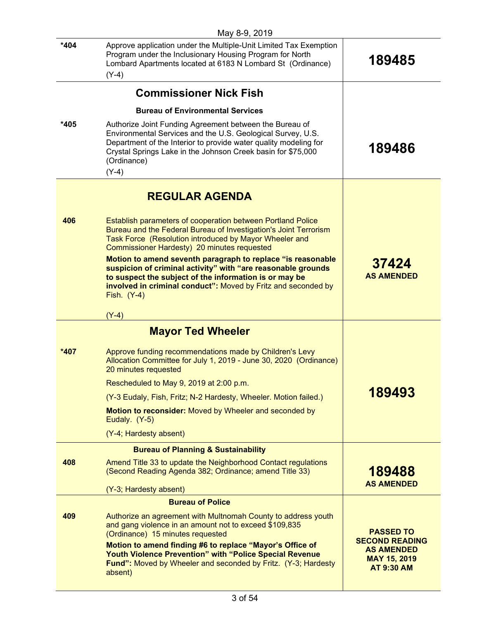|        | May 8-9, 2019                                                                                                                                                                                                                                                                        |                                                                |
|--------|--------------------------------------------------------------------------------------------------------------------------------------------------------------------------------------------------------------------------------------------------------------------------------------|----------------------------------------------------------------|
| *404   | Approve application under the Multiple-Unit Limited Tax Exemption<br>Program under the Inclusionary Housing Program for North<br>Lombard Apartments located at 6183 N Lombard St (Ordinance)<br>$(Y-4)$                                                                              | 189485                                                         |
|        | <b>Commissioner Nick Fish</b>                                                                                                                                                                                                                                                        |                                                                |
|        | <b>Bureau of Environmental Services</b>                                                                                                                                                                                                                                              |                                                                |
| *405   | Authorize Joint Funding Agreement between the Bureau of<br>Environmental Services and the U.S. Geological Survey, U.S.<br>Department of the Interior to provide water quality modeling for<br>Crystal Springs Lake in the Johnson Creek basin for \$75,000<br>(Ordinance)<br>$(Y-4)$ | 189486                                                         |
|        | <b>REGULAR AGENDA</b>                                                                                                                                                                                                                                                                |                                                                |
| 406    | Establish parameters of cooperation between Portland Police<br>Bureau and the Federal Bureau of Investigation's Joint Terrorism<br>Task Force (Resolution introduced by Mayor Wheeler and<br>Commissioner Hardesty) 20 minutes requested                                             |                                                                |
|        | Motion to amend seventh paragraph to replace "is reasonable<br>suspicion of criminal activity" with "are reasonable grounds<br>to suspect the subject of the information is or may be<br>involved in criminal conduct": Moved by Fritz and seconded by<br>Fish. $(Y-4)$              | 37424<br><b>AS AMENDED</b>                                     |
|        | $(Y-4)$                                                                                                                                                                                                                                                                              |                                                                |
|        | <b>Mayor Ted Wheeler</b>                                                                                                                                                                                                                                                             |                                                                |
| $*407$ | Approve funding recommendations made by Children's Levy<br>Allocation Committee for July 1, 2019 - June 30, 2020 (Ordinance)<br>20 minutes requested                                                                                                                                 |                                                                |
|        | Rescheduled to May 9, 2019 at 2:00 p.m.                                                                                                                                                                                                                                              |                                                                |
|        | (Y-3 Eudaly, Fish, Fritz; N-2 Hardesty, Wheeler. Motion failed.)                                                                                                                                                                                                                     | 189493                                                         |
|        | Motion to reconsider: Moved by Wheeler and seconded by<br>Eudaly. (Y-5)                                                                                                                                                                                                              |                                                                |
|        | (Y-4; Hardesty absent)                                                                                                                                                                                                                                                               |                                                                |
|        | <b>Bureau of Planning &amp; Sustainability</b>                                                                                                                                                                                                                                       |                                                                |
| 408    | Amend Title 33 to update the Neighborhood Contact regulations<br>(Second Reading Agenda 382; Ordinance; amend Title 33)                                                                                                                                                              | 189488                                                         |
|        | (Y-3; Hardesty absent)                                                                                                                                                                                                                                                               | <b>AS AMENDED</b>                                              |
|        | <b>Bureau of Police</b>                                                                                                                                                                                                                                                              |                                                                |
| 409    | Authorize an agreement with Multnomah County to address youth<br>and gang violence in an amount not to exceed \$109,835<br>(Ordinance) 15 minutes requested<br>Motion to amend finding #6 to replace "Mayor's Office of                                                              | <b>PASSED TO</b><br><b>SECOND READING</b><br><b>AS AMENDED</b> |
|        | <b>Youth Violence Prevention" with "Police Special Revenue</b><br><b>Fund":</b> Moved by Wheeler and seconded by Fritz. (Y-3; Hardesty<br>absent)                                                                                                                                    | <b>MAY 15, 2019</b><br><b>AT 9:30 AM</b>                       |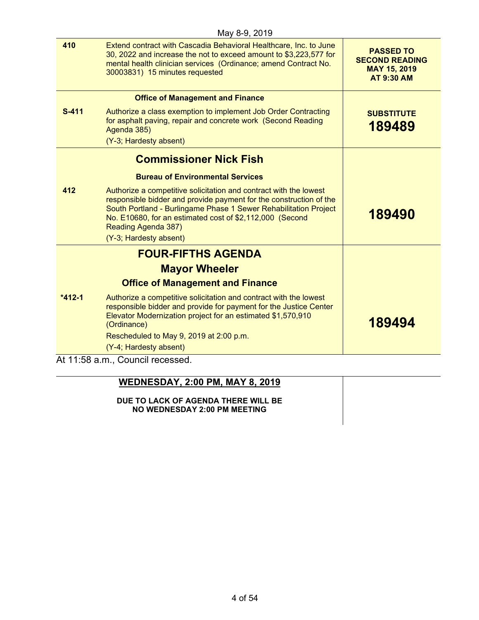|          | May 8-9, 2019                                                                                                                                                                                                                                                                                                            |                                                                                       |
|----------|--------------------------------------------------------------------------------------------------------------------------------------------------------------------------------------------------------------------------------------------------------------------------------------------------------------------------|---------------------------------------------------------------------------------------|
| 410      | Extend contract with Cascadia Behavioral Healthcare, Inc. to June<br>30, 2022 and increase the not to exceed amount to \$3,223,577 for<br>mental health clinician services (Ordinance; amend Contract No.<br>30003831) 15 minutes requested                                                                              | <b>PASSED TO</b><br><b>SECOND READING</b><br><b>MAY 15, 2019</b><br><b>AT 9:30 AM</b> |
|          | <b>Office of Management and Finance</b>                                                                                                                                                                                                                                                                                  |                                                                                       |
| $S-411$  | Authorize a class exemption to implement Job Order Contracting<br>for asphalt paving, repair and concrete work (Second Reading<br>Agenda 385)                                                                                                                                                                            | <b>SUBSTITUTE</b><br>189489                                                           |
|          | (Y-3; Hardesty absent)                                                                                                                                                                                                                                                                                                   |                                                                                       |
|          | <b>Commissioner Nick Fish</b>                                                                                                                                                                                                                                                                                            |                                                                                       |
|          | <b>Bureau of Environmental Services</b>                                                                                                                                                                                                                                                                                  |                                                                                       |
| 412      | Authorize a competitive solicitation and contract with the lowest<br>responsible bidder and provide payment for the construction of the<br>South Portland - Burlingame Phase 1 Sewer Rehabilitation Project<br>No. E10680, for an estimated cost of \$2,112,000 (Second<br>Reading Agenda 387)<br>(Y-3; Hardesty absent) | 189490                                                                                |
|          | <b>FOUR-FIFTHS AGENDA</b>                                                                                                                                                                                                                                                                                                |                                                                                       |
|          | <b>Mayor Wheeler</b>                                                                                                                                                                                                                                                                                                     |                                                                                       |
|          | <b>Office of Management and Finance</b>                                                                                                                                                                                                                                                                                  |                                                                                       |
| $*412-1$ | Authorize a competitive solicitation and contract with the lowest<br>responsible bidder and provide for payment for the Justice Center<br>Elevator Modernization project for an estimated \$1,570,910<br>(Ordinance)                                                                                                     | 189494                                                                                |
|          | Rescheduled to May 9, 2019 at 2:00 p.m.                                                                                                                                                                                                                                                                                  |                                                                                       |
|          | (Y-4; Hardesty absent)                                                                                                                                                                                                                                                                                                   |                                                                                       |
|          | At 11:58 a.m., Council recessed.                                                                                                                                                                                                                                                                                         |                                                                                       |

| <b>WEDNESDAY, 2:00 PM, MAY 8, 2019</b>                              |  |
|---------------------------------------------------------------------|--|
| DUE TO LACK OF AGENDA THERE WILL BE<br>NO WEDNESDAY 2:00 PM MEETING |  |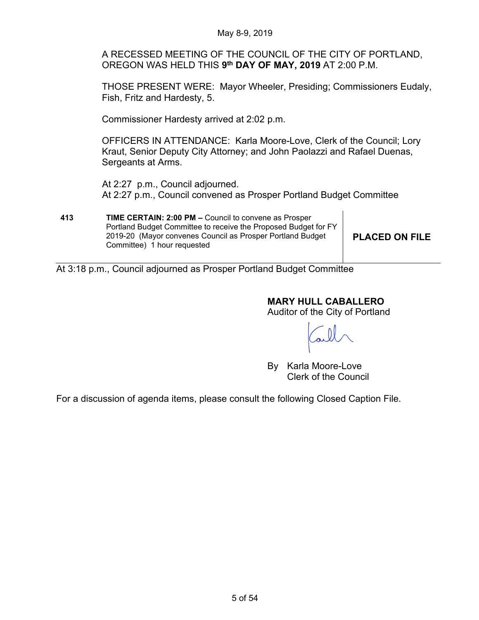A RECESSED MEETING OF THE COUNCIL OF THE CITY OF PORTLAND, OREGON WAS HELD THIS **9th DAY OF MAY, 2019** AT 2:00 P.M.

THOSE PRESENT WERE: Mayor Wheeler, Presiding; Commissioners Eudaly, Fish, Fritz and Hardesty, 5.

Commissioner Hardesty arrived at 2:02 p.m.

OFFICERS IN ATTENDANCE: Karla Moore-Love, Clerk of the Council; Lory Kraut, Senior Deputy City Attorney; and John Paolazzi and Rafael Duenas, Sergeants at Arms.

At 2:27 p.m., Council adjourned. At 2:27 p.m., Council convened as Prosper Portland Budget Committee

**413 TIME CERTAIN: 2:00 PM –** Council to convene as Prosper Portland Budget Committee to receive the Proposed Budget for FY 2019-20 (Mayor convenes Council as Prosper Portland Budget Committee) 1 hour requested

**PLACED ON FILE**

At 3:18 p.m., Council adjourned as Prosper Portland Budget Committee

# **MARY HULL CABALLERO**

Auditor of the City of Portland

By Karla Moore-Love Clerk of the Council

For a discussion of agenda items, please consult the following Closed Caption File.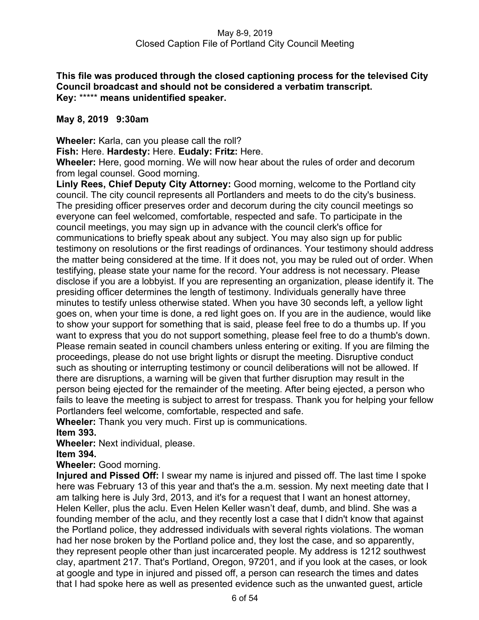# **This file was produced through the closed captioning process for the televised City Council broadcast and should not be considered a verbatim transcript. Key:** \*\*\*\*\* **means unidentified speaker.**

# **May 8, 2019 9:30am**

**Wheeler:** Karla, can you please call the roll?

**Fish:** Here. **Hardesty:** Here. **Eudaly: Fritz:** Here.

**Wheeler:** Here, good morning. We will now hear about the rules of order and decorum from legal counsel. Good morning.

**Linly Rees, Chief Deputy City Attorney:** Good morning, welcome to the Portland city council. The city council represents all Portlanders and meets to do the city's business. The presiding officer preserves order and decorum during the city council meetings so everyone can feel welcomed, comfortable, respected and safe. To participate in the council meetings, you may sign up in advance with the council clerk's office for communications to briefly speak about any subject. You may also sign up for public testimony on resolutions or the first readings of ordinances. Your testimony should address the matter being considered at the time. If it does not, you may be ruled out of order. When testifying, please state your name for the record. Your address is not necessary. Please disclose if you are a lobbyist. If you are representing an organization, please identify it. The presiding officer determines the length of testimony. Individuals generally have three minutes to testify unless otherwise stated. When you have 30 seconds left, a yellow light goes on, when your time is done, a red light goes on. If you are in the audience, would like to show your support for something that is said, please feel free to do a thumbs up. If you want to express that you do not support something, please feel free to do a thumb's down. Please remain seated in council chambers unless entering or exiting. If you are filming the proceedings, please do not use bright lights or disrupt the meeting. Disruptive conduct such as shouting or interrupting testimony or council deliberations will not be allowed. If there are disruptions, a warning will be given that further disruption may result in the person being ejected for the remainder of the meeting. After being ejected, a person who fails to leave the meeting is subject to arrest for trespass. Thank you for helping your fellow Portlanders feel welcome, comfortable, respected and safe.

**Wheeler:** Thank you very much. First up is communications.

**Item 393.**

**Wheeler:** Next individual, please.

**Item 394.**

**Wheeler:** Good morning.

**Injured and Pissed Off:** I swear my name is injured and pissed off. The last time I spoke here was February 13 of this year and that's the a.m. session. My next meeting date that I am talking here is July 3rd, 2013, and it's for a request that I want an honest attorney, Helen Keller, plus the aclu. Even Helen Keller wasn't deaf, dumb, and blind. She was a founding member of the aclu, and they recently lost a case that I didn't know that against the Portland police, they addressed individuals with several rights violations. The woman had her nose broken by the Portland police and, they lost the case, and so apparently, they represent people other than just incarcerated people. My address is 1212 southwest clay, apartment 217. That's Portland, Oregon, 97201, and if you look at the cases, or look at google and type in injured and pissed off, a person can research the times and dates that I had spoke here as well as presented evidence such as the unwanted guest, article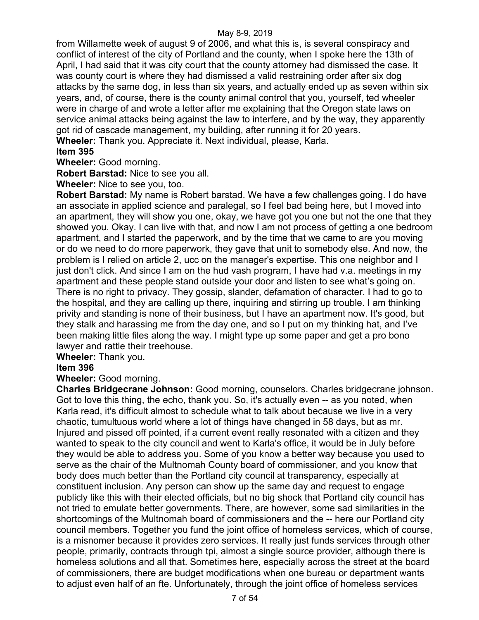from Willamette week of august 9 of 2006, and what this is, is several conspiracy and conflict of interest of the city of Portland and the county, when I spoke here the 13th of April, I had said that it was city court that the county attorney had dismissed the case. It was county court is where they had dismissed a valid restraining order after six dog attacks by the same dog, in less than six years, and actually ended up as seven within six years, and, of course, there is the county animal control that you, yourself, ted wheeler were in charge of and wrote a letter after me explaining that the Oregon state laws on service animal attacks being against the law to interfere, and by the way, they apparently got rid of cascade management, my building, after running it for 20 years. **Wheeler:** Thank you. Appreciate it. Next individual, please, Karla.

# **Item 395**

**Wheeler:** Good morning.

**Robert Barstad:** Nice to see you all.

**Wheeler:** Nice to see you, too.

**Robert Barstad:** My name is Robert barstad. We have a few challenges going. I do have an associate in applied science and paralegal, so I feel bad being here, but I moved into an apartment, they will show you one, okay, we have got you one but not the one that they showed you. Okay. I can live with that, and now I am not process of getting a one bedroom apartment, and I started the paperwork, and by the time that we came to are you moving or do we need to do more paperwork, they gave that unit to somebody else. And now, the problem is I relied on article 2, ucc on the manager's expertise. This one neighbor and I just don't click. And since I am on the hud vash program, I have had v.a. meetings in my apartment and these people stand outside your door and listen to see what's going on. There is no right to privacy. They gossip, slander, defamation of character. I had to go to the hospital, and they are calling up there, inquiring and stirring up trouble. I am thinking privity and standing is none of their business, but I have an apartment now. It's good, but they stalk and harassing me from the day one, and so I put on my thinking hat, and I've been making little files along the way. I might type up some paper and get a pro bono lawyer and rattle their treehouse.

**Wheeler:** Thank you.

## **Item 396**

**Wheeler:** Good morning.

**Charles Bridgecrane Johnson:** Good morning, counselors. Charles bridgecrane johnson. Got to love this thing, the echo, thank you. So, it's actually even -- as you noted, when Karla read, it's difficult almost to schedule what to talk about because we live in a very chaotic, tumultuous world where a lot of things have changed in 58 days, but as mr. Injured and pissed off pointed, if a current event really resonated with a citizen and they wanted to speak to the city council and went to Karla's office, it would be in July before they would be able to address you. Some of you know a better way because you used to serve as the chair of the Multnomah County board of commissioner, and you know that body does much better than the Portland city council at transparency, especially at constituent inclusion. Any person can show up the same day and request to engage publicly like this with their elected officials, but no big shock that Portland city council has not tried to emulate better governments. There, are however, some sad similarities in the shortcomings of the Multnomah board of commissioners and the -- here our Portland city council members. Together you fund the joint office of homeless services, which of course, is a misnomer because it provides zero services. It really just funds services through other people, primarily, contracts through tpi, almost a single source provider, although there is homeless solutions and all that. Sometimes here, especially across the street at the board of commissioners, there are budget modifications when one bureau or department wants to adjust even half of an fte. Unfortunately, through the joint office of homeless services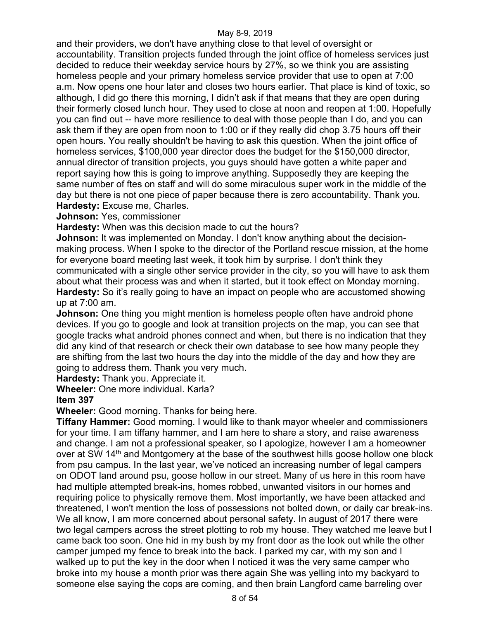and their providers, we don't have anything close to that level of oversight or accountability. Transition projects funded through the joint office of homeless services just decided to reduce their weekday service hours by 27%, so we think you are assisting homeless people and your primary homeless service provider that use to open at 7:00 a.m. Now opens one hour later and closes two hours earlier. That place is kind of toxic, so although, I did go there this morning, I didn't ask if that means that they are open during their formerly closed lunch hour. They used to close at noon and reopen at 1:00. Hopefully you can find out -- have more resilience to deal with those people than I do, and you can ask them if they are open from noon to 1:00 or if they really did chop 3.75 hours off their open hours. You really shouldn't be having to ask this question. When the joint office of homeless services, \$100,000 year director does the budget for the \$150,000 director, annual director of transition projects, you guys should have gotten a white paper and report saying how this is going to improve anything. Supposedly they are keeping the same number of ftes on staff and will do some miraculous super work in the middle of the day but there is not one piece of paper because there is zero accountability. Thank you. **Hardesty:** Excuse me, Charles.

**Johnson:** Yes, commissioner

**Hardesty:** When was this decision made to cut the hours?

**Johnson:** It was implemented on Monday. I don't know anything about the decisionmaking process. When I spoke to the director of the Portland rescue mission, at the home for everyone board meeting last week, it took him by surprise. I don't think they communicated with a single other service provider in the city, so you will have to ask them about what their process was and when it started, but it took effect on Monday morning. **Hardesty:** So it's really going to have an impact on people who are accustomed showing up at 7:00 am.

**Johnson:** One thing you might mention is homeless people often have android phone devices. If you go to google and look at transition projects on the map, you can see that google tracks what android phones connect and when, but there is no indication that they did any kind of that research or check their own database to see how many people they are shifting from the last two hours the day into the middle of the day and how they are going to address them. Thank you very much.

**Hardesty:** Thank you. Appreciate it.

**Wheeler:** One more individual. Karla?

## **Item 397**

**Wheeler:** Good morning. Thanks for being here.

**Tiffany Hammer:** Good morning. I would like to thank mayor wheeler and commissioners for your time. I am tiffany hammer, and I am here to share a story, and raise awareness and change. I am not a professional speaker, so I apologize, however I am a homeowner over at SW 14<sup>th</sup> and Montgomery at the base of the southwest hills goose hollow one block from psu campus. In the last year, we've noticed an increasing number of legal campers on ODOT land around psu, goose hollow in our street. Many of us here in this room have had multiple attempted break-ins, homes robbed, unwanted visitors in our homes and requiring police to physically remove them. Most importantly, we have been attacked and threatened, I won't mention the loss of possessions not bolted down, or daily car break-ins. We all know, I am more concerned about personal safety. In august of 2017 there were two legal campers across the street plotting to rob my house. They watched me leave but I came back too soon. One hid in my bush by my front door as the look out while the other camper jumped my fence to break into the back. I parked my car, with my son and I walked up to put the key in the door when I noticed it was the very same camper who broke into my house a month prior was there again She was yelling into my backyard to someone else saying the cops are coming, and then brain Langford came barreling over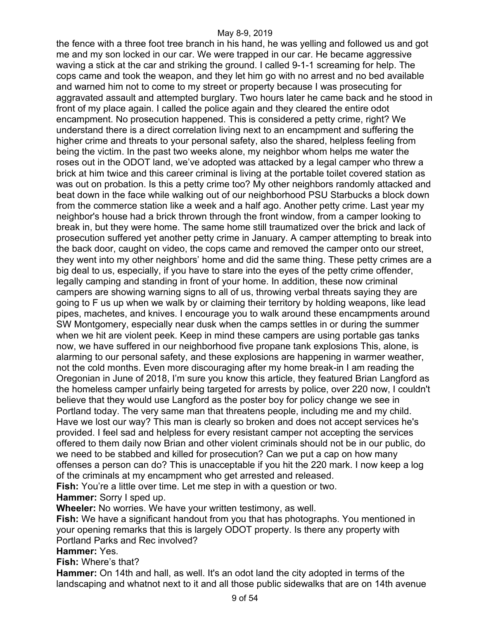the fence with a three foot tree branch in his hand, he was yelling and followed us and got me and my son locked in our car. We were trapped in our car. He became aggressive waving a stick at the car and striking the ground. I called 9-1-1 screaming for help. The cops came and took the weapon, and they let him go with no arrest and no bed available and warned him not to come to my street or property because I was prosecuting for aggravated assault and attempted burglary. Two hours later he came back and he stood in front of my place again. I called the police again and they cleared the entire odot encampment. No prosecution happened. This is considered a petty crime, right? We understand there is a direct correlation living next to an encampment and suffering the higher crime and threats to your personal safety, also the shared, helpless feeling from being the victim. In the past two weeks alone, my neighbor whom helps me water the roses out in the ODOT land, we've adopted was attacked by a legal camper who threw a brick at him twice and this career criminal is living at the portable toilet covered station as was out on probation. Is this a petty crime too? My other neighbors randomly attacked and beat down in the face while walking out of our neighborhood PSU Starbucks a block down from the commerce station like a week and a half ago. Another petty crime. Last year my neighbor's house had a brick thrown through the front window, from a camper looking to break in, but they were home. The same home still traumatized over the brick and lack of prosecution suffered yet another petty crime in January. A camper attempting to break into the back door, caught on video, the cops came and removed the camper onto our street, they went into my other neighbors' home and did the same thing. These petty crimes are a big deal to us, especially, if you have to stare into the eyes of the petty crime offender, legally camping and standing in front of your home. In addition, these now criminal campers are showing warning signs to all of us, throwing verbal threats saying they are going to F us up when we walk by or claiming their territory by holding weapons, like lead pipes, machetes, and knives. I encourage you to walk around these encampments around SW Montgomery, especially near dusk when the camps settles in or during the summer when we hit are violent peek. Keep in mind these campers are using portable gas tanks now, we have suffered in our neighborhood five propane tank explosions This, alone, is alarming to our personal safety, and these explosions are happening in warmer weather, not the cold months. Even more discouraging after my home break-in I am reading the Oregonian in June of 2018, I'm sure you know this article, they featured Brian Langford as the homeless camper unfairly being targeted for arrests by police, over 220 now, I couldn't believe that they would use Langford as the poster boy for policy change we see in Portland today. The very same man that threatens people, including me and my child. Have we lost our way? This man is clearly so broken and does not accept services he's provided. I feel sad and helpless for every resistant camper not accepting the services offered to them daily now Brian and other violent criminals should not be in our public, do we need to be stabbed and killed for prosecution? Can we put a cap on how many offenses a person can do? This is unacceptable if you hit the 220 mark. I now keep a log of the criminals at my encampment who get arrested and released. Fish: You're a little over time. Let me step in with a question or two.

**Hammer:** Sorry I sped up.

**Wheeler:** No worries. We have your written testimony, as well.

**Fish:** We have a significant handout from you that has photographs. You mentioned in your opening remarks that this is largely ODOT property. Is there any property with Portland Parks and Rec involved?

**Hammer:** Yes.

**Fish:** Where's that?

**Hammer:** On 14th and hall, as well. It's an odot land the city adopted in terms of the landscaping and whatnot next to it and all those public sidewalks that are on 14th avenue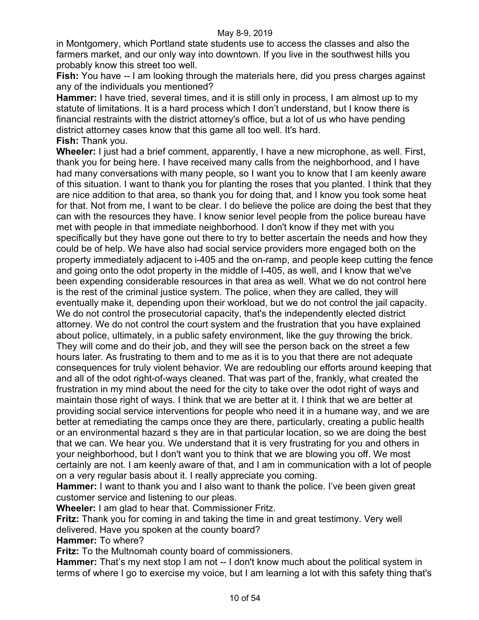in Montgomery, which Portland state students use to access the classes and also the farmers market, and our only way into downtown. If you live in the southwest hills you probably know this street too well.

**Fish:** You have -- I am looking through the materials here, did you press charges against any of the individuals you mentioned?

**Hammer:** I have tried, several times, and it is still only in process, I am almost up to my statute of limitations. It is a hard process which I don't understand, but I know there is financial restraints with the district attorney's office, but a lot of us who have pending district attorney cases know that this game all too well. It's hard. **Fish:** Thank you.

**Wheeler:** I just had a brief comment, apparently, I have a new microphone, as well. First, thank you for being here. I have received many calls from the neighborhood, and I have had many conversations with many people, so I want you to know that I am keenly aware of this situation. I want to thank you for planting the roses that you planted. I think that they are nice addition to that area, so thank you for doing that, and I know you took some heat for that. Not from me, I want to be clear. I do believe the police are doing the best that they can with the resources they have. I know senior level people from the police bureau have met with people in that immediate neighborhood. I don't know if they met with you specifically but they have gone out there to try to better ascertain the needs and how they could be of help. We have also had social service providers more engaged both on the property immediately adjacent to i-405 and the on-ramp, and people keep cutting the fence and going onto the odot property in the middle of I-405, as well, and I know that we've been expending considerable resources in that area as well. What we do not control here is the rest of the criminal justice system. The police, when they are called, they will eventually make it, depending upon their workload, but we do not control the jail capacity. We do not control the prosecutorial capacity, that's the independently elected district attorney. We do not control the court system and the frustration that you have explained about police, ultimately, in a public safety environment, like the guy throwing the brick. They will come and do their job, and they will see the person back on the street a few hours later. As frustrating to them and to me as it is to you that there are not adequate consequences for truly violent behavior. We are redoubling our efforts around keeping that and all of the odot right-of-ways cleaned. That was part of the, frankly, what created the frustration in my mind about the need for the city to take over the odot right of ways and maintain those right of ways. I think that we are better at it. I think that we are better at providing social service interventions for people who need it in a humane way, and we are better at remediating the camps once they are there, particularly, creating a public health or an environmental hazard s they are in that particular location, so we are doing the best that we can. We hear you. We understand that it is very frustrating for you and others in your neighborhood, but I don't want you to think that we are blowing you off. We most certainly are not. I am keenly aware of that, and I am in communication with a lot of people on a very regular basis about it. I really appreciate you coming.

**Hammer:** I want to thank you and I also want to thank the police. I've been given great customer service and listening to our pleas.

**Wheeler:** I am glad to hear that. Commissioner Fritz.

**Fritz:** Thank you for coming in and taking the time in and great testimony. Very well delivered. Have you spoken at the county board?

**Hammer:** To where?

**Fritz:** To the Multnomah county board of commissioners.

Hammer: That's my next stop I am not -- I don't know much about the political system in terms of where I go to exercise my voice, but I am learning a lot with this safety thing that's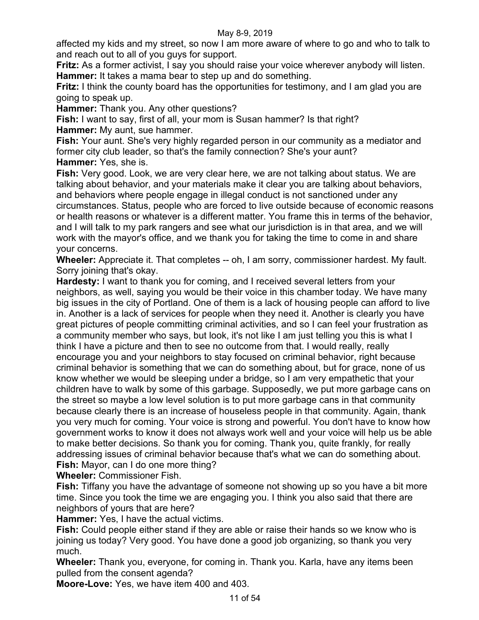affected my kids and my street, so now I am more aware of where to go and who to talk to and reach out to all of you guys for support.

**Fritz:** As a former activist, I say you should raise your voice wherever anybody will listen. **Hammer:** It takes a mama bear to step up and do something.

**Fritz:** I think the county board has the opportunities for testimony, and I am glad you are going to speak up.

**Hammer:** Thank you. Any other questions?

**Fish:** I want to say, first of all, your mom is Susan hammer? Is that right? **Hammer:** My aunt, sue hammer.

**Fish:** Your aunt. She's very highly regarded person in our community as a mediator and former city club leader, so that's the family connection? She's your aunt? **Hammer:** Yes, she is.

**Fish:** Very good. Look, we are very clear here, we are not talking about status. We are talking about behavior, and your materials make it clear you are talking about behaviors, and behaviors where people engage in illegal conduct is not sanctioned under any circumstances. Status, people who are forced to live outside because of economic reasons or health reasons or whatever is a different matter. You frame this in terms of the behavior, and I will talk to my park rangers and see what our jurisdiction is in that area, and we will work with the mayor's office, and we thank you for taking the time to come in and share your concerns.

**Wheeler:** Appreciate it. That completes -- oh, I am sorry, commissioner hardest. My fault. Sorry joining that's okay.

**Hardesty:** I want to thank you for coming, and I received several letters from your neighbors, as well, saying you would be their voice in this chamber today. We have many big issues in the city of Portland. One of them is a lack of housing people can afford to live in. Another is a lack of services for people when they need it. Another is clearly you have great pictures of people committing criminal activities, and so I can feel your frustration as a community member who says, but look, it's not like I am just telling you this is what I think I have a picture and then to see no outcome from that. I would really, really encourage you and your neighbors to stay focused on criminal behavior, right because criminal behavior is something that we can do something about, but for grace, none of us know whether we would be sleeping under a bridge, so I am very empathetic that your children have to walk by some of this garbage. Supposedly, we put more garbage cans on the street so maybe a low level solution is to put more garbage cans in that community because clearly there is an increase of houseless people in that community. Again, thank you very much for coming. Your voice is strong and powerful. You don't have to know how government works to know it does not always work well and your voice will help us be able to make better decisions. So thank you for coming. Thank you, quite frankly, for really addressing issues of criminal behavior because that's what we can do something about. **Fish:** Mayor, can I do one more thing?

**Wheeler:** Commissioner Fish.

**Fish:** Tiffany you have the advantage of someone not showing up so you have a bit more time. Since you took the time we are engaging you. I think you also said that there are neighbors of yours that are here?

**Hammer:** Yes, I have the actual victims.

**Fish:** Could people either stand if they are able or raise their hands so we know who is joining us today? Very good. You have done a good job organizing, so thank you very much.

**Wheeler:** Thank you, everyone, for coming in. Thank you. Karla, have any items been pulled from the consent agenda?

**Moore-Love:** Yes, we have item 400 and 403.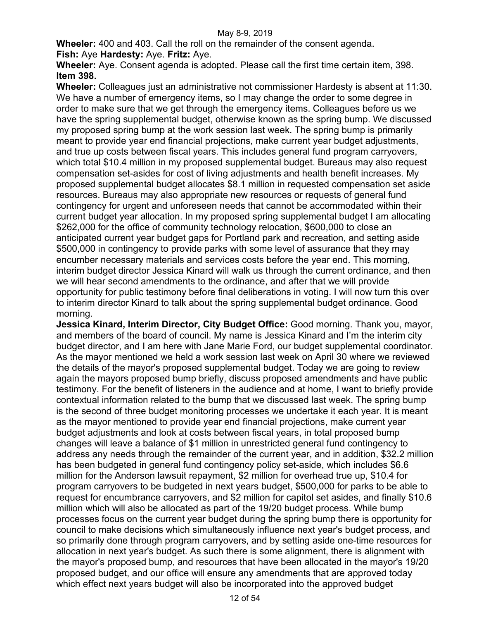**Wheeler:** 400 and 403. Call the roll on the remainder of the consent agenda. **Fish:** Aye **Hardesty:** Aye. **Fritz:** Aye.

**Wheeler:** Aye. Consent agenda is adopted. Please call the first time certain item, 398. **Item 398.**

**Wheeler:** Colleagues just an administrative not commissioner Hardesty is absent at 11:30. We have a number of emergency items, so I may change the order to some degree in order to make sure that we get through the emergency items. Colleagues before us we have the spring supplemental budget, otherwise known as the spring bump. We discussed my proposed spring bump at the work session last week. The spring bump is primarily meant to provide year end financial projections, make current year budget adjustments, and true up costs between fiscal years. This includes general fund program carryovers, which total \$10.4 million in my proposed supplemental budget. Bureaus may also request compensation set-asides for cost of living adjustments and health benefit increases. My proposed supplemental budget allocates \$8.1 million in requested compensation set aside resources. Bureaus may also appropriate new resources or requests of general fund contingency for urgent and unforeseen needs that cannot be accommodated within their current budget year allocation. In my proposed spring supplemental budget I am allocating \$262,000 for the office of community technology relocation, \$600,000 to close an anticipated current year budget gaps for Portland park and recreation, and setting aside \$500,000 in contingency to provide parks with some level of assurance that they may encumber necessary materials and services costs before the year end. This morning, interim budget director Jessica Kinard will walk us through the current ordinance, and then we will hear second amendments to the ordinance, and after that we will provide opportunity for public testimony before final deliberations in voting. I will now turn this over to interim director Kinard to talk about the spring supplemental budget ordinance. Good morning.

**Jessica Kinard, Interim Director, City Budget Office:** Good morning. Thank you, mayor, and members of the board of council. My name is Jessica Kinard and I'm the interim city budget director, and I am here with Jane Marie Ford, our budget supplemental coordinator. As the mayor mentioned we held a work session last week on April 30 where we reviewed the details of the mayor's proposed supplemental budget. Today we are going to review again the mayors proposed bump briefly, discuss proposed amendments and have public testimony. For the benefit of listeners in the audience and at home, I want to briefly provide contextual information related to the bump that we discussed last week. The spring bump is the second of three budget monitoring processes we undertake it each year. It is meant as the mayor mentioned to provide year end financial projections, make current year budget adjustments and look at costs between fiscal years, in total proposed bump changes will leave a balance of \$1 million in unrestricted general fund contingency to address any needs through the remainder of the current year, and in addition, \$32.2 million has been budgeted in general fund contingency policy set-aside, which includes \$6.6 million for the Anderson lawsuit repayment, \$2 million for overhead true up, \$10.4 for program carryovers to be budgeted in next years budget, \$500,000 for parks to be able to request for encumbrance carryovers, and \$2 million for capitol set asides, and finally \$10.6 million which will also be allocated as part of the 19/20 budget process. While bump processes focus on the current year budget during the spring bump there is opportunity for council to make decisions which simultaneously influence next year's budget process, and so primarily done through program carryovers, and by setting aside one-time resources for allocation in next year's budget. As such there is some alignment, there is alignment with the mayor's proposed bump, and resources that have been allocated in the mayor's 19/20 proposed budget, and our office will ensure any amendments that are approved today which effect next years budget will also be incorporated into the approved budget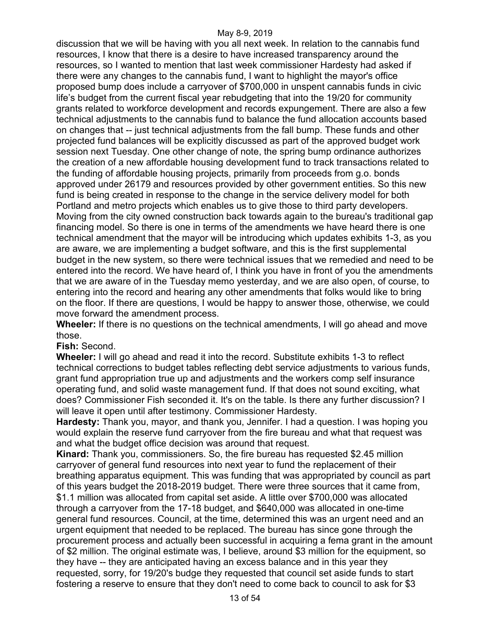discussion that we will be having with you all next week. In relation to the cannabis fund resources, I know that there is a desire to have increased transparency around the resources, so I wanted to mention that last week commissioner Hardesty had asked if there were any changes to the cannabis fund, I want to highlight the mayor's office proposed bump does include a carryover of \$700,000 in unspent cannabis funds in civic life's budget from the current fiscal year rebudgeting that into the 19/20 for community grants related to workforce development and records expungement. There are also a few technical adjustments to the cannabis fund to balance the fund allocation accounts based on changes that -- just technical adjustments from the fall bump. These funds and other projected fund balances will be explicitly discussed as part of the approved budget work session next Tuesday. One other change of note, the spring bump ordinance authorizes the creation of a new affordable housing development fund to track transactions related to the funding of affordable housing projects, primarily from proceeds from g.o. bonds approved under 26179 and resources provided by other government entities. So this new fund is being created in response to the change in the service delivery model for both Portland and metro projects which enables us to give those to third party developers. Moving from the city owned construction back towards again to the bureau's traditional gap financing model. So there is one in terms of the amendments we have heard there is one technical amendment that the mayor will be introducing which updates exhibits 1-3, as you are aware, we are implementing a budget software, and this is the first supplemental budget in the new system, so there were technical issues that we remedied and need to be entered into the record. We have heard of, I think you have in front of you the amendments that we are aware of in the Tuesday memo yesterday, and we are also open, of course, to entering into the record and hearing any other amendments that folks would like to bring on the floor. If there are questions, I would be happy to answer those, otherwise, we could move forward the amendment process.

**Wheeler:** If there is no questions on the technical amendments, I will go ahead and move those.

## **Fish:** Second.

**Wheeler:** I will go ahead and read it into the record. Substitute exhibits 1-3 to reflect technical corrections to budget tables reflecting debt service adjustments to various funds, grant fund appropriation true up and adjustments and the workers comp self insurance operating fund, and solid waste management fund. If that does not sound exciting, what does? Commissioner Fish seconded it. It's on the table. Is there any further discussion? I will leave it open until after testimony. Commissioner Hardesty.

**Hardesty:** Thank you, mayor, and thank you, Jennifer. I had a question. I was hoping you would explain the reserve fund carryover from the fire bureau and what that request was and what the budget office decision was around that request.

**Kinard:** Thank you, commissioners. So, the fire bureau has requested \$2.45 million carryover of general fund resources into next year to fund the replacement of their breathing apparatus equipment. This was funding that was appropriated by council as part of this years budget the 2018-2019 budget. There were three sources that it came from, \$1.1 million was allocated from capital set aside. A little over \$700,000 was allocated through a carryover from the 17-18 budget, and \$640,000 was allocated in one-time general fund resources. Council, at the time, determined this was an urgent need and an urgent equipment that needed to be replaced. The bureau has since gone through the procurement process and actually been successful in acquiring a fema grant in the amount of \$2 million. The original estimate was, I believe, around \$3 million for the equipment, so they have -- they are anticipated having an excess balance and in this year they requested, sorry, for 19/20's budge they requested that council set aside funds to start fostering a reserve to ensure that they don't need to come back to council to ask for \$3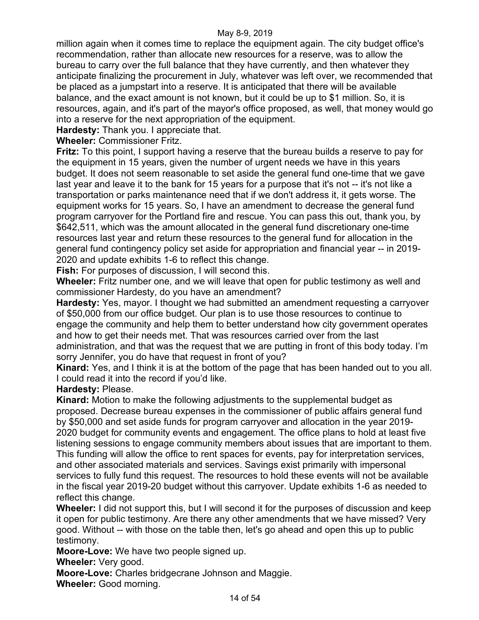million again when it comes time to replace the equipment again. The city budget office's recommendation, rather than allocate new resources for a reserve, was to allow the bureau to carry over the full balance that they have currently, and then whatever they anticipate finalizing the procurement in July, whatever was left over, we recommended that be placed as a jumpstart into a reserve. It is anticipated that there will be available balance, and the exact amount is not known, but it could be up to \$1 million. So, it is resources, again, and it's part of the mayor's office proposed, as well, that money would go into a reserve for the next appropriation of the equipment.

**Hardesty:** Thank you. I appreciate that.

**Wheeler:** Commissioner Fritz.

**Fritz:** To this point, I support having a reserve that the bureau builds a reserve to pay for the equipment in 15 years, given the number of urgent needs we have in this years budget. It does not seem reasonable to set aside the general fund one-time that we gave last year and leave it to the bank for 15 years for a purpose that it's not -- it's not like a transportation or parks maintenance need that if we don't address it, it gets worse. The equipment works for 15 years. So, I have an amendment to decrease the general fund program carryover for the Portland fire and rescue. You can pass this out, thank you, by \$642,511, which was the amount allocated in the general fund discretionary one-time resources last year and return these resources to the general fund for allocation in the general fund contingency policy set aside for appropriation and financial year -- in 2019- 2020 and update exhibits 1-6 to reflect this change.

**Fish:** For purposes of discussion, I will second this.

**Wheeler:** Fritz number one, and we will leave that open for public testimony as well and commissioner Hardesty, do you have an amendment?

**Hardesty:** Yes, mayor. I thought we had submitted an amendment requesting a carryover of \$50,000 from our office budget. Our plan is to use those resources to continue to engage the community and help them to better understand how city government operates and how to get their needs met. That was resources carried over from the last administration, and that was the request that we are putting in front of this body today. I'm sorry Jennifer, you do have that request in front of you?

**Kinard:** Yes, and I think it is at the bottom of the page that has been handed out to you all. I could read it into the record if you'd like.

# **Hardesty:** Please.

**Kinard:** Motion to make the following adjustments to the supplemental budget as proposed. Decrease bureau expenses in the commissioner of public affairs general fund by \$50,000 and set aside funds for program carryover and allocation in the year 2019- 2020 budget for community events and engagement. The office plans to hold at least five listening sessions to engage community members about issues that are important to them. This funding will allow the office to rent spaces for events, pay for interpretation services, and other associated materials and services. Savings exist primarily with impersonal services to fully fund this request. The resources to hold these events will not be available in the fiscal year 2019-20 budget without this carryover. Update exhibits 1-6 as needed to reflect this change.

**Wheeler:** I did not support this, but I will second it for the purposes of discussion and keep it open for public testimony. Are there any other amendments that we have missed? Very good. Without -- with those on the table then, let's go ahead and open this up to public testimony.

**Moore-Love:** We have two people signed up.

**Wheeler:** Very good.

**Moore-Love:** Charles bridgecrane Johnson and Maggie.

**Wheeler:** Good morning.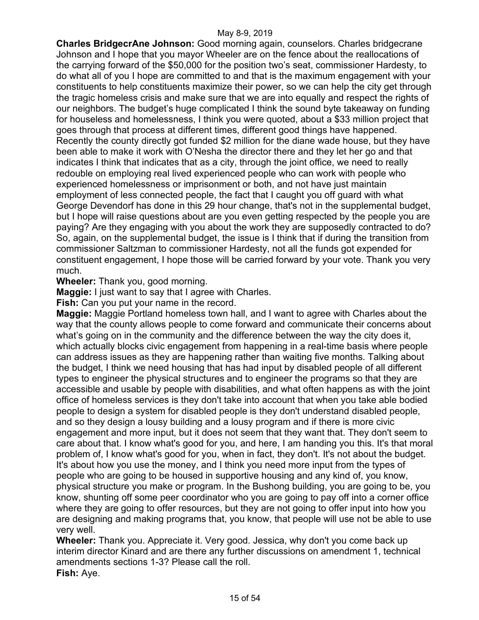**Charles BridgecrAne Johnson:** Good morning again, counselors. Charles bridgecrane Johnson and I hope that you mayor Wheeler are on the fence about the reallocations of the carrying forward of the \$50,000 for the position two's seat, commissioner Hardesty, to do what all of you I hope are committed to and that is the maximum engagement with your constituents to help constituents maximize their power, so we can help the city get through the tragic homeless crisis and make sure that we are into equally and respect the rights of our neighbors. The budget's huge complicated I think the sound byte takeaway on funding for houseless and homelessness, I think you were quoted, about a \$33 million project that goes through that process at different times, different good things have happened. Recently the county directly got funded \$2 million for the diane wade house, but they have been able to make it work with O'Nesha the director there and they let her go and that indicates I think that indicates that as a city, through the joint office, we need to really redouble on employing real lived experienced people who can work with people who experienced homelessness or imprisonment or both, and not have just maintain employment of less connected people, the fact that I caught you off guard with what George Devendorf has done in this 29 hour change, that's not in the supplemental budget, but I hope will raise questions about are you even getting respected by the people you are paying? Are they engaging with you about the work they are supposedly contracted to do? So, again, on the supplemental budget, the issue is I think that if during the transition from commissioner Saltzman to commissioner Hardesty, not all the funds got expended for constituent engagement, I hope those will be carried forward by your vote. Thank you very much.

**Wheeler:** Thank you, good morning.

**Maggie:** I just want to say that I agree with Charles.

**Fish:** Can you put your name in the record.

**Maggie:** Maggie Portland homeless town hall, and I want to agree with Charles about the way that the county allows people to come forward and communicate their concerns about what's going on in the community and the difference between the way the city does it, which actually blocks civic engagement from happening in a real-time basis where people can address issues as they are happening rather than waiting five months. Talking about the budget, I think we need housing that has had input by disabled people of all different types to engineer the physical structures and to engineer the programs so that they are accessible and usable by people with disabilities, and what often happens as with the joint office of homeless services is they don't take into account that when you take able bodied people to design a system for disabled people is they don't understand disabled people, and so they design a lousy building and a lousy program and if there is more civic engagement and more input, but it does not seem that they want that. They don't seem to care about that. I know what's good for you, and here, I am handing you this. It's that moral problem of, I know what's good for you, when in fact, they don't. It's not about the budget. It's about how you use the money, and I think you need more input from the types of people who are going to be housed in supportive housing and any kind of, you know, physical structure you make or program. In the Bushong building, you are going to be, you know, shunting off some peer coordinator who you are going to pay off into a corner office where they are going to offer resources, but they are not going to offer input into how you are designing and making programs that, you know, that people will use not be able to use very well.

**Wheeler:** Thank you. Appreciate it. Very good. Jessica, why don't you come back up interim director Kinard and are there any further discussions on amendment 1, technical amendments sections 1-3? Please call the roll. **Fish:** Aye.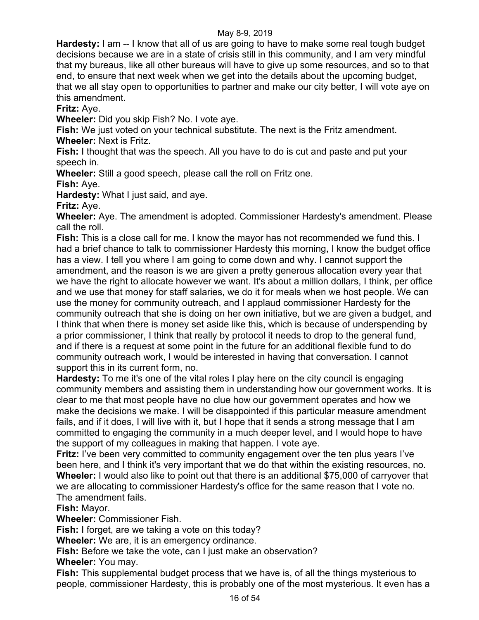**Hardesty:** I am -- I know that all of us are going to have to make some real tough budget decisions because we are in a state of crisis still in this community, and I am very mindful that my bureaus, like all other bureaus will have to give up some resources, and so to that end, to ensure that next week when we get into the details about the upcoming budget, that we all stay open to opportunities to partner and make our city better, I will vote aye on this amendment.

**Fritz:** Aye.

**Wheeler:** Did you skip Fish? No. I vote aye.

**Fish:** We just voted on your technical substitute. The next is the Fritz amendment. **Wheeler:** Next is Fritz.

**Fish:** I thought that was the speech. All you have to do is cut and paste and put your speech in.

**Wheeler:** Still a good speech, please call the roll on Fritz one.

**Fish:** Aye.

**Hardesty:** What I just said, and aye.

**Fritz:** Aye.

**Wheeler:** Aye. The amendment is adopted. Commissioner Hardesty's amendment. Please call the roll.

**Fish:** This is a close call for me. I know the mayor has not recommended we fund this. I had a brief chance to talk to commissioner Hardesty this morning, I know the budget office has a view. I tell you where I am going to come down and why. I cannot support the amendment, and the reason is we are given a pretty generous allocation every year that we have the right to allocate however we want. It's about a million dollars, I think, per office and we use that money for staff salaries, we do it for meals when we host people. We can use the money for community outreach, and I applaud commissioner Hardesty for the community outreach that she is doing on her own initiative, but we are given a budget, and I think that when there is money set aside like this, which is because of underspending by a prior commissioner, I think that really by protocol it needs to drop to the general fund, and if there is a request at some point in the future for an additional flexible fund to do community outreach work, I would be interested in having that conversation. I cannot support this in its current form, no.

**Hardesty:** To me it's one of the vital roles I play here on the city council is engaging community members and assisting them in understanding how our government works. It is clear to me that most people have no clue how our government operates and how we make the decisions we make. I will be disappointed if this particular measure amendment fails, and if it does, I will live with it, but I hope that it sends a strong message that I am committed to engaging the community in a much deeper level, and I would hope to have the support of my colleagues in making that happen. I vote aye.

**Fritz:** I've been very committed to community engagement over the ten plus years I've been here, and I think it's very important that we do that within the existing resources, no. **Wheeler:** I would also like to point out that there is an additional \$75,000 of carryover that we are allocating to commissioner Hardesty's office for the same reason that I vote no. The amendment fails.

**Fish:** Mayor.

**Wheeler:** Commissioner Fish.

**Fish:** I forget, are we taking a vote on this today?

**Wheeler:** We are, it is an emergency ordinance.

**Fish:** Before we take the vote, can I just make an observation? **Wheeler:** You may.

**Fish:** This supplemental budget process that we have is, of all the things mysterious to people, commissioner Hardesty, this is probably one of the most mysterious. It even has a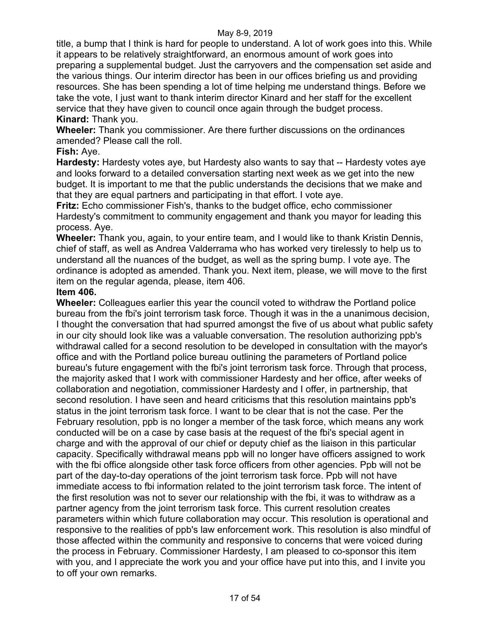title, a bump that I think is hard for people to understand. A lot of work goes into this. While it appears to be relatively straightforward, an enormous amount of work goes into preparing a supplemental budget. Just the carryovers and the compensation set aside and the various things. Our interim director has been in our offices briefing us and providing resources. She has been spending a lot of time helping me understand things. Before we take the vote, I just want to thank interim director Kinard and her staff for the excellent service that they have given to council once again through the budget process. **Kinard:** Thank you.

**Wheeler:** Thank you commissioner. Are there further discussions on the ordinances amended? Please call the roll.

# **Fish:** Aye.

**Hardesty:** Hardesty votes aye, but Hardesty also wants to say that -- Hardesty votes aye and looks forward to a detailed conversation starting next week as we get into the new budget. It is important to me that the public understands the decisions that we make and that they are equal partners and participating in that effort. I vote aye.

**Fritz:** Echo commissioner Fish's, thanks to the budget office, echo commissioner Hardesty's commitment to community engagement and thank you mayor for leading this process. Aye.

**Wheeler:** Thank you, again, to your entire team, and I would like to thank Kristin Dennis, chief of staff, as well as Andrea Valderrama who has worked very tirelessly to help us to understand all the nuances of the budget, as well as the spring bump. I vote aye. The ordinance is adopted as amended. Thank you. Next item, please, we will move to the first item on the regular agenda, please, item 406.

## **Item 406.**

**Wheeler:** Colleagues earlier this year the council voted to withdraw the Portland police bureau from the fbi's joint terrorism task force. Though it was in the a unanimous decision, I thought the conversation that had spurred amongst the five of us about what public safety in our city should look like was a valuable conversation. The resolution authorizing ppb's withdrawal called for a second resolution to be developed in consultation with the mayor's office and with the Portland police bureau outlining the parameters of Portland police bureau's future engagement with the fbi's joint terrorism task force. Through that process, the majority asked that I work with commissioner Hardesty and her office, after weeks of collaboration and negotiation, commissioner Hardesty and I offer, in partnership, that second resolution. I have seen and heard criticisms that this resolution maintains ppb's status in the joint terrorism task force. I want to be clear that is not the case. Per the February resolution, ppb is no longer a member of the task force, which means any work conducted will be on a case by case basis at the request of the fbi's special agent in charge and with the approval of our chief or deputy chief as the liaison in this particular capacity. Specifically withdrawal means ppb will no longer have officers assigned to work with the fbi office alongside other task force officers from other agencies. Ppb will not be part of the day-to-day operations of the joint terrorism task force. Ppb will not have immediate access to fbi information related to the joint terrorism task force. The intent of the first resolution was not to sever our relationship with the fbi, it was to withdraw as a partner agency from the joint terrorism task force. This current resolution creates parameters within which future collaboration may occur. This resolution is operational and responsive to the realities of ppb's law enforcement work. This resolution is also mindful of those affected within the community and responsive to concerns that were voiced during the process in February. Commissioner Hardesty, I am pleased to co-sponsor this item with you, and I appreciate the work you and your office have put into this, and I invite you to off your own remarks.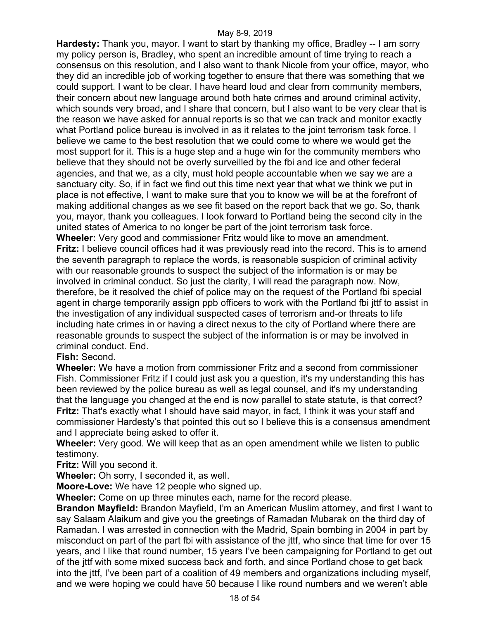**Hardesty:** Thank you, mayor. I want to start by thanking my office, Bradley -- I am sorry my policy person is, Bradley, who spent an incredible amount of time trying to reach a consensus on this resolution, and I also want to thank Nicole from your office, mayor, who they did an incredible job of working together to ensure that there was something that we could support. I want to be clear. I have heard loud and clear from community members, their concern about new language around both hate crimes and around criminal activity, which sounds very broad, and I share that concern, but I also want to be very clear that is the reason we have asked for annual reports is so that we can track and monitor exactly what Portland police bureau is involved in as it relates to the joint terrorism task force. I believe we came to the best resolution that we could come to where we would get the most support for it. This is a huge step and a huge win for the community members who believe that they should not be overly surveilled by the fbi and ice and other federal agencies, and that we, as a city, must hold people accountable when we say we are a sanctuary city. So, if in fact we find out this time next year that what we think we put in place is not effective, I want to make sure that you to know we will be at the forefront of making additional changes as we see fit based on the report back that we go. So, thank you, mayor, thank you colleagues. I look forward to Portland being the second city in the united states of America to no longer be part of the joint terrorism task force. **Wheeler:** Very good and commissioner Fritz would like to move an amendment. **Fritz:** I believe council offices had it was previously read into the record. This is to amend

the seventh paragraph to replace the words, is reasonable suspicion of criminal activity with our reasonable grounds to suspect the subject of the information is or may be involved in criminal conduct. So just the clarity, I will read the paragraph now. Now, therefore, be it resolved the chief of police may on the request of the Portland fbi special agent in charge temporarily assign ppb officers to work with the Portland fbi jttf to assist in the investigation of any individual suspected cases of terrorism and-or threats to life including hate crimes in or having a direct nexus to the city of Portland where there are reasonable grounds to suspect the subject of the information is or may be involved in criminal conduct. End.

# **Fish:** Second.

**Wheeler:** We have a motion from commissioner Fritz and a second from commissioner Fish. Commissioner Fritz if I could just ask you a question, it's my understanding this has been reviewed by the police bureau as well as legal counsel, and it's my understanding that the language you changed at the end is now parallel to state statute, is that correct? **Fritz:** That's exactly what I should have said mayor, in fact, I think it was your staff and commissioner Hardesty's that pointed this out so I believe this is a consensus amendment and I appreciate being asked to offer it.

**Wheeler:** Very good. We will keep that as an open amendment while we listen to public testimony.

**Fritz:** Will you second it.

**Wheeler:** Oh sorry, I seconded it, as well.

**Moore-Love:** We have 12 people who signed up.

**Wheeler:** Come on up three minutes each, name for the record please.

**Brandon Mayfield:** Brandon Mayfield, I'm an American Muslim attorney, and first I want to say Salaam Alaikum and give you the greetings of Ramadan Mubarak on the third day of Ramadan. I was arrested in connection with the Madrid, Spain bombing in 2004 in part by misconduct on part of the part fbi with assistance of the jttf, who since that time for over 15 years, and I like that round number, 15 years I've been campaigning for Portland to get out of the jttf with some mixed success back and forth, and since Portland chose to get back into the jttf, I've been part of a coalition of 49 members and organizations including myself, and we were hoping we could have 50 because I like round numbers and we weren't able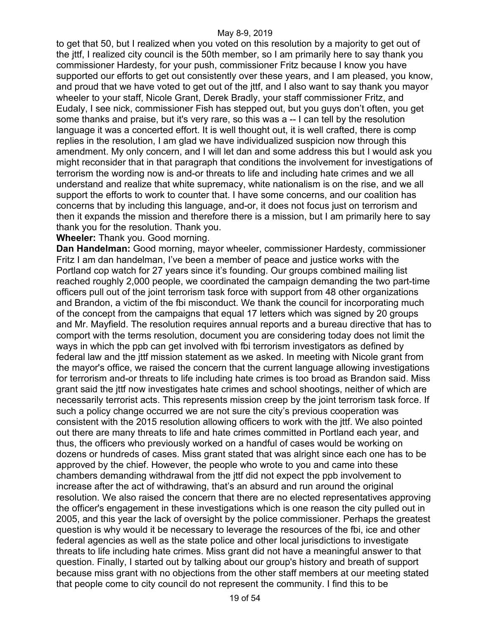to get that 50, but I realized when you voted on this resolution by a majority to get out of the jttf, I realized city council is the 50th member, so I am primarily here to say thank you commissioner Hardesty, for your push, commissioner Fritz because I know you have supported our efforts to get out consistently over these years, and I am pleased, you know, and proud that we have voted to get out of the jttf, and I also want to say thank you mayor wheeler to your staff, Nicole Grant, Derek Bradly, your staff commissioner Fritz, and Eudaly, I see nick, commissioner Fish has stepped out, but you guys don't often, you get some thanks and praise, but it's very rare, so this was a -- I can tell by the resolution language it was a concerted effort. It is well thought out, it is well crafted, there is comp replies in the resolution, I am glad we have individualized suspicion now through this amendment. My only concern, and I will let dan and some address this but I would ask you might reconsider that in that paragraph that conditions the involvement for investigations of terrorism the wording now is and-or threats to life and including hate crimes and we all understand and realize that white supremacy, white nationalism is on the rise, and we all support the efforts to work to counter that. I have some concerns, and our coalition has concerns that by including this language, and-or, it does not focus just on terrorism and then it expands the mission and therefore there is a mission, but I am primarily here to say thank you for the resolution. Thank you.

**Wheeler:** Thank you. Good morning.

**Dan Handelman:** Good morning, mayor wheeler, commissioner Hardesty, commissioner Fritz I am dan handelman, I've been a member of peace and justice works with the Portland cop watch for 27 years since it's founding. Our groups combined mailing list reached roughly 2,000 people, we coordinated the campaign demanding the two part-time officers pull out of the joint terrorism task force with support from 48 other organizations and Brandon, a victim of the fbi misconduct. We thank the council for incorporating much of the concept from the campaigns that equal 17 letters which was signed by 20 groups and Mr. Mayfield. The resolution requires annual reports and a bureau directive that has to comport with the terms resolution, document you are considering today does not limit the ways in which the ppb can get involved with fbi terrorism investigators as defined by federal law and the jttf mission statement as we asked. In meeting with Nicole grant from the mayor's office, we raised the concern that the current language allowing investigations for terrorism and-or threats to life including hate crimes is too broad as Brandon said. Miss grant said the jttf now investigates hate crimes and school shootings, neither of which are necessarily terrorist acts. This represents mission creep by the joint terrorism task force. If such a policy change occurred we are not sure the city's previous cooperation was consistent with the 2015 resolution allowing officers to work with the jttf. We also pointed out there are many threats to life and hate crimes committed in Portland each year, and thus, the officers who previously worked on a handful of cases would be working on dozens or hundreds of cases. Miss grant stated that was alright since each one has to be approved by the chief. However, the people who wrote to you and came into these chambers demanding withdrawal from the jttf did not expect the ppb involvement to increase after the act of withdrawing, that's an absurd and run around the original resolution. We also raised the concern that there are no elected representatives approving the officer's engagement in these investigations which is one reason the city pulled out in 2005, and this year the lack of oversight by the police commissioner. Perhaps the greatest question is why would it be necessary to leverage the resources of the fbi, ice and other federal agencies as well as the state police and other local jurisdictions to investigate threats to life including hate crimes. Miss grant did not have a meaningful answer to that question. Finally, I started out by talking about our group's history and breath of support because miss grant with no objections from the other staff members at our meeting stated that people come to city council do not represent the community. I find this to be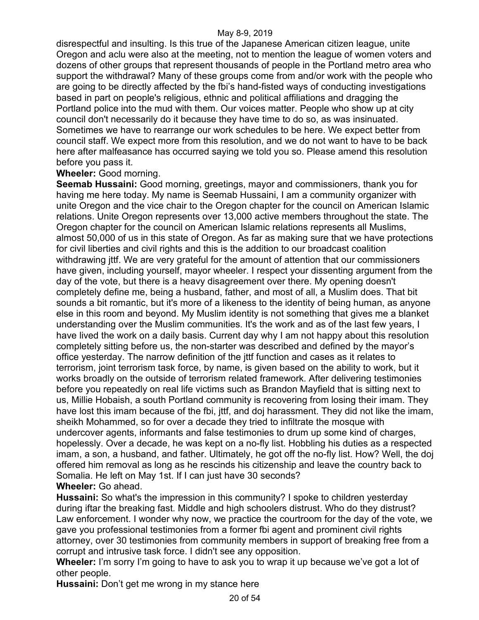disrespectful and insulting. Is this true of the Japanese American citizen league, unite Oregon and aclu were also at the meeting, not to mention the league of women voters and dozens of other groups that represent thousands of people in the Portland metro area who support the withdrawal? Many of these groups come from and/or work with the people who are going to be directly affected by the fbi's hand-fisted ways of conducting investigations based in part on people's religious, ethnic and political affiliations and dragging the Portland police into the mud with them. Our voices matter. People who show up at city council don't necessarily do it because they have time to do so, as was insinuated. Sometimes we have to rearrange our work schedules to be here. We expect better from council staff. We expect more from this resolution, and we do not want to have to be back here after malfeasance has occurred saying we told you so. Please amend this resolution before you pass it.

## **Wheeler:** Good morning.

**Seemab Hussaini:** Good morning, greetings, mayor and commissioners, thank you for having me here today. My name is Seemab Hussaini, I am a community organizer with unite Oregon and the vice chair to the Oregon chapter for the council on American Islamic relations. Unite Oregon represents over 13,000 active members throughout the state. The Oregon chapter for the council on American Islamic relations represents all Muslims, almost 50,000 of us in this state of Oregon. As far as making sure that we have protections for civil liberties and civil rights and this is the addition to our broadcast coalition withdrawing jttf. We are very grateful for the amount of attention that our commissioners have given, including yourself, mayor wheeler. I respect your dissenting argument from the day of the vote, but there is a heavy disagreement over there. My opening doesn't completely define me, being a husband, father, and most of all, a Muslim does. That bit sounds a bit romantic, but it's more of a likeness to the identity of being human, as anyone else in this room and beyond. My Muslim identity is not something that gives me a blanket understanding over the Muslim communities. It's the work and as of the last few years, I have lived the work on a daily basis. Current day why I am not happy about this resolution completely sitting before us, the non-starter was described and defined by the mayor's office yesterday. The narrow definition of the jttf function and cases as it relates to terrorism, joint terrorism task force, by name, is given based on the ability to work, but it works broadly on the outside of terrorism related framework. After delivering testimonies before you repeatedly on real life victims such as Brandon Mayfield that is sitting next to us, Millie Hobaish, a south Portland community is recovering from losing their imam. They have lost this imam because of the fbi, jttf, and doj harassment. They did not like the imam, sheikh Mohammed, so for over a decade they tried to infiltrate the mosque with undercover agents, informants and false testimonies to drum up some kind of charges, hopelessly. Over a decade, he was kept on a no-fly list. Hobbling his duties as a respected imam, a son, a husband, and father. Ultimately, he got off the no-fly list. How? Well, the doj offered him removal as long as he rescinds his citizenship and leave the country back to Somalia. He left on May 1st. If I can just have 30 seconds? **Wheeler:** Go ahead.

**Hussaini:** So what's the impression in this community? I spoke to children yesterday during iftar the breaking fast. Middle and high schoolers distrust. Who do they distrust? Law enforcement. I wonder why now, we practice the courtroom for the day of the vote, we gave you professional testimonies from a former fbi agent and prominent civil rights attorney, over 30 testimonies from community members in support of breaking free from a corrupt and intrusive task force. I didn't see any opposition.

**Wheeler:** I'm sorry I'm going to have to ask you to wrap it up because we've got a lot of other people.

**Hussaini:** Don't get me wrong in my stance here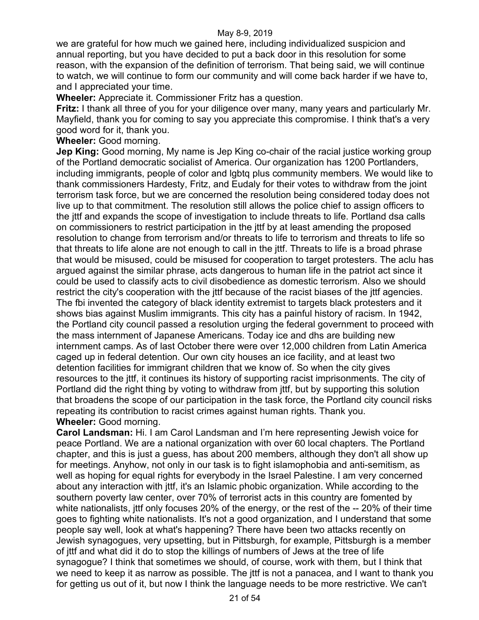we are grateful for how much we gained here, including individualized suspicion and annual reporting, but you have decided to put a back door in this resolution for some reason, with the expansion of the definition of terrorism. That being said, we will continue to watch, we will continue to form our community and will come back harder if we have to, and I appreciated your time.

**Wheeler:** Appreciate it. Commissioner Fritz has a question.

**Fritz:** I thank all three of you for your diligence over many, many years and particularly Mr. Mayfield, thank you for coming to say you appreciate this compromise. I think that's a very good word for it, thank you.

**Wheeler:** Good morning.

**Jep King:** Good morning, My name is Jep King co-chair of the racial justice working group of the Portland democratic socialist of America. Our organization has 1200 Portlanders, including immigrants, people of color and lgbtq plus community members. We would like to thank commissioners Hardesty, Fritz, and Eudaly for their votes to withdraw from the joint terrorism task force, but we are concerned the resolution being considered today does not live up to that commitment. The resolution still allows the police chief to assign officers to the jttf and expands the scope of investigation to include threats to life. Portland dsa calls on commissioners to restrict participation in the jttf by at least amending the proposed resolution to change from terrorism and/or threats to life to terrorism and threats to life so that threats to life alone are not enough to call in the jttf. Threats to life is a broad phrase that would be misused, could be misused for cooperation to target protesters. The aclu has argued against the similar phrase, acts dangerous to human life in the patriot act since it could be used to classify acts to civil disobedience as domestic terrorism. Also we should restrict the city's cooperation with the jttf because of the racist biases of the jttf agencies. The fbi invented the category of black identity extremist to targets black protesters and it shows bias against Muslim immigrants. This city has a painful history of racism. In 1942, the Portland city council passed a resolution urging the federal government to proceed with the mass internment of Japanese Americans. Today ice and dhs are building new internment camps. As of last October there were over 12,000 children from Latin America caged up in federal detention. Our own city houses an ice facility, and at least two detention facilities for immigrant children that we know of. So when the city gives resources to the jttf, it continues its history of supporting racist imprisonments. The city of Portland did the right thing by voting to withdraw from jttf, but by supporting this solution that broadens the scope of our participation in the task force, the Portland city council risks repeating its contribution to racist crimes against human rights. Thank you. **Wheeler:** Good morning.

**Carol Landsman:** Hi. I am Carol Landsman and I'm here representing Jewish voice for peace Portland. We are a national organization with over 60 local chapters. The Portland chapter, and this is just a guess, has about 200 members, although they don't all show up for meetings. Anyhow, not only in our task is to fight islamophobia and anti-semitism, as well as hoping for equal rights for everybody in the Israel Palestine. I am very concerned about any interaction with jttf, it's an Islamic phobic organization. While according to the southern poverty law center, over 70% of terrorist acts in this country are fomented by white nationalists, jttf only focuses 20% of the energy, or the rest of the -- 20% of their time goes to fighting white nationalists. It's not a good organization, and I understand that some people say well, look at what's happening? There have been two attacks recently on Jewish synagogues, very upsetting, but in Pittsburgh, for example, Pittsburgh is a member of jttf and what did it do to stop the killings of numbers of Jews at the tree of life synagogue? I think that sometimes we should, of course, work with them, but I think that we need to keep it as narrow as possible. The jttf is not a panacea, and I want to thank you for getting us out of it, but now I think the language needs to be more restrictive. We can't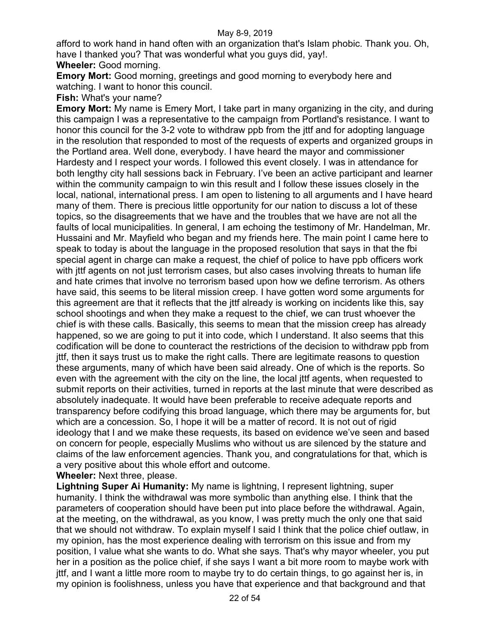afford to work hand in hand often with an organization that's Islam phobic. Thank you. Oh, have I thanked you? That was wonderful what you guys did, yay!.

**Wheeler:** Good morning.

**Emory Mort:** Good morning, greetings and good morning to everybody here and watching. I want to honor this council.

**Fish:** What's your name?

**Emory Mort:** My name is Emery Mort, I take part in many organizing in the city, and during this campaign I was a representative to the campaign from Portland's resistance. I want to honor this council for the 3-2 vote to withdraw ppb from the jttf and for adopting language in the resolution that responded to most of the requests of experts and organized groups in the Portland area. Well done, everybody. I have heard the mayor and commissioner Hardesty and I respect your words. I followed this event closely. I was in attendance for both lengthy city hall sessions back in February. I've been an active participant and learner within the community campaign to win this result and I follow these issues closely in the local, national, international press. I am open to listening to all arguments and I have heard many of them. There is precious little opportunity for our nation to discuss a lot of these topics, so the disagreements that we have and the troubles that we have are not all the faults of local municipalities. In general, I am echoing the testimony of Mr. Handelman, Mr. Hussaini and Mr. Mayfield who began and my friends here. The main point I came here to speak to today is about the language in the proposed resolution that says in that the fbi special agent in charge can make a request, the chief of police to have ppb officers work with jttf agents on not just terrorism cases, but also cases involving threats to human life and hate crimes that involve no terrorism based upon how we define terrorism. As others have said, this seems to be literal mission creep. I have gotten word some arguments for this agreement are that it reflects that the jttf already is working on incidents like this, say school shootings and when they make a request to the chief, we can trust whoever the chief is with these calls. Basically, this seems to mean that the mission creep has already happened, so we are going to put it into code, which I understand. It also seems that this codification will be done to counteract the restrictions of the decision to withdraw ppb from jttf, then it says trust us to make the right calls. There are legitimate reasons to question these arguments, many of which have been said already. One of which is the reports. So even with the agreement with the city on the line, the local jttf agents, when requested to submit reports on their activities, turned in reports at the last minute that were described as absolutely inadequate. It would have been preferable to receive adequate reports and transparency before codifying this broad language, which there may be arguments for, but which are a concession. So, I hope it will be a matter of record. It is not out of rigid ideology that I and we make these requests, its based on evidence we've seen and based on concern for people, especially Muslims who without us are silenced by the stature and claims of the law enforcement agencies. Thank you, and congratulations for that, which is a very positive about this whole effort and outcome.

## **Wheeler:** Next three, please.

**Lightning Super Ai Humanity:** My name is lightning, I represent lightning, super humanity. I think the withdrawal was more symbolic than anything else. I think that the parameters of cooperation should have been put into place before the withdrawal. Again, at the meeting, on the withdrawal, as you know, I was pretty much the only one that said that we should not withdraw. To explain myself I said I think that the police chief outlaw, in my opinion, has the most experience dealing with terrorism on this issue and from my position, I value what she wants to do. What she says. That's why mayor wheeler, you put her in a position as the police chief, if she says I want a bit more room to maybe work with jttf, and I want a little more room to maybe try to do certain things, to go against her is, in my opinion is foolishness, unless you have that experience and that background and that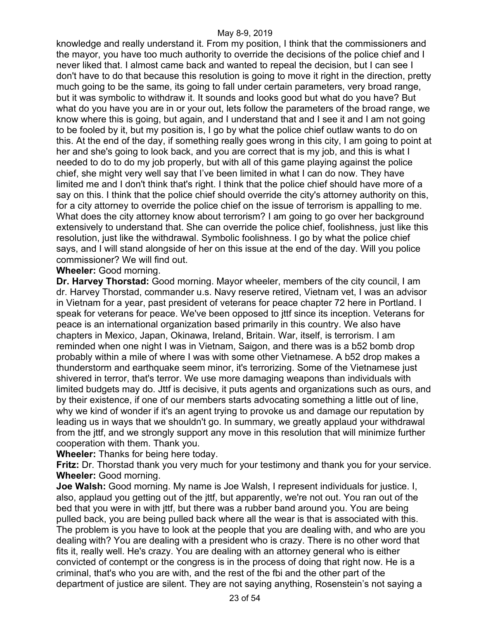knowledge and really understand it. From my position, I think that the commissioners and the mayor, you have too much authority to override the decisions of the police chief and I never liked that. I almost came back and wanted to repeal the decision, but I can see I don't have to do that because this resolution is going to move it right in the direction, pretty much going to be the same, its going to fall under certain parameters, very broad range, but it was symbolic to withdraw it. It sounds and looks good but what do you have? But what do you have you are in or your out, lets follow the parameters of the broad range, we know where this is going, but again, and I understand that and I see it and I am not going to be fooled by it, but my position is, I go by what the police chief outlaw wants to do on this. At the end of the day, if something really goes wrong in this city, I am going to point at her and she's going to look back, and you are correct that is my job, and this is what I needed to do to do my job properly, but with all of this game playing against the police chief, she might very well say that I've been limited in what I can do now. They have limited me and I don't think that's right. I think that the police chief should have more of a say on this. I think that the police chief should override the city's attorney authority on this, for a city attorney to override the police chief on the issue of terrorism is appalling to me. What does the city attorney know about terrorism? I am going to go over her background extensively to understand that. She can override the police chief, foolishness, just like this resolution, just like the withdrawal. Symbolic foolishness. I go by what the police chief says, and I will stand alongside of her on this issue at the end of the day. Will you police commissioner? We will find out.

#### **Wheeler:** Good morning.

**Dr. Harvey Thorstad:** Good morning. Mayor wheeler, members of the city council, I am dr. Harvey Thorstad, commander u.s. Navy reserve retired, Vietnam vet, I was an advisor in Vietnam for a year, past president of veterans for peace chapter 72 here in Portland. I speak for veterans for peace. We've been opposed to jttf since its inception. Veterans for peace is an international organization based primarily in this country. We also have chapters in Mexico, Japan, Okinawa, Ireland, Britain. War, itself, is terrorism. I am reminded when one night I was in Vietnam, Saigon, and there was is a b52 bomb drop probably within a mile of where I was with some other Vietnamese. A b52 drop makes a thunderstorm and earthquake seem minor, it's terrorizing. Some of the Vietnamese just shivered in terror, that's terror. We use more damaging weapons than individuals with limited budgets may do. Jttf is decisive, it puts agents and organizations such as ours, and by their existence, if one of our members starts advocating something a little out of line, why we kind of wonder if it's an agent trying to provoke us and damage our reputation by leading us in ways that we shouldn't go. In summary, we greatly applaud your withdrawal from the jttf, and we strongly support any move in this resolution that will minimize further cooperation with them. Thank you.

**Wheeler:** Thanks for being here today.

**Fritz:** Dr. Thorstad thank you very much for your testimony and thank you for your service. **Wheeler:** Good morning.

**Joe Walsh:** Good morning. My name is Joe Walsh, I represent individuals for justice. I, also, applaud you getting out of the jttf, but apparently, we're not out. You ran out of the bed that you were in with jttf, but there was a rubber band around you. You are being pulled back, you are being pulled back where all the wear is that is associated with this. The problem is you have to look at the people that you are dealing with, and who are you dealing with? You are dealing with a president who is crazy. There is no other word that fits it, really well. He's crazy. You are dealing with an attorney general who is either convicted of contempt or the congress is in the process of doing that right now. He is a criminal, that's who you are with, and the rest of the fbi and the other part of the department of justice are silent. They are not saying anything, Rosenstein's not saying a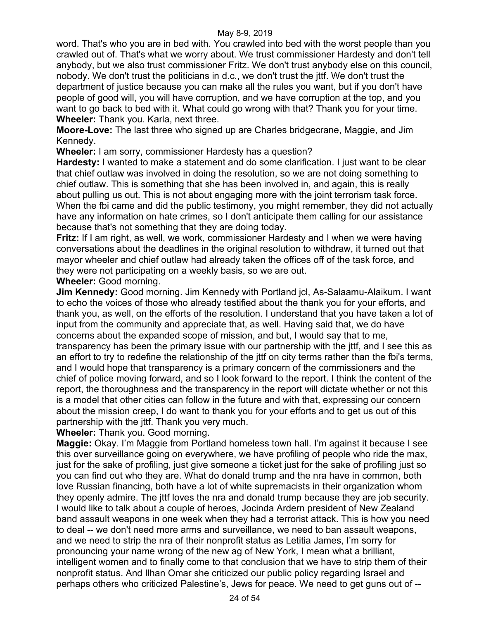word. That's who you are in bed with. You crawled into bed with the worst people than you crawled out of. That's what we worry about. We trust commissioner Hardesty and don't tell anybody, but we also trust commissioner Fritz. We don't trust anybody else on this council, nobody. We don't trust the politicians in d.c., we don't trust the jttf. We don't trust the department of justice because you can make all the rules you want, but if you don't have people of good will, you will have corruption, and we have corruption at the top, and you want to go back to bed with it. What could go wrong with that? Thank you for your time. **Wheeler:** Thank you. Karla, next three.

**Moore-Love:** The last three who signed up are Charles bridgecrane, Maggie, and Jim Kennedy.

**Wheeler:** I am sorry, commissioner Hardesty has a question?

**Hardesty:** I wanted to make a statement and do some clarification. I just want to be clear that chief outlaw was involved in doing the resolution, so we are not doing something to chief outlaw. This is something that she has been involved in, and again, this is really about pulling us out. This is not about engaging more with the joint terrorism task force. When the fbi came and did the public testimony, you might remember, they did not actually have any information on hate crimes, so I don't anticipate them calling for our assistance because that's not something that they are doing today.

**Fritz:** If I am right, as well, we work, commissioner Hardesty and I when we were having conversations about the deadlines in the original resolution to withdraw, it turned out that mayor wheeler and chief outlaw had already taken the offices off of the task force, and they were not participating on a weekly basis, so we are out.

## **Wheeler:** Good morning.

**Jim Kennedy:** Good morning. Jim Kennedy with Portland jcl, As-Salaamu-Alaikum. I want to echo the voices of those who already testified about the thank you for your efforts, and thank you, as well, on the efforts of the resolution. I understand that you have taken a lot of input from the community and appreciate that, as well. Having said that, we do have concerns about the expanded scope of mission, and but, I would say that to me, transparency has been the primary issue with our partnership with the jttf, and I see this as an effort to try to redefine the relationship of the jttf on city terms rather than the fbi's terms, and I would hope that transparency is a primary concern of the commissioners and the chief of police moving forward, and so I look forward to the report. I think the content of the report, the thoroughness and the transparency in the report will dictate whether or not this is a model that other cities can follow in the future and with that, expressing our concern about the mission creep, I do want to thank you for your efforts and to get us out of this partnership with the jttf. Thank you very much.

**Wheeler:** Thank you. Good morning.

**Maggie:** Okay. I'm Maggie from Portland homeless town hall. I'm against it because I see this over surveillance going on everywhere, we have profiling of people who ride the max, just for the sake of profiling, just give someone a ticket just for the sake of profiling just so you can find out who they are. What do donald trump and the nra have in common, both love Russian financing, both have a lot of white supremacists in their organization whom they openly admire. The jttf loves the nra and donald trump because they are job security. I would like to talk about a couple of heroes, Jocinda Ardern president of New Zealand band assault weapons in one week when they had a terrorist attack. This is how you need to deal -- we don't need more arms and surveillance, we need to ban assault weapons, and we need to strip the nra of their nonprofit status as Letitia James, I'm sorry for pronouncing your name wrong of the new ag of New York, I mean what a brilliant, intelligent women and to finally come to that conclusion that we have to strip them of their nonprofit status. And Ilhan Omar she criticized our public policy regarding Israel and perhaps others who criticized Palestine's, Jews for peace. We need to get guns out of --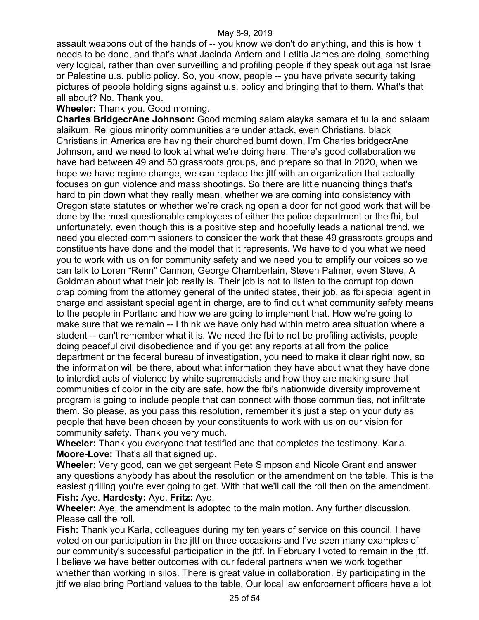assault weapons out of the hands of -- you know we don't do anything, and this is how it needs to be done, and that's what Jacinda Ardern and Letitia James are doing, something very logical, rather than over surveilling and profiling people if they speak out against Israel or Palestine u.s. public policy. So, you know, people -- you have private security taking pictures of people holding signs against u.s. policy and bringing that to them. What's that all about? No. Thank you.

# **Wheeler:** Thank you. Good morning.

**Charles BridgecrAne Johnson:** Good morning salam alayka samara et tu la and salaam alaikum. Religious minority communities are under attack, even Christians, black Christians in America are having their churched burnt down. I'm Charles bridgecrAne Johnson, and we need to look at what we're doing here. There's good collaboration we have had between 49 and 50 grassroots groups, and prepare so that in 2020, when we hope we have regime change, we can replace the jttf with an organization that actually focuses on gun violence and mass shootings. So there are little nuancing things that's hard to pin down what they really mean, whether we are coming into consistency with Oregon state statutes or whether we're cracking open a door for not good work that will be done by the most questionable employees of either the police department or the fbi, but unfortunately, even though this is a positive step and hopefully leads a national trend, we need you elected commissioners to consider the work that these 49 grassroots groups and constituents have done and the model that it represents. We have told you what we need you to work with us on for community safety and we need you to amplify our voices so we can talk to Loren "Renn" Cannon, George Chamberlain, Steven Palmer, even Steve, A Goldman about what their job really is. Their job is not to listen to the corrupt top down crap coming from the attorney general of the united states, their job, as fbi special agent in charge and assistant special agent in charge, are to find out what community safety means to the people in Portland and how we are going to implement that. How we're going to make sure that we remain -- I think we have only had within metro area situation where a student -- can't remember what it is. We need the fbi to not be profiling activists, people doing peaceful civil disobedience and if you get any reports at all from the police department or the federal bureau of investigation, you need to make it clear right now, so the information will be there, about what information they have about what they have done to interdict acts of violence by white supremacists and how they are making sure that communities of color in the city are safe, how the fbi's nationwide diversity improvement program is going to include people that can connect with those communities, not infiltrate them. So please, as you pass this resolution, remember it's just a step on your duty as people that have been chosen by your constituents to work with us on our vision for community safety. Thank you very much.

**Wheeler:** Thank you everyone that testified and that completes the testimony. Karla. **Moore-Love:** That's all that signed up.

**Wheeler:** Very good, can we get sergeant Pete Simpson and Nicole Grant and answer any questions anybody has about the resolution or the amendment on the table. This is the easiest grilling you're ever going to get. With that we'll call the roll then on the amendment. **Fish:** Aye. **Hardesty:** Aye. **Fritz:** Aye.

**Wheeler:** Aye, the amendment is adopted to the main motion. Any further discussion. Please call the roll.

**Fish:** Thank you Karla, colleagues during my ten years of service on this council, I have voted on our participation in the jttf on three occasions and I've seen many examples of our community's successful participation in the jttf. In February I voted to remain in the jttf. I believe we have better outcomes with our federal partners when we work together whether than working in silos. There is great value in collaboration. By participating in the jttf we also bring Portland values to the table. Our local law enforcement officers have a lot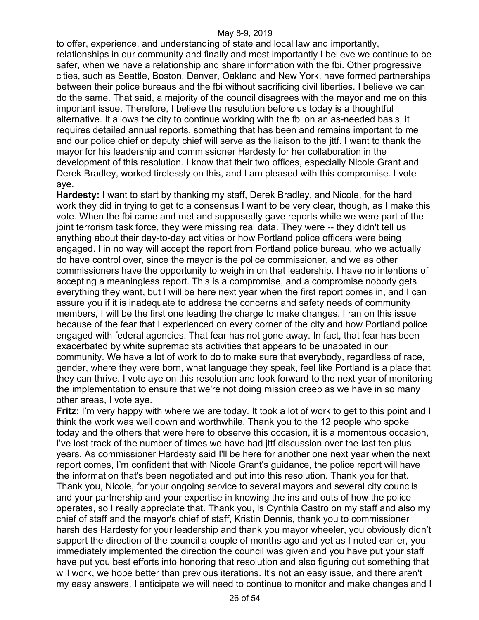to offer, experience, and understanding of state and local law and importantly, relationships in our community and finally and most importantly I believe we continue to be safer, when we have a relationship and share information with the fbi. Other progressive cities, such as Seattle, Boston, Denver, Oakland and New York, have formed partnerships between their police bureaus and the fbi without sacrificing civil liberties. I believe we can do the same. That said, a majority of the council disagrees with the mayor and me on this important issue. Therefore, I believe the resolution before us today is a thoughtful alternative. It allows the city to continue working with the fbi on an as-needed basis, it requires detailed annual reports, something that has been and remains important to me and our police chief or deputy chief will serve as the liaison to the jttf. I want to thank the mayor for his leadership and commissioner Hardesty for her collaboration in the development of this resolution. I know that their two offices, especially Nicole Grant and Derek Bradley, worked tirelessly on this, and I am pleased with this compromise. I vote aye.

**Hardesty:** I want to start by thanking my staff, Derek Bradley, and Nicole, for the hard work they did in trying to get to a consensus I want to be very clear, though, as I make this vote. When the fbi came and met and supposedly gave reports while we were part of the joint terrorism task force, they were missing real data. They were -- they didn't tell us anything about their day-to-day activities or how Portland police officers were being engaged. I in no way will accept the report from Portland police bureau, who we actually do have control over, since the mayor is the police commissioner, and we as other commissioners have the opportunity to weigh in on that leadership. I have no intentions of accepting a meaningless report. This is a compromise, and a compromise nobody gets everything they want, but I will be here next year when the first report comes in, and I can assure you if it is inadequate to address the concerns and safety needs of community members, I will be the first one leading the charge to make changes. I ran on this issue because of the fear that I experienced on every corner of the city and how Portland police engaged with federal agencies. That fear has not gone away. In fact, that fear has been exacerbated by white supremacists activities that appears to be unabated in our community. We have a lot of work to do to make sure that everybody, regardless of race, gender, where they were born, what language they speak, feel like Portland is a place that they can thrive. I vote aye on this resolution and look forward to the next year of monitoring the implementation to ensure that we're not doing mission creep as we have in so many other areas, I vote aye.

**Fritz:** I'm very happy with where we are today. It took a lot of work to get to this point and I think the work was well down and worthwhile. Thank you to the 12 people who spoke today and the others that were here to observe this occasion, it is a momentous occasion, I've lost track of the number of times we have had jttf discussion over the last ten plus years. As commissioner Hardesty said I'll be here for another one next year when the next report comes, I'm confident that with Nicole Grant's guidance, the police report will have the information that's been negotiated and put into this resolution. Thank you for that. Thank you, Nicole, for your ongoing service to several mayors and several city councils and your partnership and your expertise in knowing the ins and outs of how the police operates, so I really appreciate that. Thank you, is Cynthia Castro on my staff and also my chief of staff and the mayor's chief of staff, Kristin Dennis, thank you to commissioner harsh des Hardesty for your leadership and thank you mayor wheeler, you obviously didn't support the direction of the council a couple of months ago and yet as I noted earlier, you immediately implemented the direction the council was given and you have put your staff have put you best efforts into honoring that resolution and also figuring out something that will work, we hope better than previous iterations. It's not an easy issue, and there aren't my easy answers. I anticipate we will need to continue to monitor and make changes and I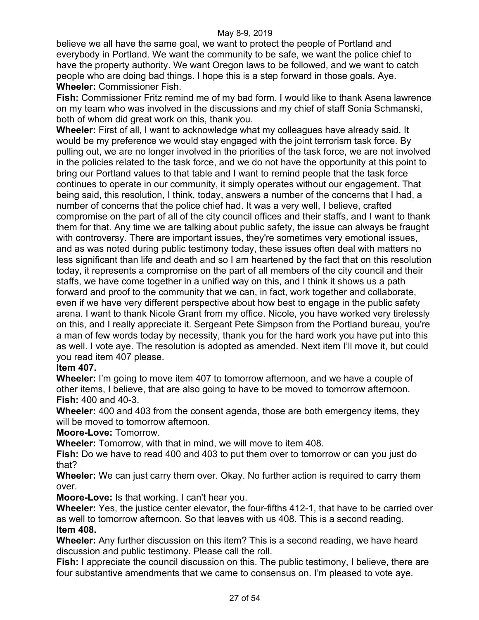believe we all have the same goal, we want to protect the people of Portland and everybody in Portland. We want the community to be safe, we want the police chief to have the property authority. We want Oregon laws to be followed, and we want to catch people who are doing bad things. I hope this is a step forward in those goals. Aye. **Wheeler:** Commissioner Fish.

**Fish:** Commissioner Fritz remind me of my bad form. I would like to thank Asena lawrence on my team who was involved in the discussions and my chief of staff Sonia Schmanski, both of whom did great work on this, thank you.

**Wheeler:** First of all, I want to acknowledge what my colleagues have already said. It would be my preference we would stay engaged with the joint terrorism task force. By pulling out, we are no longer involved in the priorities of the task force, we are not involved in the policies related to the task force, and we do not have the opportunity at this point to bring our Portland values to that table and I want to remind people that the task force continues to operate in our community, it simply operates without our engagement. That being said, this resolution, I think, today, answers a number of the concerns that I had, a number of concerns that the police chief had. It was a very well, I believe, crafted compromise on the part of all of the city council offices and their staffs, and I want to thank them for that. Any time we are talking about public safety, the issue can always be fraught with controversy. There are important issues, they're sometimes very emotional issues, and as was noted during public testimony today, these issues often deal with matters no less significant than life and death and so I am heartened by the fact that on this resolution today, it represents a compromise on the part of all members of the city council and their staffs, we have come together in a unified way on this, and I think it shows us a path forward and proof to the community that we can, in fact, work together and collaborate, even if we have very different perspective about how best to engage in the public safety arena. I want to thank Nicole Grant from my office. Nicole, you have worked very tirelessly on this, and I really appreciate it. Sergeant Pete Simpson from the Portland bureau, you're a man of few words today by necessity, thank you for the hard work you have put into this as well. I vote aye. The resolution is adopted as amended. Next item I'll move it, but could you read item 407 please.

# **Item 407.**

**Wheeler:** I'm going to move item 407 to tomorrow afternoon, and we have a couple of other items, I believe, that are also going to have to be moved to tomorrow afternoon. **Fish:** 400 and 40-3.

**Wheeler:** 400 and 403 from the consent agenda, those are both emergency items, they will be moved to tomorrow afternoon.

# **Moore-Love:** Tomorrow.

**Wheeler:** Tomorrow, with that in mind, we will move to item 408.

**Fish:** Do we have to read 400 and 403 to put them over to tomorrow or can you just do that?

**Wheeler:** We can just carry them over. Okay. No further action is required to carry them over.

**Moore-Love:** Is that working. I can't hear you.

**Wheeler:** Yes, the justice center elevator, the four-fifths 412-1, that have to be carried over as well to tomorrow afternoon. So that leaves with us 408. This is a second reading. **Item 408.**

**Wheeler:** Any further discussion on this item? This is a second reading, we have heard discussion and public testimony. Please call the roll.

**Fish:** I appreciate the council discussion on this. The public testimony, I believe, there are four substantive amendments that we came to consensus on. I'm pleased to vote aye.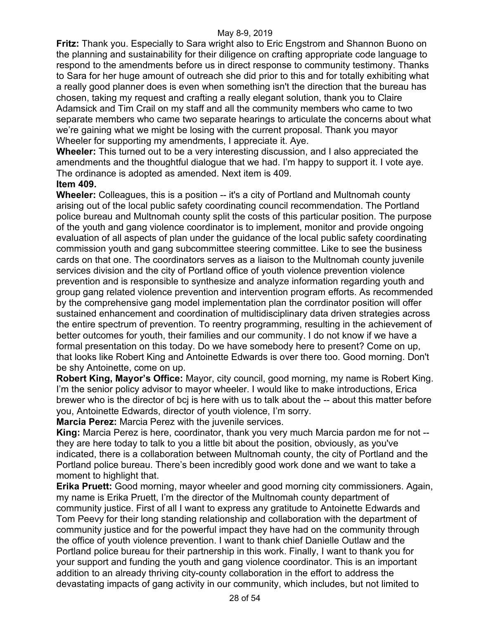**Fritz:** Thank you. Especially to Sara wright also to Eric Engstrom and Shannon Buono on the planning and sustainability for their diligence on crafting appropriate code language to respond to the amendments before us in direct response to community testimony. Thanks to Sara for her huge amount of outreach she did prior to this and for totally exhibiting what a really good planner does is even when something isn't the direction that the bureau has chosen, taking my request and crafting a really elegant solution, thank you to Claire Adamsick and Tim Crail on my staff and all the community members who came to two separate members who came two separate hearings to articulate the concerns about what we're gaining what we might be losing with the current proposal. Thank you mayor Wheeler for supporting my amendments, I appreciate it. Aye.

**Wheeler:** This turned out to be a very interesting discussion, and I also appreciated the amendments and the thoughtful dialogue that we had. I'm happy to support it. I vote aye. The ordinance is adopted as amended. Next item is 409.

# **Item 409.**

**Wheeler:** Colleagues, this is a position -- it's a city of Portland and Multnomah county arising out of the local public safety coordinating council recommendation. The Portland police bureau and Multnomah county split the costs of this particular position. The purpose of the youth and gang violence coordinator is to implement, monitor and provide ongoing evaluation of all aspects of plan under the guidance of the local public safety coordinating commission youth and gang subcommittee steering committee. Like to see the business cards on that one. The coordinators serves as a liaison to the Multnomah county juvenile services division and the city of Portland office of youth violence prevention violence prevention and is responsible to synthesize and analyze information regarding youth and group gang related violence prevention and intervention program efforts. As recommended by the comprehensive gang model implementation plan the corrdinator position will offer sustained enhancement and coordination of multidisciplinary data driven strategies across the entire spectrum of prevention. To reentry programming, resulting in the achievement of better outcomes for youth, their families and our community. I do not know if we have a formal presentation on this today. Do we have somebody here to present? Come on up, that looks like Robert King and Antoinette Edwards is over there too. Good morning. Don't be shy Antoinette, come on up.

**Robert King, Mayor's Office:** Mayor, city council, good morning, my name is Robert King. I'm the senior policy advisor to mayor wheeler. I would like to make introductions, Erica brewer who is the director of bcj is here with us to talk about the -- about this matter before you, Antoinette Edwards, director of youth violence, I'm sorry.

**Marcia Perez:** Marcia Perez with the juvenile services.

**King:** Marcia Perez is here, coordinator, thank you very much Marcia pardon me for not - they are here today to talk to you a little bit about the position, obviously, as you've indicated, there is a collaboration between Multnomah county, the city of Portland and the Portland police bureau. There's been incredibly good work done and we want to take a moment to highlight that.

**Erika Pruett:** Good morning, mayor wheeler and good morning city commissioners. Again, my name is Erika Pruett, I'm the director of the Multnomah county department of community justice. First of all I want to express any gratitude to Antoinette Edwards and Tom Peevy for their long standing relationship and collaboration with the department of community justice and for the powerful impact they have had on the community through the office of youth violence prevention. I want to thank chief Danielle Outlaw and the Portland police bureau for their partnership in this work. Finally, I want to thank you for your support and funding the youth and gang violence coordinator. This is an important addition to an already thriving city-county collaboration in the effort to address the devastating impacts of gang activity in our community, which includes, but not limited to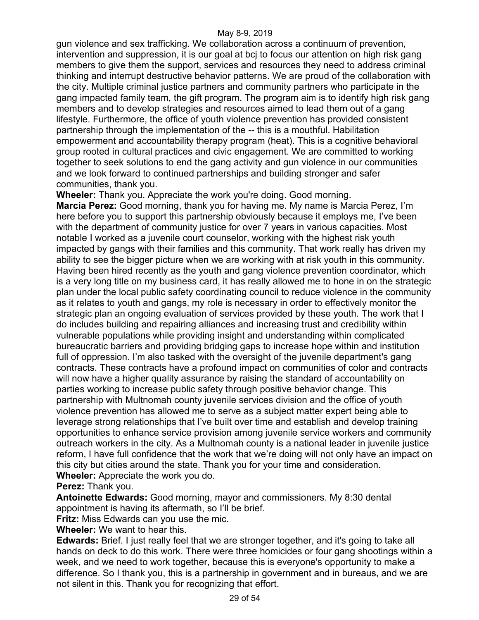gun violence and sex trafficking. We collaboration across a continuum of prevention, intervention and suppression, it is our goal at bcj to focus our attention on high risk gang members to give them the support, services and resources they need to address criminal thinking and interrupt destructive behavior patterns. We are proud of the collaboration with the city. Multiple criminal justice partners and community partners who participate in the gang impacted family team, the gift program. The program aim is to identify high risk gang members and to develop strategies and resources aimed to lead them out of a gang lifestyle. Furthermore, the office of youth violence prevention has provided consistent partnership through the implementation of the -- this is a mouthful. Habilitation empowerment and accountability therapy program (heat). This is a cognitive behavioral group rooted in cultural practices and civic engagement. We are committed to working together to seek solutions to end the gang activity and gun violence in our communities and we look forward to continued partnerships and building stronger and safer communities, thank you.

**Wheeler:** Thank you. Appreciate the work you're doing. Good morning.

**Marcia Perez:** Good morning, thank you for having me. My name is Marcia Perez, I'm here before you to support this partnership obviously because it employs me, I've been with the department of community justice for over 7 years in various capacities. Most notable I worked as a juvenile court counselor, working with the highest risk youth impacted by gangs with their families and this community. That work really has driven my ability to see the bigger picture when we are working with at risk youth in this community. Having been hired recently as the youth and gang violence prevention coordinator, which is a very long title on my business card, it has really allowed me to hone in on the strategic plan under the local public safety coordinating council to reduce violence in the community as it relates to youth and gangs, my role is necessary in order to effectively monitor the strategic plan an ongoing evaluation of services provided by these youth. The work that I do includes building and repairing alliances and increasing trust and credibility within vulnerable populations while providing insight and understanding within complicated bureaucratic barriers and providing bridging gaps to increase hope within and institution full of oppression. I'm also tasked with the oversight of the juvenile department's gang contracts. These contracts have a profound impact on communities of color and contracts will now have a higher quality assurance by raising the standard of accountability on parties working to increase public safety through positive behavior change. This partnership with Multnomah county juvenile services division and the office of youth violence prevention has allowed me to serve as a subject matter expert being able to leverage strong relationships that I've built over time and establish and develop training opportunities to enhance service provision among juvenile service workers and community outreach workers in the city. As a Multnomah county is a national leader in juvenile justice reform, I have full confidence that the work that we're doing will not only have an impact on this city but cities around the state. Thank you for your time and consideration. **Wheeler:** Appreciate the work you do.

**Perez:** Thank you.

**Antoinette Edwards:** Good morning, mayor and commissioners. My 8:30 dental appointment is having its aftermath, so I'll be brief.

**Fritz:** Miss Edwards can you use the mic.

**Wheeler:** We want to hear this.

**Edwards:** Brief. I just really feel that we are stronger together, and it's going to take all hands on deck to do this work. There were three homicides or four gang shootings within a week, and we need to work together, because this is everyone's opportunity to make a difference. So I thank you, this is a partnership in government and in bureaus, and we are not silent in this. Thank you for recognizing that effort.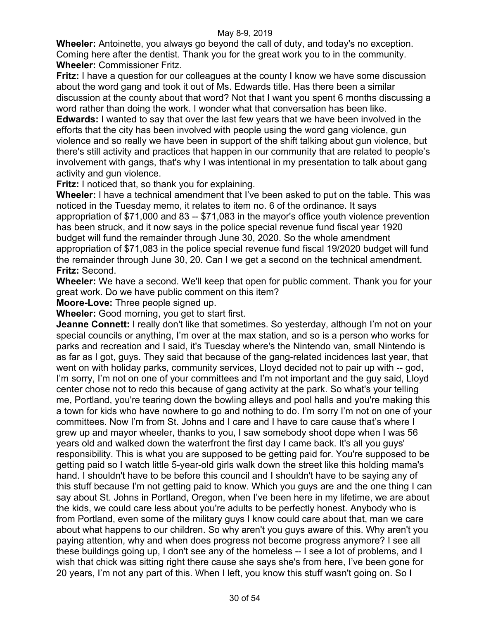**Wheeler:** Antoinette, you always go beyond the call of duty, and today's no exception. Coming here after the dentist. Thank you for the great work you to in the community. **Wheeler:** Commissioner Fritz.

**Fritz:** I have a question for our colleagues at the county I know we have some discussion about the word gang and took it out of Ms. Edwards title. Has there been a similar discussion at the county about that word? Not that I want you spent 6 months discussing a word rather than doing the work. I wonder what that conversation has been like.

**Edwards:** I wanted to say that over the last few years that we have been involved in the efforts that the city has been involved with people using the word gang violence, gun violence and so really we have been in support of the shift talking about gun violence, but there's still activity and practices that happen in our community that are related to people's involvement with gangs, that's why I was intentional in my presentation to talk about gang activity and gun violence.

**Fritz:** I noticed that, so thank you for explaining.

**Wheeler:** I have a technical amendment that I've been asked to put on the table. This was noticed in the Tuesday memo, it relates to item no. 6 of the ordinance. It says appropriation of \$71,000 and 83 -- \$71,083 in the mayor's office youth violence prevention has been struck, and it now says in the police special revenue fund fiscal year 1920 budget will fund the remainder through June 30, 2020. So the whole amendment appropriation of \$71,083 in the police special revenue fund fiscal 19/2020 budget will fund the remainder through June 30, 20. Can I we get a second on the technical amendment. **Fritz:** Second.

**Wheeler:** We have a second. We'll keep that open for public comment. Thank you for your great work. Do we have public comment on this item?

**Moore-Love:** Three people signed up.

**Wheeler:** Good morning, you get to start first.

**Jeanne Connett:** I really don't like that sometimes. So yesterday, although I'm not on your special councils or anything, I'm over at the max station, and so is a person who works for parks and recreation and I said, it's Tuesday where's the Nintendo van, small Nintendo is as far as I got, guys. They said that because of the gang-related incidences last year, that went on with holiday parks, community services, Lloyd decided not to pair up with -- god, I'm sorry, I'm not on one of your committees and I'm not important and the guy said, Lloyd center chose not to redo this because of gang activity at the park. So what's your telling me, Portland, you're tearing down the bowling alleys and pool halls and you're making this a town for kids who have nowhere to go and nothing to do. I'm sorry I'm not on one of your committees. Now I'm from St. Johns and I care and I have to care cause that's where I grew up and mayor wheeler, thanks to you, I saw somebody shoot dope when I was 56 years old and walked down the waterfront the first day I came back. It's all you guys' responsibility. This is what you are supposed to be getting paid for. You're supposed to be getting paid so I watch little 5-year-old girls walk down the street like this holding mama's hand. I shouldn't have to be before this council and I shouldn't have to be saying any of this stuff because I'm not getting paid to know. Which you guys are and the one thing I can say about St. Johns in Portland, Oregon, when I've been here in my lifetime, we are about the kids, we could care less about you're adults to be perfectly honest. Anybody who is from Portland, even some of the military guys I know could care about that, man we care about what happens to our children. So why aren't you guys aware of this. Why aren't you paying attention, why and when does progress not become progress anymore? I see all these buildings going up, I don't see any of the homeless -- I see a lot of problems, and I wish that chick was sitting right there cause she says she's from here, I've been gone for 20 years, I'm not any part of this. When I left, you know this stuff wasn't going on. So I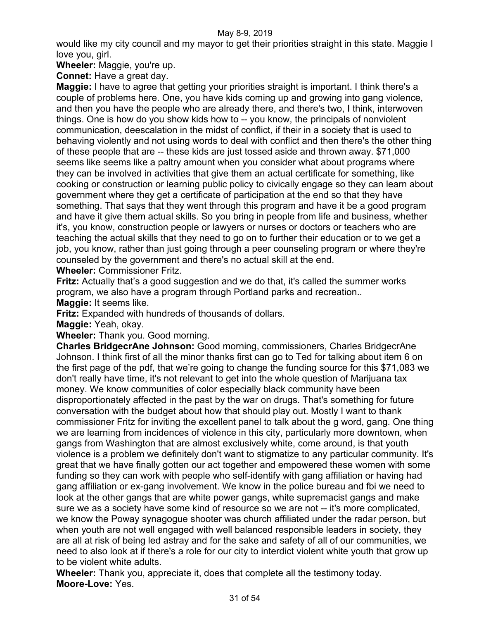would like my city council and my mayor to get their priorities straight in this state. Maggie I love you, girl.

**Wheeler:** Maggie, you're up.

**Connet:** Have a great day.

**Maggie:** I have to agree that getting your priorities straight is important. I think there's a couple of problems here. One, you have kids coming up and growing into gang violence, and then you have the people who are already there, and there's two, I think, interwoven things. One is how do you show kids how to -- you know, the principals of nonviolent communication, deescalation in the midst of conflict, if their in a society that is used to behaving violently and not using words to deal with conflict and then there's the other thing of these people that are -- these kids are just tossed aside and thrown away. \$71,000 seems like seems like a paltry amount when you consider what about programs where they can be involved in activities that give them an actual certificate for something, like cooking or construction or learning public policy to civically engage so they can learn about government where they get a certificate of participation at the end so that they have something. That says that they went through this program and have it be a good program and have it give them actual skills. So you bring in people from life and business, whether it's, you know, construction people or lawyers or nurses or doctors or teachers who are teaching the actual skills that they need to go on to further their education or to we get a job, you know, rather than just going through a peer counseling program or where they're counseled by the government and there's no actual skill at the end. **Wheeler:** Commissioner Fritz.

**Fritz:** Actually that's a good suggestion and we do that, it's called the summer works program, we also have a program through Portland parks and recreation.. **Maggie:** It seems like.

**Fritz:** Expanded with hundreds of thousands of dollars.

**Maggie:** Yeah, okay.

**Wheeler:** Thank you. Good morning.

**Charles BridgecrAne Johnson:** Good morning, commissioners, Charles BridgecrAne Johnson. I think first of all the minor thanks first can go to Ted for talking about item 6 on the first page of the pdf, that we're going to change the funding source for this \$71,083 we don't really have time, it's not relevant to get into the whole question of Marijuana tax money. We know communities of color especially black community have been disproportionately affected in the past by the war on drugs. That's something for future conversation with the budget about how that should play out. Mostly I want to thank commissioner Fritz for inviting the excellent panel to talk about the g word, gang. One thing we are learning from incidences of violence in this city, particularly more downtown, when gangs from Washington that are almost exclusively white, come around, is that youth violence is a problem we definitely don't want to stigmatize to any particular community. It's great that we have finally gotten our act together and empowered these women with some funding so they can work with people who self-identify with gang affiliation or having had gang affiliation or ex-gang involvement. We know in the police bureau and fbi we need to look at the other gangs that are white power gangs, white supremacist gangs and make sure we as a society have some kind of resource so we are not -- it's more complicated, we know the Poway synagogue shooter was church affiliated under the radar person, but when youth are not well engaged with well balanced responsible leaders in society, they are all at risk of being led astray and for the sake and safety of all of our communities, we need to also look at if there's a role for our city to interdict violent white youth that grow up to be violent white adults.

**Wheeler:** Thank you, appreciate it, does that complete all the testimony today. **Moore-Love:** Yes.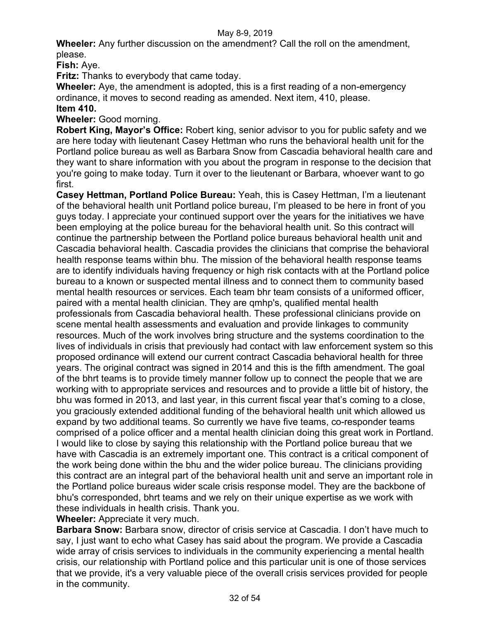**Wheeler:** Any further discussion on the amendment? Call the roll on the amendment, please.

**Fish:** Aye.

**Fritz:** Thanks to everybody that came today.

**Wheeler:** Aye, the amendment is adopted, this is a first reading of a non-emergency ordinance, it moves to second reading as amended. Next item, 410, please. **Item 410.**

# **Wheeler:** Good morning.

**Robert King, Mayor's Office:** Robert king, senior advisor to you for public safety and we are here today with lieutenant Casey Hettman who runs the behavioral health unit for the Portland police bureau as well as Barbara Snow from Cascadia behavioral health care and they want to share information with you about the program in response to the decision that you're going to make today. Turn it over to the lieutenant or Barbara, whoever want to go first.

**Casey Hettman, Portland Police Bureau:** Yeah, this is Casey Hettman, I'm a lieutenant of the behavioral health unit Portland police bureau, I'm pleased to be here in front of you guys today. I appreciate your continued support over the years for the initiatives we have been employing at the police bureau for the behavioral health unit. So this contract will continue the partnership between the Portland police bureaus behavioral health unit and Cascadia behavioral health. Cascadia provides the clinicians that comprise the behavioral health response teams within bhu. The mission of the behavioral health response teams are to identify individuals having frequency or high risk contacts with at the Portland police bureau to a known or suspected mental illness and to connect them to community based mental health resources or services. Each team bhr team consists of a uniformed officer, paired with a mental health clinician. They are qmhp's, qualified mental health professionals from Cascadia behavioral health. These professional clinicians provide on scene mental health assessments and evaluation and provide linkages to community resources. Much of the work involves bring structure and the systems coordination to the lives of individuals in crisis that previously had contact with law enforcement system so this proposed ordinance will extend our current contract Cascadia behavioral health for three years. The original contract was signed in 2014 and this is the fifth amendment. The goal of the bhrt teams is to provide timely manner follow up to connect the people that we are working with to appropriate services and resources and to provide a little bit of history, the bhu was formed in 2013, and last year, in this current fiscal year that's coming to a close, you graciously extended additional funding of the behavioral health unit which allowed us expand by two additional teams. So currently we have five teams, co-responder teams comprised of a police officer and a mental health clinician doing this great work in Portland. I would like to close by saying this relationship with the Portland police bureau that we have with Cascadia is an extremely important one. This contract is a critical component of the work being done within the bhu and the wider police bureau. The clinicians providing this contract are an integral part of the behavioral health unit and serve an important role in the Portland police bureaus wider scale crisis response model. They are the backbone of bhu's corresponded, bhrt teams and we rely on their unique expertise as we work with these individuals in health crisis. Thank you.

**Wheeler:** Appreciate it very much.

**Barbara Snow:** Barbara snow, director of crisis service at Cascadia. I don't have much to say, I just want to echo what Casey has said about the program. We provide a Cascadia wide array of crisis services to individuals in the community experiencing a mental health crisis, our relationship with Portland police and this particular unit is one of those services that we provide, it's a very valuable piece of the overall crisis services provided for people in the community.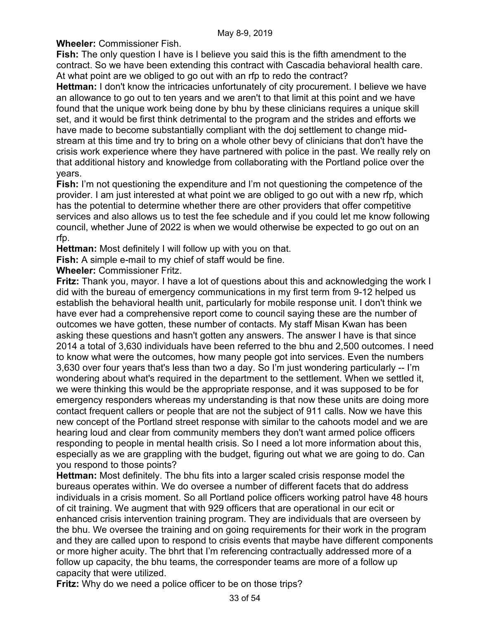**Wheeler:** Commissioner Fish.

**Fish:** The only question I have is I believe you said this is the fifth amendment to the contract. So we have been extending this contract with Cascadia behavioral health care. At what point are we obliged to go out with an rfp to redo the contract?

**Hettman:** I don't know the intricacies unfortunately of city procurement. I believe we have an allowance to go out to ten years and we aren't to that limit at this point and we have found that the unique work being done by bhu by these clinicians requires a unique skill set, and it would be first think detrimental to the program and the strides and efforts we have made to become substantially compliant with the doj settlement to change midstream at this time and try to bring on a whole other bevy of clinicians that don't have the crisis work experience where they have partnered with police in the past. We really rely on that additional history and knowledge from collaborating with the Portland police over the years.

**Fish:** I'm not questioning the expenditure and I'm not questioning the competence of the provider. I am just interested at what point we are obliged to go out with a new rfp, which has the potential to determine whether there are other providers that offer competitive services and also allows us to test the fee schedule and if you could let me know following council, whether June of 2022 is when we would otherwise be expected to go out on an rfp.

**Hettman:** Most definitely I will follow up with you on that.

**Fish:** A simple e-mail to my chief of staff would be fine.

**Wheeler:** Commissioner Fritz.

**Fritz:** Thank you, mayor. I have a lot of questions about this and acknowledging the work I did with the bureau of emergency communications in my first term from 9-12 helped us establish the behavioral health unit, particularly for mobile response unit. I don't think we have ever had a comprehensive report come to council saying these are the number of outcomes we have gotten, these number of contacts. My staff Misan Kwan has been asking these questions and hasn't gotten any answers. The answer I have is that since 2014 a total of 3,630 individuals have been referred to the bhu and 2,500 outcomes. I need to know what were the outcomes, how many people got into services. Even the numbers 3,630 over four years that's less than two a day. So I'm just wondering particularly -- I'm wondering about what's required in the department to the settlement. When we settled it, we were thinking this would be the appropriate response, and it was supposed to be for emergency responders whereas my understanding is that now these units are doing more contact frequent callers or people that are not the subject of 911 calls. Now we have this new concept of the Portland street response with similar to the cahoots model and we are hearing loud and clear from community members they don't want armed police officers responding to people in mental health crisis. So I need a lot more information about this, especially as we are grappling with the budget, figuring out what we are going to do. Can you respond to those points?

**Hettman:** Most definitely. The bhu fits into a larger scaled crisis response model the bureaus operates within. We do oversee a number of different facets that do address individuals in a crisis moment. So all Portland police officers working patrol have 48 hours of cit training. We augment that with 929 officers that are operational in our ecit or enhanced crisis intervention training program. They are individuals that are overseen by the bhu. We oversee the training and on going requirements for their work in the program and they are called upon to respond to crisis events that maybe have different components or more higher acuity. The bhrt that I'm referencing contractually addressed more of a follow up capacity, the bhu teams, the corresponder teams are more of a follow up capacity that were utilized.

**Fritz:** Why do we need a police officer to be on those trips?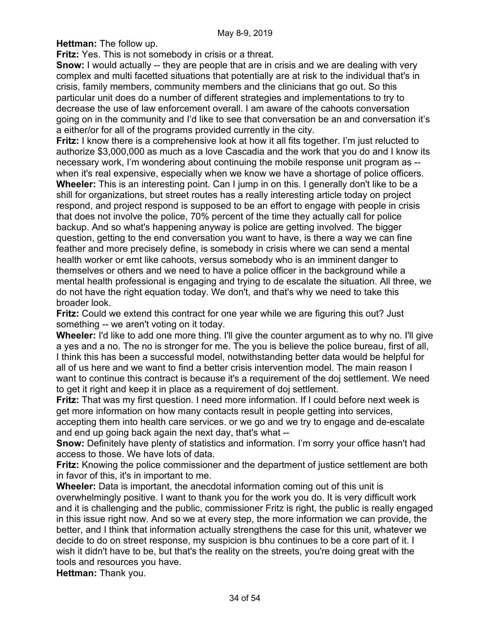**Hettman:** The follow up.

**Fritz:** Yes. This is not somebody in crisis or a threat.

**Snow:** I would actually -- they are people that are in crisis and we are dealing with very complex and multi facetted situations that potentially are at risk to the individual that's in crisis, family members, community members and the clinicians that go out. So this particular unit does do a number of different strategies and implementations to try to decrease the use of law enforcement overall. I am aware of the cahoots conversation going on in the community and I'd like to see that conversation be an and conversation it's a either/or for all of the programs provided currently in the city.

**Fritz:** I know there is a comprehensive look at how it all fits together. I'm just relucted to authorize \$3,000,000 as much as a love Cascadia and the work that you do and I know its necessary work, I'm wondering about continuing the mobile response unit program as - when it's real expensive, especially when we know we have a shortage of police officers.

**Wheeler:** This is an interesting point. Can I jump in on this. I generally don't like to be a shill for organizations, but street routes has a really interesting article today on project respond, and project respond is supposed to be an effort to engage with people in crisis that does not involve the police, 70% percent of the time they actually call for police backup. And so what's happening anyway is police are getting involved. The bigger question, getting to the end conversation you want to have, is there a way we can fine feather and more precisely define, is somebody in crisis where we can send a mental health worker or emt like cahoots, versus somebody who is an imminent danger to themselves or others and we need to have a police officer in the background while a mental health professional is engaging and trying to de escalate the situation. All three, we do not have the right equation today. We don't, and that's why we need to take this broader look.

**Fritz:** Could we extend this contract for one year while we are figuring this out? Just something -- we aren't voting on it today.

**Wheeler:** I'd like to add one more thing. I'll give the counter argument as to why no. I'll give a yes and a no. The no is stronger for me. The you is believe the police bureau, first of all, I think this has been a successful model, notwithstanding better data would be helpful for all of us here and we want to find a better crisis intervention model. The main reason I want to continue this contract is because it's a requirement of the doj settlement. We need to get it right and keep it in place as a requirement of doj settlement.

**Fritz:** That was my first question. I need more information. If I could before next week is get more information on how many contacts result in people getting into services, accepting them into health care services. or we go and we try to engage and de-escalate

and end up going back again the next day, that's what --

**Snow:** Definitely have plenty of statistics and information. I'm sorry your office hasn't had access to those. We have lots of data.

**Fritz:** Knowing the police commissioner and the department of justice settlement are both in favor of this, it's in important to me.

**Wheeler:** Data is important, the anecdotal information coming out of this unit is overwhelmingly positive. I want to thank you for the work you do. It is very difficult work and it is challenging and the public, commissioner Fritz is right, the public is really engaged in this issue right now. And so we at every step, the more information we can provide, the better, and I think that information actually strengthens the case for this unit, whatever we decide to do on street response, my suspicion is bhu continues to be a core part of it. I wish it didn't have to be, but that's the reality on the streets, you're doing great with the tools and resources you have.

**Hettman:** Thank you.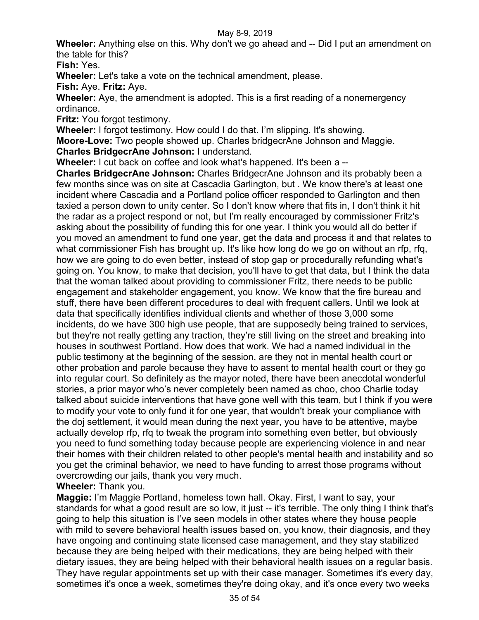**Wheeler:** Anything else on this. Why don't we go ahead and -- Did I put an amendment on the table for this?

**Fish:** Yes.

**Wheeler:** Let's take a vote on the technical amendment, please.

**Fish:** Aye. **Fritz:** Aye.

**Wheeler:** Aye, the amendment is adopted. This is a first reading of a nonemergency ordinance.

**Fritz:** You forgot testimony.

**Wheeler:** I forgot testimony. How could I do that. I'm slipping. It's showing.

**Moore-Love:** Two people showed up. Charles bridgecrAne Johnson and Maggie.

**Charles BridgecrAne Johnson:** I understand.

**Wheeler:** I cut back on coffee and look what's happened. It's been a --

**Charles BridgecrAne Johnson:** Charles BridgecrAne Johnson and its probably been a few months since was on site at Cascadia Garlington, but . We know there's at least one incident where Cascadia and a Portland police officer responded to Garlington and then taxied a person down to unity center. So I don't know where that fits in, I don't think it hit the radar as a project respond or not, but I'm really encouraged by commissioner Fritz's asking about the possibility of funding this for one year. I think you would all do better if you moved an amendment to fund one year, get the data and process it and that relates to what commissioner Fish has brought up. It's like how long do we go on without an rfp, rfq, how we are going to do even better, instead of stop gap or procedurally refunding what's going on. You know, to make that decision, you'll have to get that data, but I think the data that the woman talked about providing to commissioner Fritz, there needs to be public engagement and stakeholder engagement, you know. We know that the fire bureau and stuff, there have been different procedures to deal with frequent callers. Until we look at data that specifically identifies individual clients and whether of those 3,000 some incidents, do we have 300 high use people, that are supposedly being trained to services, but they're not really getting any traction, they're still living on the street and breaking into houses in southwest Portland. How does that work. We had a named individual in the public testimony at the beginning of the session, are they not in mental health court or other probation and parole because they have to assent to mental health court or they go into regular court. So definitely as the mayor noted, there have been anecdotal wonderful stories, a prior mayor who's never completely been named as choo, choo Charlie today talked about suicide interventions that have gone well with this team, but I think if you were to modify your vote to only fund it for one year, that wouldn't break your compliance with the doj settlement, it would mean during the next year, you have to be attentive, maybe actually develop rfp, rfq to tweak the program into something even better, but obviously you need to fund something today because people are experiencing violence in and near their homes with their children related to other people's mental health and instability and so you get the criminal behavior, we need to have funding to arrest those programs without overcrowding our jails, thank you very much.

**Wheeler:** Thank you.

**Maggie:** I'm Maggie Portland, homeless town hall. Okay. First, I want to say, your standards for what a good result are so low, it just -- it's terrible. The only thing I think that's going to help this situation is I've seen models in other states where they house people with mild to severe behavioral health issues based on, you know, their diagnosis, and they have ongoing and continuing state licensed case management, and they stay stabilized because they are being helped with their medications, they are being helped with their dietary issues, they are being helped with their behavioral health issues on a regular basis. They have regular appointments set up with their case manager. Sometimes it's every day, sometimes it's once a week, sometimes they're doing okay, and it's once every two weeks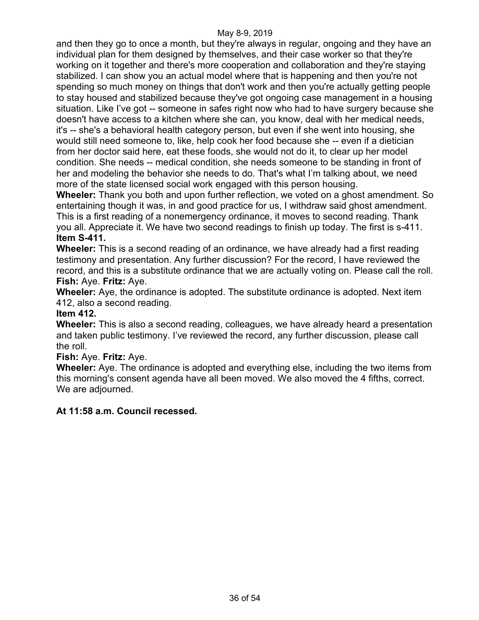and then they go to once a month, but they're always in regular, ongoing and they have an individual plan for them designed by themselves, and their case worker so that they're working on it together and there's more cooperation and collaboration and they're staying stabilized. I can show you an actual model where that is happening and then you're not spending so much money on things that don't work and then you're actually getting people to stay housed and stabilized because they've got ongoing case management in a housing situation. Like I've got -- someone in safes right now who had to have surgery because she doesn't have access to a kitchen where she can, you know, deal with her medical needs, it's -- she's a behavioral health category person, but even if she went into housing, she would still need someone to, like, help cook her food because she -- even if a dietician from her doctor said here, eat these foods, she would not do it, to clear up her model condition. She needs -- medical condition, she needs someone to be standing in front of her and modeling the behavior she needs to do. That's what I'm talking about, we need more of the state licensed social work engaged with this person housing.

**Wheeler:** Thank you both and upon further reflection, we voted on a ghost amendment. So entertaining though it was, in and good practice for us, I withdraw said ghost amendment. This is a first reading of a nonemergency ordinance, it moves to second reading. Thank you all. Appreciate it. We have two second readings to finish up today. The first is s-411. **Item S-411.**

**Wheeler:** This is a second reading of an ordinance, we have already had a first reading testimony and presentation. Any further discussion? For the record, I have reviewed the record, and this is a substitute ordinance that we are actually voting on. Please call the roll. **Fish:** Aye. **Fritz:** Aye.

**Wheeler:** Aye, the ordinance is adopted. The substitute ordinance is adopted. Next item 412, also a second reading.

## **Item 412.**

**Wheeler:** This is also a second reading, colleagues, we have already heard a presentation and taken public testimony. I've reviewed the record, any further discussion, please call the roll.

# **Fish:** Aye. **Fritz:** Aye.

**Wheeler:** Aye. The ordinance is adopted and everything else, including the two items from this morning's consent agenda have all been moved. We also moved the 4 fifths, correct. We are adjourned.

## **At 11:58 a.m. Council recessed.**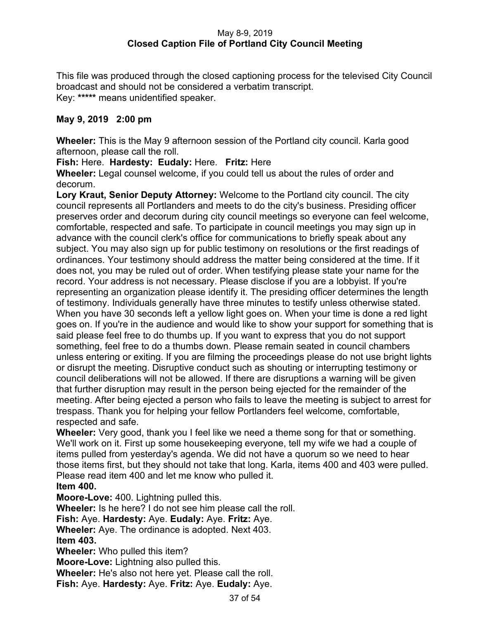## May 8-9, 2019 **Closed Caption File of Portland City Council Meeting**

This file was produced through the closed captioning process for the televised City Council broadcast and should not be considered a verbatim transcript. Key: **\*\*\*\*\*** means unidentified speaker.

# **May 9, 2019 2:00 pm**

**Wheeler:** This is the May 9 afternoon session of the Portland city council. Karla good afternoon, please call the roll.

**Fish:** Here. **Hardesty: Eudaly:** Here. **Fritz:** Here

**Wheeler:** Legal counsel welcome, if you could tell us about the rules of order and decorum.

**Lory Kraut, Senior Deputy Attorney:** Welcome to the Portland city council. The city council represents all Portlanders and meets to do the city's business. Presiding officer preserves order and decorum during city council meetings so everyone can feel welcome, comfortable, respected and safe. To participate in council meetings you may sign up in advance with the council clerk's office for communications to briefly speak about any subject. You may also sign up for public testimony on resolutions or the first readings of ordinances. Your testimony should address the matter being considered at the time. If it does not, you may be ruled out of order. When testifying please state your name for the record. Your address is not necessary. Please disclose if you are a lobbyist. If you're representing an organization please identify it. The presiding officer determines the length of testimony. Individuals generally have three minutes to testify unless otherwise stated. When you have 30 seconds left a yellow light goes on. When your time is done a red light goes on. If you're in the audience and would like to show your support for something that is said please feel free to do thumbs up. If you want to express that you do not support something, feel free to do a thumbs down. Please remain seated in council chambers unless entering or exiting. If you are filming the proceedings please do not use bright lights or disrupt the meeting. Disruptive conduct such as shouting or interrupting testimony or council deliberations will not be allowed. If there are disruptions a warning will be given that further disruption may result in the person being ejected for the remainder of the meeting. After being ejected a person who fails to leave the meeting is subject to arrest for trespass. Thank you for helping your fellow Portlanders feel welcome, comfortable, respected and safe.

**Wheeler:** Very good, thank you I feel like we need a theme song for that or something. We'll work on it. First up some housekeeping everyone, tell my wife we had a couple of items pulled from yesterday's agenda. We did not have a quorum so we need to hear those items first, but they should not take that long. Karla, items 400 and 403 were pulled. Please read item 400 and let me know who pulled it.

**Item 400.**

**Moore-Love:** 400. Lightning pulled this.

**Wheeler:** Is he here? I do not see him please call the roll.

**Fish:** Aye. **Hardesty:** Aye. **Eudaly:** Aye. **Fritz:** Aye.

**Wheeler:** Aye. The ordinance is adopted. Next 403. **Item 403.**

**Wheeler:** Who pulled this item?

**Moore-Love:** Lightning also pulled this.

**Wheeler:** He's also not here yet. Please call the roll.

**Fish:** Aye. **Hardesty:** Aye. **Fritz:** Aye. **Eudaly:** Aye.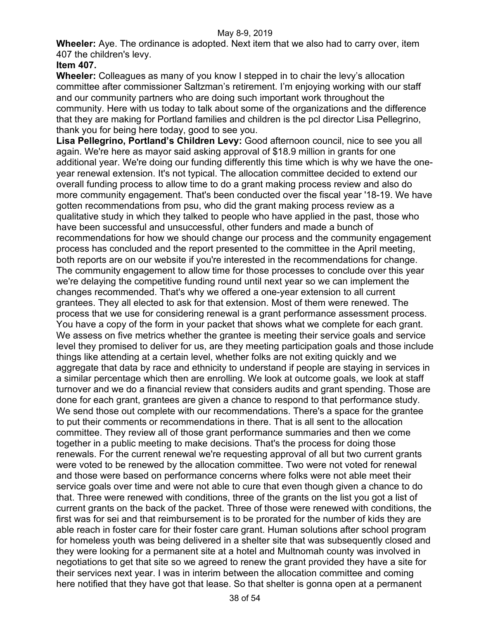**Wheeler:** Aye. The ordinance is adopted. Next item that we also had to carry over, item 407 the children's levy.

# **Item 407.**

**Wheeler:** Colleagues as many of you know I stepped in to chair the levy's allocation committee after commissioner Saltzman's retirement. I'm enjoying working with our staff and our community partners who are doing such important work throughout the community. Here with us today to talk about some of the organizations and the difference that they are making for Portland families and children is the pcl director Lisa Pellegrino, thank you for being here today, good to see you.

**Lisa Pellegrino, Portland's Children Levy:** Good afternoon council, nice to see you all again. We're here as mayor said asking approval of \$18.9 million in grants for one additional year. We're doing our funding differently this time which is why we have the oneyear renewal extension. It's not typical. The allocation committee decided to extend our overall funding process to allow time to do a grant making process review and also do more community engagement. That's been conducted over the fiscal year '18-19. We have gotten recommendations from psu, who did the grant making process review as a qualitative study in which they talked to people who have applied in the past, those who have been successful and unsuccessful, other funders and made a bunch of recommendations for how we should change our process and the community engagement process has concluded and the report presented to the committee in the April meeting, both reports are on our website if you're interested in the recommendations for change. The community engagement to allow time for those processes to conclude over this year we're delaying the competitive funding round until next year so we can implement the changes recommended. That's why we offered a one-year extension to all current grantees. They all elected to ask for that extension. Most of them were renewed. The process that we use for considering renewal is a grant performance assessment process. You have a copy of the form in your packet that shows what we complete for each grant. We assess on five metrics whether the grantee is meeting their service goals and service level they promised to deliver for us, are they meeting participation goals and those include things like attending at a certain level, whether folks are not exiting quickly and we aggregate that data by race and ethnicity to understand if people are staying in services in a similar percentage which then are enrolling. We look at outcome goals, we look at staff turnover and we do a financial review that considers audits and grant spending. Those are done for each grant, grantees are given a chance to respond to that performance study. We send those out complete with our recommendations. There's a space for the grantee to put their comments or recommendations in there. That is all sent to the allocation committee. They review all of those grant performance summaries and then we come together in a public meeting to make decisions. That's the process for doing those renewals. For the current renewal we're requesting approval of all but two current grants were voted to be renewed by the allocation committee. Two were not voted for renewal and those were based on performance concerns where folks were not able meet their service goals over time and were not able to cure that even though given a chance to do that. Three were renewed with conditions, three of the grants on the list you got a list of current grants on the back of the packet. Three of those were renewed with conditions, the first was for sei and that reimbursement is to be prorated for the number of kids they are able reach in foster care for their foster care grant. Human solutions after school program for homeless youth was being delivered in a shelter site that was subsequently closed and they were looking for a permanent site at a hotel and Multnomah county was involved in negotiations to get that site so we agreed to renew the grant provided they have a site for their services next year. I was in interim between the allocation committee and coming here notified that they have got that lease. So that shelter is gonna open at a permanent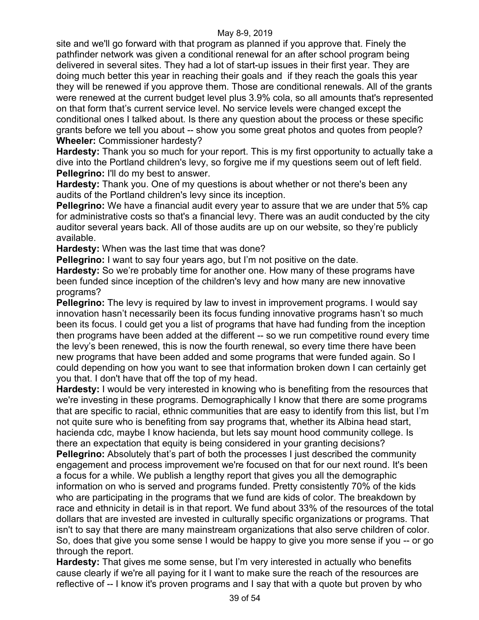site and we'll go forward with that program as planned if you approve that. Finely the pathfinder network was given a conditional renewal for an after school program being delivered in several sites. They had a lot of start-up issues in their first year. They are doing much better this year in reaching their goals and if they reach the goals this year they will be renewed if you approve them. Those are conditional renewals. All of the grants were renewed at the current budget level plus 3.9% cola, so all amounts that's represented on that form that's current service level. No service levels were changed except the conditional ones I talked about. Is there any question about the process or these specific grants before we tell you about -- show you some great photos and quotes from people? **Wheeler:** Commissioner hardesty?

**Hardesty:** Thank you so much for your report. This is my first opportunity to actually take a dive into the Portland children's levy, so forgive me if my questions seem out of left field. **Pellegrino:** I'll do my best to answer.

**Hardesty:** Thank you. One of my questions is about whether or not there's been any audits of the Portland children's levy since its inception.

**Pellegrino:** We have a financial audit every year to assure that we are under that 5% cap for administrative costs so that's a financial levy. There was an audit conducted by the city auditor several years back. All of those audits are up on our website, so they're publicly available.

**Hardesty:** When was the last time that was done?

**Pellegrino:** I want to say four years ago, but I'm not positive on the date.

**Hardesty:** So we're probably time for another one. How many of these programs have been funded since inception of the children's levy and how many are new innovative programs?

**Pellegrino:** The levy is required by law to invest in improvement programs. I would say innovation hasn't necessarily been its focus funding innovative programs hasn't so much been its focus. I could get you a list of programs that have had funding from the inception then programs have been added at the different -- so we run competitive round every time the levy's been renewed, this is now the fourth renewal, so every time there have been new programs that have been added and some programs that were funded again. So I could depending on how you want to see that information broken down I can certainly get you that. I don't have that off the top of my head.

**Hardesty:** I would be very interested in knowing who is benefiting from the resources that we're investing in these programs. Demographically I know that there are some programs that are specific to racial, ethnic communities that are easy to identify from this list, but I'm not quite sure who is benefiting from say programs that, whether its Albina head start, hacienda cdc, maybe I know hacienda, but lets say mount hood community college. Is there an expectation that equity is being considered in your granting decisions?

**Pellegrino:** Absolutely that's part of both the processes I just described the community engagement and process improvement we're focused on that for our next round. It's been a focus for a while. We publish a lengthy report that gives you all the demographic information on who is served and programs funded. Pretty consistently 70% of the kids who are participating in the programs that we fund are kids of color. The breakdown by race and ethnicity in detail is in that report. We fund about 33% of the resources of the total dollars that are invested are invested in culturally specific organizations or programs. That isn't to say that there are many mainstream organizations that also serve children of color. So, does that give you some sense I would be happy to give you more sense if you -- or go through the report.

**Hardesty:** That gives me some sense, but I'm very interested in actually who benefits cause clearly if we're all paying for it I want to make sure the reach of the resources are reflective of -- I know it's proven programs and I say that with a quote but proven by who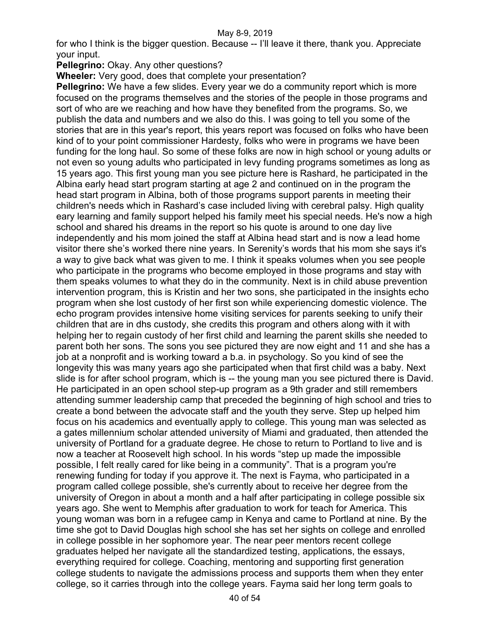for who I think is the bigger question. Because -- I'll leave it there, thank you. Appreciate your input.

## **Pellegrino: Okay. Any other questions?**

**Wheeler:** Very good, does that complete your presentation?

**Pellegrino:** We have a few slides. Every year we do a community report which is more focused on the programs themselves and the stories of the people in those programs and sort of who are we reaching and how have they benefited from the programs. So, we publish the data and numbers and we also do this. I was going to tell you some of the stories that are in this year's report, this years report was focused on folks who have been kind of to your point commissioner Hardesty, folks who were in programs we have been funding for the long haul. So some of these folks are now in high school or young adults or not even so young adults who participated in levy funding programs sometimes as long as 15 years ago. This first young man you see picture here is Rashard, he participated in the Albina early head start program starting at age 2 and continued on in the program the head start program in Albina, both of those programs support parents in meeting their children's needs which in Rashard's case included living with cerebral palsy. High quality eary learning and family support helped his family meet his special needs. He's now a high school and shared his dreams in the report so his quote is around to one day live independently and his mom joined the staff at Albina head start and is now a lead home visitor there she's worked there nine years. In Serenity's words that his mom she says it's a way to give back what was given to me. I think it speaks volumes when you see people who participate in the programs who become employed in those programs and stay with them speaks volumes to what they do in the community. Next is in child abuse prevention intervention program, this is Kristin and her two sons, she participated in the insights echo program when she lost custody of her first son while experiencing domestic violence. The echo program provides intensive home visiting services for parents seeking to unify their children that are in dhs custody, she credits this program and others along with it with helping her to regain custody of her first child and learning the parent skills she needed to parent both her sons. The sons you see pictured they are now eight and 11 and she has a job at a nonprofit and is working toward a b.a. in psychology. So you kind of see the longevity this was many years ago she participated when that first child was a baby. Next slide is for after school program, which is -- the young man you see pictured there is David. He participated in an open school step-up program as a 9th grader and still remembers attending summer leadership camp that preceded the beginning of high school and tries to create a bond between the advocate staff and the youth they serve. Step up helped him focus on his academics and eventually apply to college. This young man was selected as a gates millennium scholar attended university of Miami and graduated, then attended the university of Portland for a graduate degree. He chose to return to Portland to live and is now a teacher at Roosevelt high school. In his words "step up made the impossible possible, I felt really cared for like being in a community". That is a program you're renewing funding for today if you approve it. The next is Fayma, who participated in a program called college possible, she's currently about to receive her degree from the university of Oregon in about a month and a half after participating in college possible six years ago. She went to Memphis after graduation to work for teach for America. This young woman was born in a refugee camp in Kenya and came to Portland at nine. By the time she got to David Douglas high school she has set her sights on college and enrolled in college possible in her sophomore year. The near peer mentors recent college graduates helped her navigate all the standardized testing, applications, the essays, everything required for college. Coaching, mentoring and supporting first generation college students to navigate the admissions process and supports them when they enter college, so it carries through into the college years. Fayma said her long term goals to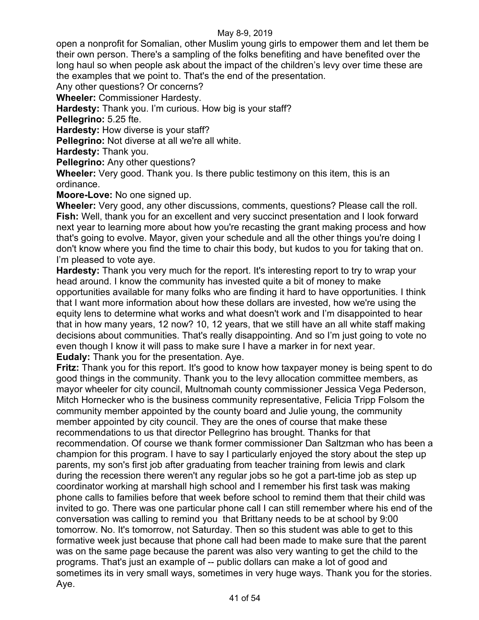open a nonprofit for Somalian, other Muslim young girls to empower them and let them be their own person. There's a sampling of the folks benefiting and have benefited over the long haul so when people ask about the impact of the children's levy over time these are the examples that we point to. That's the end of the presentation.

Any other questions? Or concerns?

**Wheeler:** Commissioner Hardesty.

**Hardesty:** Thank you. I'm curious. How big is your staff?

**Pellegrino:** 5.25 fte.

**Hardesty:** How diverse is your staff?

**Pellegrino:** Not diverse at all we're all white.

**Hardesty:** Thank you.

**Pellegrino:** Any other questions?

**Wheeler:** Very good. Thank you. Is there public testimony on this item, this is an ordinance.

**Moore-Love:** No one signed up.

**Wheeler:** Very good, any other discussions, comments, questions? Please call the roll. **Fish:** Well, thank you for an excellent and very succinct presentation and I look forward next year to learning more about how you're recasting the grant making process and how that's going to evolve. Mayor, given your schedule and all the other things you're doing I don't know where you find the time to chair this body, but kudos to you for taking that on. I'm pleased to vote ave.

**Hardesty:** Thank you very much for the report. It's interesting report to try to wrap your head around. I know the community has invested quite a bit of money to make opportunities available for many folks who are finding it hard to have opportunities. I think that I want more information about how these dollars are invested, how we're using the equity lens to determine what works and what doesn't work and I'm disappointed to hear that in how many years, 12 now? 10, 12 years, that we still have an all white staff making decisions about communities. That's really disappointing. And so I'm just going to vote no even though I know it will pass to make sure I have a marker in for next year. **Eudaly:** Thank you for the presentation. Aye.

**Fritz:** Thank you for this report. It's good to know how taxpayer money is being spent to do good things in the community. Thank you to the levy allocation committee members, as mayor wheeler for city council, Multnomah county commissioner Jessica Vega Pederson, Mitch Hornecker who is the business community representative, Felicia Tripp Folsom the community member appointed by the county board and Julie young, the community member appointed by city council. They are the ones of course that make these recommendations to us that director Pellegrino has brought. Thanks for that recommendation. Of course we thank former commissioner Dan Saltzman who has been a champion for this program. I have to say I particularly enjoyed the story about the step up parents, my son's first job after graduating from teacher training from lewis and clark during the recession there weren't any regular jobs so he got a part-time job as step up coordinator working at marshall high school and I remember his first task was making phone calls to families before that week before school to remind them that their child was invited to go. There was one particular phone call I can still remember where his end of the conversation was calling to remind you that Brittany needs to be at school by 9:00 tomorrow. No. It's tomorrow, not Saturday. Then so this student was able to get to this formative week just because that phone call had been made to make sure that the parent was on the same page because the parent was also very wanting to get the child to the programs. That's just an example of -- public dollars can make a lot of good and sometimes its in very small ways, sometimes in very huge ways. Thank you for the stories. Aye.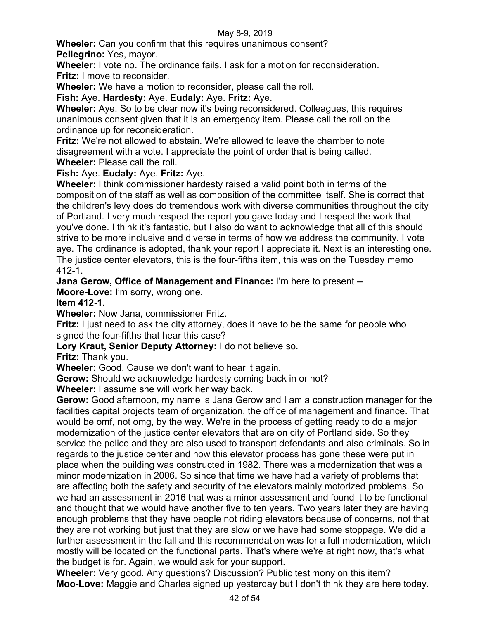**Wheeler:** Can you confirm that this requires unanimous consent? **Pellegrino:** Yes, mayor.

**Wheeler:** I vote no. The ordinance fails. I ask for a motion for reconsideration. **Fritz:** I move to reconsider.

**Wheeler:** We have a motion to reconsider, please call the roll.

**Fish:** Aye. **Hardesty:** Aye. **Eudaly:** Aye. **Fritz:** Aye.

**Wheeler:** Aye. So to be clear now it's being reconsidered. Colleagues, this requires unanimous consent given that it is an emergency item. Please call the roll on the ordinance up for reconsideration.

**Fritz:** We're not allowed to abstain. We're allowed to leave the chamber to note disagreement with a vote. I appreciate the point of order that is being called. **Wheeler:** Please call the roll.

**Fish:** Aye. **Eudaly:** Aye. **Fritz:** Aye.

**Wheeler:** I think commissioner hardesty raised a valid point both in terms of the composition of the staff as well as composition of the committee itself. She is correct that the children's levy does do tremendous work with diverse communities throughout the city of Portland. I very much respect the report you gave today and I respect the work that you've done. I think it's fantastic, but I also do want to acknowledge that all of this should strive to be more inclusive and diverse in terms of how we address the community. I vote aye. The ordinance is adopted, thank your report I appreciate it. Next is an interesting one. The justice center elevators, this is the four-fifths item, this was on the Tuesday memo 412-1.

**Jana Gerow, Office of Management and Finance:** I'm here to present --

**Moore-Love:** I'm sorry, wrong one.

# **Item 412-1.**

**Wheeler:** Now Jana, commissioner Fritz.

**Fritz:** I just need to ask the city attorney, does it have to be the same for people who signed the four-fifths that hear this case?

**Lory Kraut, Senior Deputy Attorney:** I do not believe so.

**Fritz:** Thank you.

**Wheeler:** Good. Cause we don't want to hear it again.

**Gerow:** Should we acknowledge hardesty coming back in or not?

**Wheeler:** I assume she will work her way back.

**Gerow:** Good afternoon, my name is Jana Gerow and I am a construction manager for the facilities capital projects team of organization, the office of management and finance. That would be omf, not omg, by the way. We're in the process of getting ready to do a major modernization of the justice center elevators that are on city of Portland side. So they service the police and they are also used to transport defendants and also criminals. So in regards to the justice center and how this elevator process has gone these were put in place when the building was constructed in 1982. There was a modernization that was a minor modernization in 2006. So since that time we have had a variety of problems that are affecting both the safety and security of the elevators mainly motorized problems. So we had an assessment in 2016 that was a minor assessment and found it to be functional and thought that we would have another five to ten years. Two years later they are having enough problems that they have people not riding elevators because of concerns, not that they are not working but just that they are slow or we have had some stoppage. We did a further assessment in the fall and this recommendation was for a full modernization, which mostly will be located on the functional parts. That's where we're at right now, that's what the budget is for. Again, we would ask for your support.

**Wheeler:** Very good. Any questions? Discussion? Public testimony on this item? **Moo-Love:** Maggie and Charles signed up yesterday but I don't think they are here today.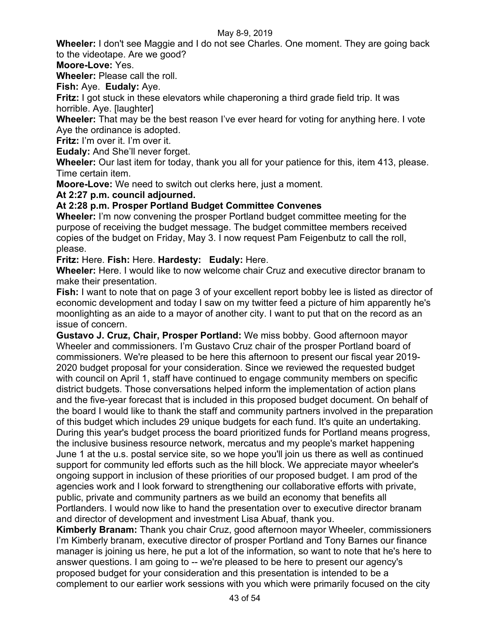**Wheeler:** I don't see Maggie and I do not see Charles. One moment. They are going back to the videotape. Are we good?

**Moore-Love:** Yes.

**Wheeler:** Please call the roll.

**Fish:** Aye. **Eudaly:** Aye.

**Fritz:** I got stuck in these elevators while chaperoning a third grade field trip. It was horrible. Aye. [laughter]

**Wheeler:** That may be the best reason I've ever heard for voting for anything here. I vote Aye the ordinance is adopted.

**Fritz:** I'm over it. I'm over it.

**Eudaly:** And She'll never forget.

**Wheeler:** Our last item for today, thank you all for your patience for this, item 413, please. Time certain item.

**Moore-Love:** We need to switch out clerks here, just a moment.

**At 2:27 p.m. council adjourned.**

# **At 2:28 p.m. Prosper Portland Budget Committee Convenes**

**Wheeler:** I'm now convening the prosper Portland budget committee meeting for the purpose of receiving the budget message. The budget committee members received copies of the budget on Friday, May 3. I now request Pam Feigenbutz to call the roll, please.

**Fritz:** Here. **Fish:** Here. **Hardesty: Eudaly:** Here.

**Wheeler:** Here. I would like to now welcome chair Cruz and executive director branam to make their presentation.

**Fish:** I want to note that on page 3 of your excellent report bobby lee is listed as director of economic development and today I saw on my twitter feed a picture of him apparently he's moonlighting as an aide to a mayor of another city. I want to put that on the record as an issue of concern.

**Gustavo J. Cruz, Chair, Prosper Portland:** We miss bobby. Good afternoon mayor Wheeler and commissioners. I'm Gustavo Cruz chair of the prosper Portland board of commissioners. We're pleased to be here this afternoon to present our fiscal year 2019- 2020 budget proposal for your consideration. Since we reviewed the requested budget with council on April 1, staff have continued to engage community members on specific district budgets. Those conversations helped inform the implementation of action plans and the five-year forecast that is included in this proposed budget document. On behalf of the board I would like to thank the staff and community partners involved in the preparation of this budget which includes 29 unique budgets for each fund. It's quite an undertaking. During this year's budget process the board prioritized funds for Portland means progress, the inclusive business resource network, mercatus and my people's market happening June 1 at the u.s. postal service site, so we hope you'll join us there as well as continued support for community led efforts such as the hill block. We appreciate mayor wheeler's ongoing support in inclusion of these priorities of our proposed budget. I am prod of the agencies work and I look forward to strengthening our collaborative efforts with private, public, private and community partners as we build an economy that benefits all Portlanders. I would now like to hand the presentation over to executive director branam and director of development and investment Lisa Abuaf, thank you.

**Kimberly Branam:** Thank you chair Cruz, good afternoon mayor Wheeler, commissioners I'm Kimberly branam, executive director of prosper Portland and Tony Barnes our finance manager is joining us here, he put a lot of the information, so want to note that he's here to answer questions. I am going to -- we're pleased to be here to present our agency's proposed budget for your consideration and this presentation is intended to be a complement to our earlier work sessions with you which were primarily focused on the city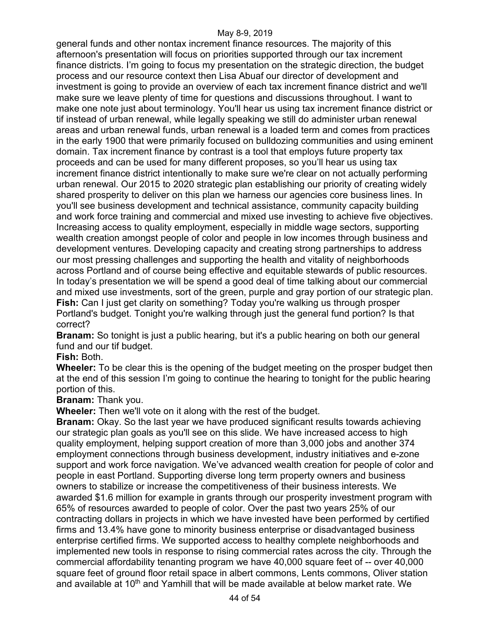general funds and other nontax increment finance resources. The majority of this afternoon's presentation will focus on priorities supported through our tax increment finance districts. I'm going to focus my presentation on the strategic direction, the budget process and our resource context then Lisa Abuaf our director of development and investment is going to provide an overview of each tax increment finance district and we'll make sure we leave plenty of time for questions and discussions throughout. I want to make one note just about terminology. You'll hear us using tax increment finance district or tif instead of urban renewal, while legally speaking we still do administer urban renewal areas and urban renewal funds, urban renewal is a loaded term and comes from practices in the early 1900 that were primarily focused on bulldozing communities and using eminent domain. Tax increment finance by contrast is a tool that employs future property tax proceeds and can be used for many different proposes, so you'll hear us using tax increment finance district intentionally to make sure we're clear on not actually performing urban renewal. Our 2015 to 2020 strategic plan establishing our priority of creating widely shared prosperity to deliver on this plan we harness our agencies core business lines. In you'll see business development and technical assistance, community capacity building and work force training and commercial and mixed use investing to achieve five objectives. Increasing access to quality employment, especially in middle wage sectors, supporting wealth creation amongst people of color and people in low incomes through business and development ventures. Developing capacity and creating strong partnerships to address our most pressing challenges and supporting the health and vitality of neighborhoods across Portland and of course being effective and equitable stewards of public resources. In today's presentation we will be spend a good deal of time talking about our commercial and mixed use investments, sort of the green, purple and gray portion of our strategic plan. **Fish:** Can I just get clarity on something? Today you're walking us through prosper Portland's budget. Tonight you're walking through just the general fund portion? Is that correct?

**Branam:** So tonight is just a public hearing, but it's a public hearing on both our general fund and our tif budget.

**Fish:** Both.

**Wheeler:** To be clear this is the opening of the budget meeting on the prosper budget then at the end of this session I'm going to continue the hearing to tonight for the public hearing portion of this.

**Branam:** Thank you.

**Wheeler:** Then we'll vote on it along with the rest of the budget.

**Branam:** Okay. So the last year we have produced significant results towards achieving our strategic plan goals as you'll see on this slide. We have increased access to high quality employment, helping support creation of more than 3,000 jobs and another 374 employment connections through business development, industry initiatives and e-zone support and work force navigation. We've advanced wealth creation for people of color and people in east Portland. Supporting diverse long term property owners and business owners to stabilize or increase the competitiveness of their business interests. We awarded \$1.6 million for example in grants through our prosperity investment program with 65% of resources awarded to people of color. Over the past two years 25% of our contracting dollars in projects in which we have invested have been performed by certified firms and 13.4% have gone to minority business enterprise or disadvantaged business enterprise certified firms. We supported access to healthy complete neighborhoods and implemented new tools in response to rising commercial rates across the city. Through the commercial affordability tenanting program we have 40,000 square feet of -- over 40,000 square feet of ground floor retail space in albert commons, Lents commons, Oliver station and available at 10<sup>th</sup> and Yamhill that will be made available at below market rate. We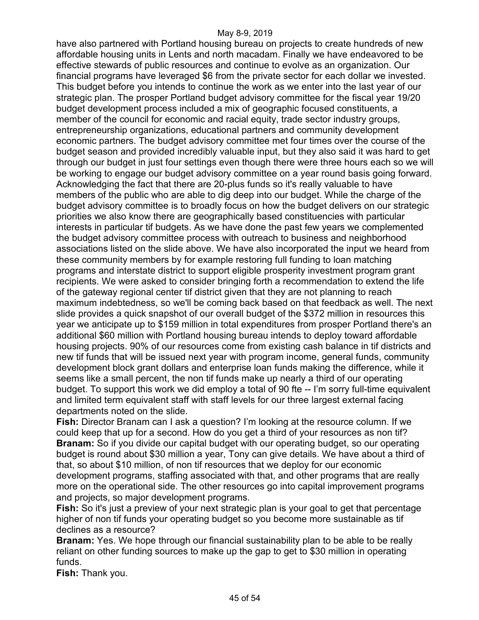have also partnered with Portland housing bureau on projects to create hundreds of new affordable housing units in Lents and north macadam. Finally we have endeavored to be effective stewards of public resources and continue to evolve as an organization. Our financial programs have leveraged \$6 from the private sector for each dollar we invested. This budget before you intends to continue the work as we enter into the last year of our strategic plan. The prosper Portland budget advisory committee for the fiscal year 19/20 budget development process included a mix of geographic focused constituents, a member of the council for economic and racial equity, trade sector industry groups, entrepreneurship organizations, educational partners and community development economic partners. The budget advisory committee met four times over the course of the budget season and provided incredibly valuable input, but they also said it was hard to get through our budget in just four settings even though there were three hours each so we will be working to engage our budget advisory committee on a year round basis going forward. Acknowledging the fact that there are 20-plus funds so it's really valuable to have members of the public who are able to dig deep into our budget. While the charge of the budget advisory committee is to broadly focus on how the budget delivers on our strategic priorities we also know there are geographically based constituencies with particular interests in particular tif budgets. As we have done the past few years we complemented the budget advisory committee process with outreach to business and neighborhood associations listed on the slide above. We have also incorporated the input we heard from these community members by for example restoring full funding to loan matching programs and interstate district to support eligible prosperity investment program grant recipients. We were asked to consider bringing forth a recommendation to extend the life of the gateway regional center tif district given that they are not planning to reach maximum indebtedness, so we'll be coming back based on that feedback as well. The next slide provides a quick snapshot of our overall budget of the \$372 million in resources this year we anticipate up to \$159 million in total expenditures from prosper Portland there's an additional \$60 million with Portland housing bureau intends to deploy toward affordable housing projects. 90% of our resources come from existing cash balance in tif districts and new tif funds that will be issued next year with program income, general funds, community development block grant dollars and enterprise loan funds making the difference, while it seems like a small percent, the non tif funds make up nearly a third of our operating budget. To support this work we did employ a total of 90 fte -- I'm sorry full-time equivalent and limited term equivalent staff with staff levels for our three largest external facing departments noted on the slide.

**Fish:** Director Branam can I ask a question? I'm looking at the resource column. If we could keep that up for a second. How do you get a third of your resources as non tif? **Branam:** So if you divide our capital budget with our operating budget, so our operating budget is round about \$30 million a year, Tony can give details. We have about a third of that, so about \$10 million, of non tif resources that we deploy for our economic development programs, staffing associated with that, and other programs that are really more on the operational side. The other resources go into capital improvement programs and projects, so major development programs.

**Fish:** So it's just a preview of your next strategic plan is your goal to get that percentage higher of non tif funds your operating budget so you become more sustainable as tif declines as a resource?

**Branam:** Yes. We hope through our financial sustainability plan to be able to be really reliant on other funding sources to make up the gap to get to \$30 million in operating funds.

**Fish:** Thank you.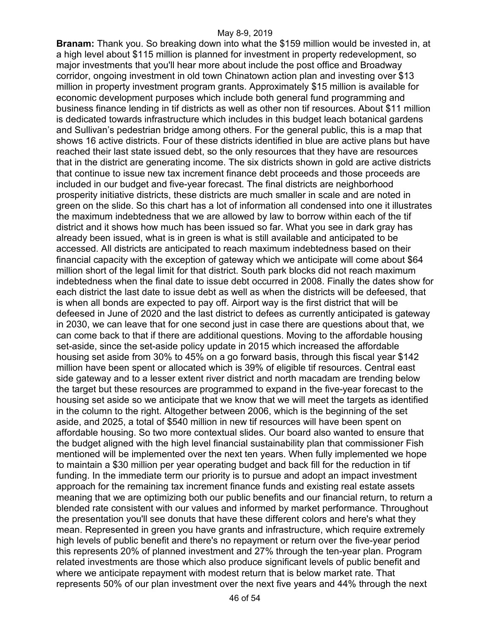**Branam:** Thank you. So breaking down into what the \$159 million would be invested in, at a high level about \$115 million is planned for investment in property redevelopment, so major investments that you'll hear more about include the post office and Broadway corridor, ongoing investment in old town Chinatown action plan and investing over \$13 million in property investment program grants. Approximately \$15 million is available for economic development purposes which include both general fund programming and business finance lending in tif districts as well as other non tif resources. About \$11 million is dedicated towards infrastructure which includes in this budget leach botanical gardens and Sullivan's pedestrian bridge among others. For the general public, this is a map that shows 16 active districts. Four of these districts identified in blue are active plans but have reached their last state issued debt, so the only resources that they have are resources that in the district are generating income. The six districts shown in gold are active districts that continue to issue new tax increment finance debt proceeds and those proceeds are included in our budget and five-year forecast. The final districts are neighborhood prosperity initiative districts, these districts are much smaller in scale and are noted in green on the slide. So this chart has a lot of information all condensed into one it illustrates the maximum indebtedness that we are allowed by law to borrow within each of the tif district and it shows how much has been issued so far. What you see in dark gray has already been issued, what is in green is what is still available and anticipated to be accessed. All districts are anticipated to reach maximum indebtedness based on their financial capacity with the exception of gateway which we anticipate will come about \$64 million short of the legal limit for that district. South park blocks did not reach maximum indebtedness when the final date to issue debt occurred in 2008. Finally the dates show for each district the last date to issue debt as well as when the districts will be defeesed, that is when all bonds are expected to pay off. Airport way is the first district that will be defeesed in June of 2020 and the last district to defees as currently anticipated is gateway in 2030, we can leave that for one second just in case there are questions about that, we can come back to that if there are additional questions. Moving to the affordable housing set-aside, since the set-aside policy update in 2015 which increased the affordable housing set aside from 30% to 45% on a go forward basis, through this fiscal year \$142 million have been spent or allocated which is 39% of eligible tif resources. Central east side gateway and to a lesser extent river district and north macadam are trending below the target but these resources are programmed to expand in the five-year forecast to the housing set aside so we anticipate that we know that we will meet the targets as identified in the column to the right. Altogether between 2006, which is the beginning of the set aside, and 2025, a total of \$540 million in new tif resources will have been spent on affordable housing. So two more contextual slides. Our board also wanted to ensure that the budget aligned with the high level financial sustainability plan that commissioner Fish mentioned will be implemented over the next ten years. When fully implemented we hope to maintain a \$30 million per year operating budget and back fill for the reduction in tif funding. In the immediate term our priority is to pursue and adopt an impact investment approach for the remaining tax increment finance funds and existing real estate assets meaning that we are optimizing both our public benefits and our financial return, to return a blended rate consistent with our values and informed by market performance. Throughout the presentation you'll see donuts that have these different colors and here's what they mean. Represented in green you have grants and infrastructure, which require extremely high levels of public benefit and there's no repayment or return over the five-year period this represents 20% of planned investment and 27% through the ten-year plan. Program related investments are those which also produce significant levels of public benefit and where we anticipate repayment with modest return that is below market rate. That represents 50% of our plan investment over the next five years and 44% through the next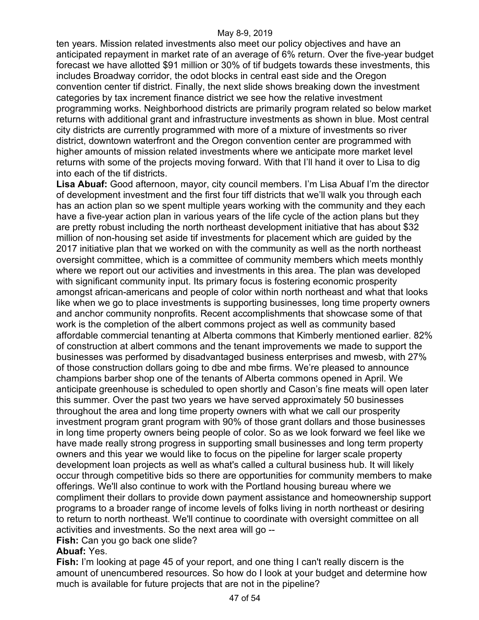ten years. Mission related investments also meet our policy objectives and have an anticipated repayment in market rate of an average of 6% return. Over the five-year budget forecast we have allotted \$91 million or 30% of tif budgets towards these investments, this includes Broadway corridor, the odot blocks in central east side and the Oregon convention center tif district. Finally, the next slide shows breaking down the investment categories by tax increment finance district we see how the relative investment programming works. Neighborhood districts are primarily program related so below market returns with additional grant and infrastructure investments as shown in blue. Most central city districts are currently programmed with more of a mixture of investments so river district, downtown waterfront and the Oregon convention center are programmed with higher amounts of mission related investments where we anticipate more market level returns with some of the projects moving forward. With that I'll hand it over to Lisa to dig into each of the tif districts.

**Lisa Abuaf:** Good afternoon, mayor, city council members. I'm Lisa Abuaf I'm the director of development investment and the first four tiff districts that we'll walk you through each has an action plan so we spent multiple years working with the community and they each have a five-year action plan in various years of the life cycle of the action plans but they are pretty robust including the north northeast development initiative that has about \$32 million of non-housing set aside tif investments for placement which are guided by the 2017 initiative plan that we worked on with the community as well as the north northeast oversight committee, which is a committee of community members which meets monthly where we report out our activities and investments in this area. The plan was developed with significant community input. Its primary focus is fostering economic prosperity amongst african-americans and people of color within north northeast and what that looks like when we go to place investments is supporting businesses, long time property owners and anchor community nonprofits. Recent accomplishments that showcase some of that work is the completion of the albert commons project as well as community based affordable commercial tenanting at Alberta commons that Kimberly mentioned earlier. 82% of construction at albert commons and the tenant improvements we made to support the businesses was performed by disadvantaged business enterprises and mwesb, with 27% of those construction dollars going to dbe and mbe firms. We're pleased to announce champions barber shop one of the tenants of Alberta commons opened in April. We anticipate greenhouse is scheduled to open shortly and Cason's fine meats will open later this summer. Over the past two years we have served approximately 50 businesses throughout the area and long time property owners with what we call our prosperity investment program grant program with 90% of those grant dollars and those businesses in long time property owners being people of color. So as we look forward we feel like we have made really strong progress in supporting small businesses and long term property owners and this year we would like to focus on the pipeline for larger scale property development loan projects as well as what's called a cultural business hub. It will likely occur through competitive bids so there are opportunities for community members to make offerings. We'll also continue to work with the Portland housing bureau where we compliment their dollars to provide down payment assistance and homeownership support programs to a broader range of income levels of folks living in north northeast or desiring to return to north northeast. We'll continue to coordinate with oversight committee on all activities and investments. So the next area will go --

**Fish:** Can you go back one slide?

# **Abuaf:** Yes.

**Fish:** I'm looking at page 45 of your report, and one thing I can't really discern is the amount of unencumbered resources. So how do I look at your budget and determine how much is available for future projects that are not in the pipeline?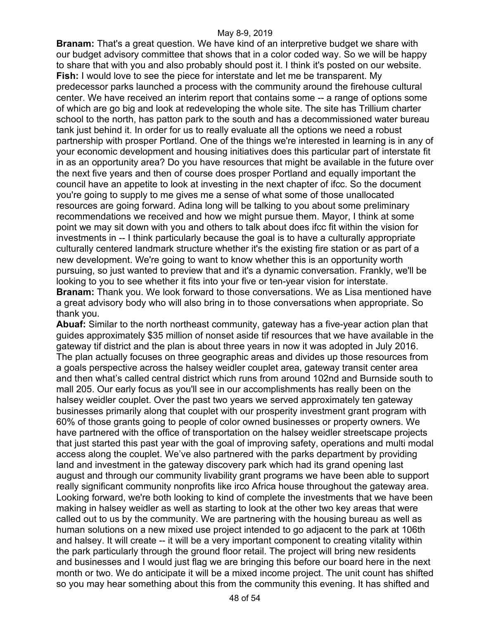**Branam:** That's a great question. We have kind of an interpretive budget we share with our budget advisory committee that shows that in a color coded way. So we will be happy to share that with you and also probably should post it. I think it's posted on our website. **Fish:** I would love to see the piece for interstate and let me be transparent. My predecessor parks launched a process with the community around the firehouse cultural center. We have received an interim report that contains some -- a range of options some of which are go big and look at redeveloping the whole site. The site has Trillium charter school to the north, has patton park to the south and has a decommissioned water bureau tank just behind it. In order for us to really evaluate all the options we need a robust partnership with prosper Portland. One of the things we're interested in learning is in any of your economic development and housing initiatives does this particular part of interstate fit in as an opportunity area? Do you have resources that might be available in the future over the next five years and then of course does prosper Portland and equally important the council have an appetite to look at investing in the next chapter of ifcc. So the document you're going to supply to me gives me a sense of what some of those unallocated resources are going forward. Adina long will be talking to you about some preliminary recommendations we received and how we might pursue them. Mayor, I think at some point we may sit down with you and others to talk about does ifcc fit within the vision for investments in -- I think particularly because the goal is to have a culturally appropriate culturally centered landmark structure whether it's the existing fire station or as part of a new development. We're going to want to know whether this is an opportunity worth pursuing, so just wanted to preview that and it's a dynamic conversation. Frankly, we'll be looking to you to see whether it fits into your five or ten-year vision for interstate. **Branam:** Thank you. We look forward to those conversations. We as Lisa mentioned have a great advisory body who will also bring in to those conversations when appropriate. So thank you.

**Abuaf:** Similar to the north northeast community, gateway has a five-year action plan that guides approximately \$35 million of nonset aside tif resources that we have available in the gateway tif district and the plan is about three years in now it was adopted in July 2016. The plan actually focuses on three geographic areas and divides up those resources from a goals perspective across the halsey weidler couplet area, gateway transit center area and then what's called central district which runs from around 102nd and Burnside south to mall 205. Our early focus as you'll see in our accomplishments has really been on the halsey weidler couplet. Over the past two years we served approximately ten gateway businesses primarily along that couplet with our prosperity investment grant program with 60% of those grants going to people of color owned businesses or property owners. We have partnered with the office of transportation on the halsey weidler streetscape projects that just started this past year with the goal of improving safety, operations and multi modal access along the couplet. We've also partnered with the parks department by providing land and investment in the gateway discovery park which had its grand opening last august and through our community livability grant programs we have been able to support really significant community nonprofits like irco Africa house throughout the gateway area. Looking forward, we're both looking to kind of complete the investments that we have been making in halsey weidler as well as starting to look at the other two key areas that were called out to us by the community. We are partnering with the housing bureau as well as human solutions on a new mixed use project intended to go adjacent to the park at 106th and halsey. It will create -- it will be a very important component to creating vitality within the park particularly through the ground floor retail. The project will bring new residents and businesses and I would just flag we are bringing this before our board here in the next month or two. We do anticipate it will be a mixed income project. The unit count has shifted so you may hear something about this from the community this evening. It has shifted and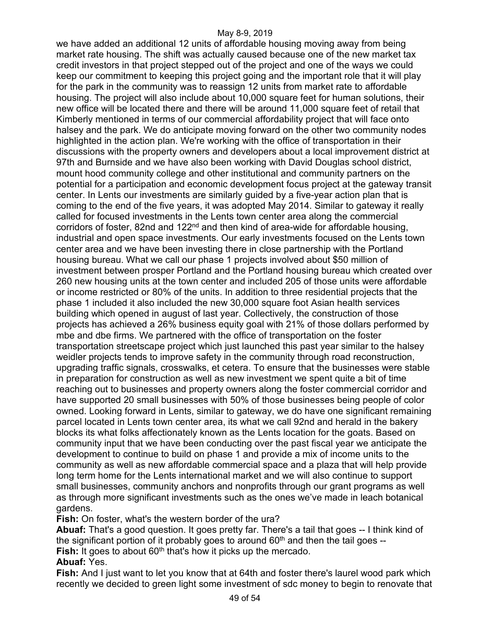we have added an additional 12 units of affordable housing moving away from being market rate housing. The shift was actually caused because one of the new market tax credit investors in that project stepped out of the project and one of the ways we could keep our commitment to keeping this project going and the important role that it will play for the park in the community was to reassign 12 units from market rate to affordable housing. The project will also include about 10,000 square feet for human solutions, their new office will be located there and there will be around 11,000 square feet of retail that Kimberly mentioned in terms of our commercial affordability project that will face onto halsey and the park. We do anticipate moving forward on the other two community nodes highlighted in the action plan. We're working with the office of transportation in their discussions with the property owners and developers about a local improvement district at 97th and Burnside and we have also been working with David Douglas school district, mount hood community college and other institutional and community partners on the potential for a participation and economic development focus project at the gateway transit center. In Lents our investments are similarly guided by a five-year action plan that is coming to the end of the five years, it was adopted May 2014. Similar to gateway it really called for focused investments in the Lents town center area along the commercial corridors of foster, 82nd and 122<sup>nd</sup> and then kind of area-wide for affordable housing, industrial and open space investments. Our early investments focused on the Lents town center area and we have been investing there in close partnership with the Portland housing bureau. What we call our phase 1 projects involved about \$50 million of investment between prosper Portland and the Portland housing bureau which created over 260 new housing units at the town center and included 205 of those units were affordable or income restricted or 80% of the units. In addition to three residential projects that the phase 1 included it also included the new 30,000 square foot Asian health services building which opened in august of last year. Collectively, the construction of those projects has achieved a 26% business equity goal with 21% of those dollars performed by mbe and dbe firms. We partnered with the office of transportation on the foster transportation streetscape project which just launched this past year similar to the halsey weidler projects tends to improve safety in the community through road reconstruction, upgrading traffic signals, crosswalks, et cetera. To ensure that the businesses were stable in preparation for construction as well as new investment we spent quite a bit of time reaching out to businesses and property owners along the foster commercial corridor and have supported 20 small businesses with 50% of those businesses being people of color owned. Looking forward in Lents, similar to gateway, we do have one significant remaining parcel located in Lents town center area, its what we call 92nd and herald in the bakery blocks its what folks affectionately known as the Lents location for the goats. Based on community input that we have been conducting over the past fiscal year we anticipate the development to continue to build on phase 1 and provide a mix of income units to the community as well as new affordable commercial space and a plaza that will help provide long term home for the Lents international market and we will also continue to support small businesses, community anchors and nonprofits through our grant programs as well as through more significant investments such as the ones we've made in leach botanical gardens.

**Fish:** On foster, what's the western border of the ura?

**Abuaf:** That's a good question. It goes pretty far. There's a tail that goes -- I think kind of the significant portion of it probably goes to around  $60<sup>th</sup>$  and then the tail goes  $-$ **Fish:** It goes to about 60<sup>th</sup> that's how it picks up the mercado.

## **Abuaf:** Yes.

**Fish:** And I just want to let you know that at 64th and foster there's laurel wood park which recently we decided to green light some investment of sdc money to begin to renovate that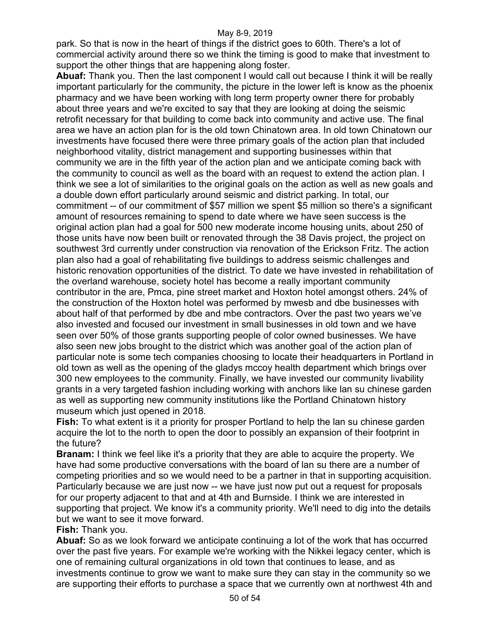park. So that is now in the heart of things if the district goes to 60th. There's a lot of commercial activity around there so we think the timing is good to make that investment to support the other things that are happening along foster.

**Abuaf:** Thank you. Then the last component I would call out because I think it will be really important particularly for the community, the picture in the lower left is know as the phoenix pharmacy and we have been working with long term property owner there for probably about three years and we're excited to say that they are looking at doing the seismic retrofit necessary for that building to come back into community and active use. The final area we have an action plan for is the old town Chinatown area. In old town Chinatown our investments have focused there were three primary goals of the action plan that included neighborhood vitality, district management and supporting businesses within that community we are in the fifth year of the action plan and we anticipate coming back with the community to council as well as the board with an request to extend the action plan. I think we see a lot of similarities to the original goals on the action as well as new goals and a double down effort particularly around seismic and district parking. In total, our commitment -- of our commitment of \$57 million we spent \$5 million so there's a significant amount of resources remaining to spend to date where we have seen success is the original action plan had a goal for 500 new moderate income housing units, about 250 of those units have now been built or renovated through the 38 Davis project, the project on southwest 3rd currently under construction via renovation of the Erickson Fritz. The action plan also had a goal of rehabilitating five buildings to address seismic challenges and historic renovation opportunities of the district. To date we have invested in rehabilitation of the overland warehouse, society hotel has become a really important community contributor in the are, Pmca, pine street market and Hoxton hotel amongst others. 24% of the construction of the Hoxton hotel was performed by mwesb and dbe businesses with about half of that performed by dbe and mbe contractors. Over the past two years we've also invested and focused our investment in small businesses in old town and we have seen over 50% of those grants supporting people of color owned businesses. We have also seen new jobs brought to the district which was another goal of the action plan of particular note is some tech companies choosing to locate their headquarters in Portland in old town as well as the opening of the gladys mccoy health department which brings over 300 new employees to the community. Finally, we have invested our community livability grants in a very targeted fashion including working with anchors like lan su chinese garden as well as supporting new community institutions like the Portland Chinatown history museum which just opened in 2018.

**Fish:** To what extent is it a priority for prosper Portland to help the lan su chinese garden acquire the lot to the north to open the door to possibly an expansion of their footprint in the future?

**Branam:** I think we feel like it's a priority that they are able to acquire the property. We have had some productive conversations with the board of lan su there are a number of competing priorities and so we would need to be a partner in that in supporting acquisition. Particularly because we are just now -- we have just now put out a request for proposals for our property adjacent to that and at 4th and Burnside. I think we are interested in supporting that project. We know it's a community priority. We'll need to dig into the details but we want to see it move forward.

## **Fish:** Thank you.

**Abuaf:** So as we look forward we anticipate continuing a lot of the work that has occurred over the past five years. For example we're working with the Nikkei legacy center, which is one of remaining cultural organizations in old town that continues to lease, and as investments continue to grow we want to make sure they can stay in the community so we are supporting their efforts to purchase a space that we currently own at northwest 4th and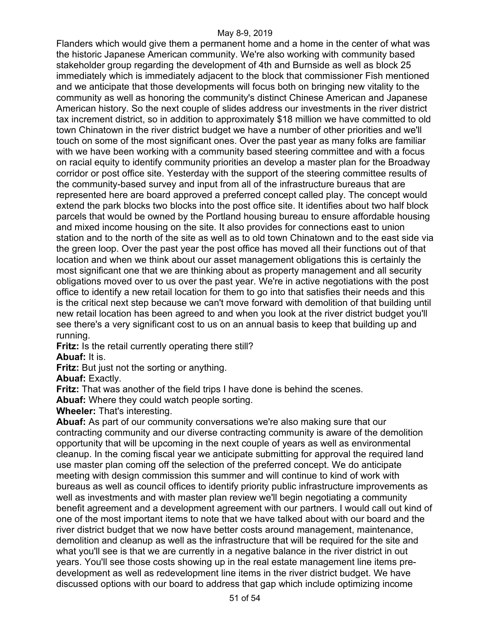Flanders which would give them a permanent home and a home in the center of what was the historic Japanese American community. We're also working with community based stakeholder group regarding the development of 4th and Burnside as well as block 25 immediately which is immediately adjacent to the block that commissioner Fish mentioned and we anticipate that those developments will focus both on bringing new vitality to the community as well as honoring the community's distinct Chinese American and Japanese American history. So the next couple of slides address our investments in the river district tax increment district, so in addition to approximately \$18 million we have committed to old town Chinatown in the river district budget we have a number of other priorities and we'll touch on some of the most significant ones. Over the past year as many folks are familiar with we have been working with a community based steering committee and with a focus on racial equity to identify community priorities an develop a master plan for the Broadway corridor or post office site. Yesterday with the support of the steering committee results of the community-based survey and input from all of the infrastructure bureaus that are represented here are board approved a preferred concept called play. The concept would extend the park blocks two blocks into the post office site. It identifies about two half block parcels that would be owned by the Portland housing bureau to ensure affordable housing and mixed income housing on the site. It also provides for connections east to union station and to the north of the site as well as to old town Chinatown and to the east side via the green loop. Over the past year the post office has moved all their functions out of that location and when we think about our asset management obligations this is certainly the most significant one that we are thinking about as property management and all security obligations moved over to us over the past year. We're in active negotiations with the post office to identify a new retail location for them to go into that satisfies their needs and this is the critical next step because we can't move forward with demolition of that building until new retail location has been agreed to and when you look at the river district budget you'll see there's a very significant cost to us on an annual basis to keep that building up and running.

**Fritz:** Is the retail currently operating there still?

**Abuaf:** It is.

**Fritz:** But just not the sorting or anything.

**Abuaf:** Exactly.

**Fritz:** That was another of the field trips I have done is behind the scenes.

**Abuaf:** Where they could watch people sorting.

**Wheeler:** That's interesting.

**Abuaf:** As part of our community conversations we're also making sure that our contracting community and our diverse contracting community is aware of the demolition opportunity that will be upcoming in the next couple of years as well as environmental cleanup. In the coming fiscal year we anticipate submitting for approval the required land use master plan coming off the selection of the preferred concept. We do anticipate meeting with design commission this summer and will continue to kind of work with bureaus as well as council offices to identify priority public infrastructure improvements as well as investments and with master plan review we'll begin negotiating a community benefit agreement and a development agreement with our partners. I would call out kind of one of the most important items to note that we have talked about with our board and the river district budget that we now have better costs around management, maintenance, demolition and cleanup as well as the infrastructure that will be required for the site and what you'll see is that we are currently in a negative balance in the river district in out years. You'll see those costs showing up in the real estate management line items predevelopment as well as redevelopment line items in the river district budget. We have discussed options with our board to address that gap which include optimizing income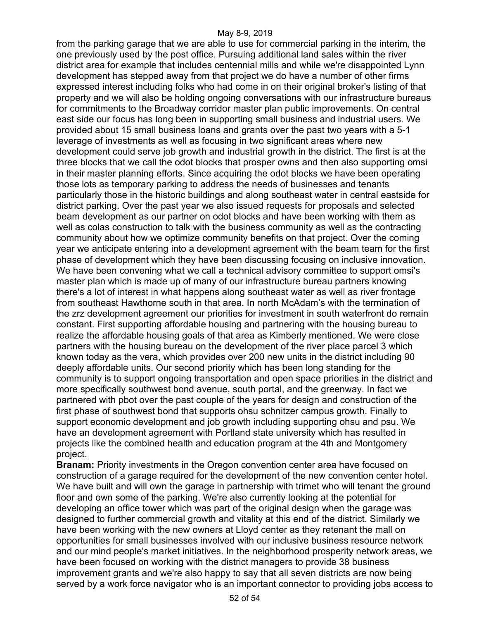from the parking garage that we are able to use for commercial parking in the interim, the one previously used by the post office. Pursuing additional land sales within the river district area for example that includes centennial mills and while we're disappointed Lynn development has stepped away from that project we do have a number of other firms expressed interest including folks who had come in on their original broker's listing of that property and we will also be holding ongoing conversations with our infrastructure bureaus for commitments to the Broadway corridor master plan public improvements. On central east side our focus has long been in supporting small business and industrial users. We provided about 15 small business loans and grants over the past two years with a 5-1 leverage of investments as well as focusing in two significant areas where new development could serve job growth and industrial growth in the district. The first is at the three blocks that we call the odot blocks that prosper owns and then also supporting omsi in their master planning efforts. Since acquiring the odot blocks we have been operating those lots as temporary parking to address the needs of businesses and tenants particularly those in the historic buildings and along southeast water in central eastside for district parking. Over the past year we also issued requests for proposals and selected beam development as our partner on odot blocks and have been working with them as well as colas construction to talk with the business community as well as the contracting community about how we optimize community benefits on that project. Over the coming year we anticipate entering into a development agreement with the beam team for the first phase of development which they have been discussing focusing on inclusive innovation. We have been convening what we call a technical advisory committee to support omsi's master plan which is made up of many of our infrastructure bureau partners knowing there's a lot of interest in what happens along southeast water as well as river frontage from southeast Hawthorne south in that area. In north McAdam's with the termination of the zrz development agreement our priorities for investment in south waterfront do remain constant. First supporting affordable housing and partnering with the housing bureau to realize the affordable housing goals of that area as Kimberly mentioned. We were close partners with the housing bureau on the development of the river place parcel 3 which known today as the vera, which provides over 200 new units in the district including 90 deeply affordable units. Our second priority which has been long standing for the community is to support ongoing transportation and open space priorities in the district and more specifically southwest bond avenue, south portal, and the greenway. In fact we partnered with pbot over the past couple of the years for design and construction of the first phase of southwest bond that supports ohsu schnitzer campus growth. Finally to support economic development and job growth including supporting ohsu and psu. We have an development agreement with Portland state university which has resulted in projects like the combined health and education program at the 4th and Montgomery project.

**Branam:** Priority investments in the Oregon convention center area have focused on construction of a garage required for the development of the new convention center hotel. We have built and will own the garage in partnership with trimet who will tenant the ground floor and own some of the parking. We're also currently looking at the potential for developing an office tower which was part of the original design when the garage was designed to further commercial growth and vitality at this end of the district. Similarly we have been working with the new owners at Lloyd center as they retenant the mall on opportunities for small businesses involved with our inclusive business resource network and our mind people's market initiatives. In the neighborhood prosperity network areas, we have been focused on working with the district managers to provide 38 business improvement grants and we're also happy to say that all seven districts are now being served by a work force navigator who is an important connector to providing jobs access to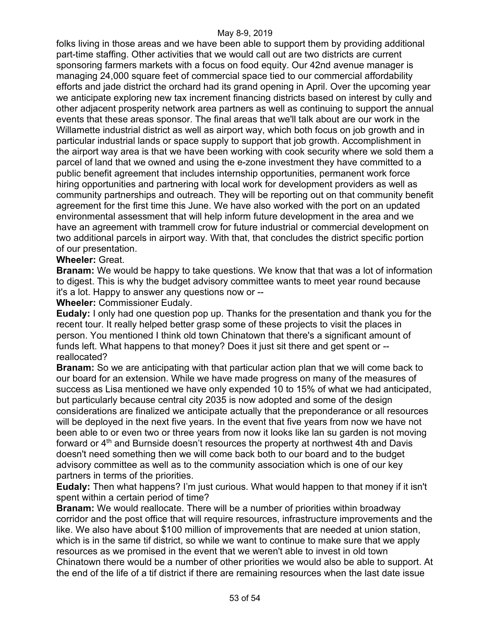folks living in those areas and we have been able to support them by providing additional part-time staffing. Other activities that we would call out are two districts are current sponsoring farmers markets with a focus on food equity. Our 42nd avenue manager is managing 24,000 square feet of commercial space tied to our commercial affordability efforts and jade district the orchard had its grand opening in April. Over the upcoming year we anticipate exploring new tax increment financing districts based on interest by cully and other adjacent prosperity network area partners as well as continuing to support the annual events that these areas sponsor. The final areas that we'll talk about are our work in the Willamette industrial district as well as airport way, which both focus on job growth and in particular industrial lands or space supply to support that job growth. Accomplishment in the airport way area is that we have been working with cook security where we sold them a parcel of land that we owned and using the e-zone investment they have committed to a public benefit agreement that includes internship opportunities, permanent work force hiring opportunities and partnering with local work for development providers as well as community partnerships and outreach. They will be reporting out on that community benefit agreement for the first time this June. We have also worked with the port on an updated environmental assessment that will help inform future development in the area and we have an agreement with trammell crow for future industrial or commercial development on two additional parcels in airport way. With that, that concludes the district specific portion of our presentation.

## **Wheeler:** Great.

**Branam:** We would be happy to take questions. We know that that was a lot of information to digest. This is why the budget advisory committee wants to meet year round because it's a lot. Happy to answer any questions now or --

**Wheeler:** Commissioner Eudaly.

**Eudaly:** I only had one question pop up. Thanks for the presentation and thank you for the recent tour. It really helped better grasp some of these projects to visit the places in person. You mentioned I think old town Chinatown that there's a significant amount of funds left. What happens to that money? Does it just sit there and get spent or - reallocated?

**Branam:** So we are anticipating with that particular action plan that we will come back to our board for an extension. While we have made progress on many of the measures of success as Lisa mentioned we have only expended 10 to 15% of what we had anticipated, but particularly because central city 2035 is now adopted and some of the design considerations are finalized we anticipate actually that the preponderance or all resources will be deployed in the next five years. In the event that five years from now we have not been able to or even two or three years from now it looks like lan su garden is not moving forward or  $4<sup>th</sup>$  and Burnside doesn't resources the property at northwest 4th and Davis doesn't need something then we will come back both to our board and to the budget advisory committee as well as to the community association which is one of our key partners in terms of the priorities.

**Eudaly:** Then what happens? I'm just curious. What would happen to that money if it isn't spent within a certain period of time?

**Branam:** We would reallocate. There will be a number of priorities within broadway corridor and the post office that will require resources, infrastructure improvements and the like. We also have about \$100 million of improvements that are needed at union station, which is in the same tif district, so while we want to continue to make sure that we apply resources as we promised in the event that we weren't able to invest in old town Chinatown there would be a number of other priorities we would also be able to support. At the end of the life of a tif district if there are remaining resources when the last date issue